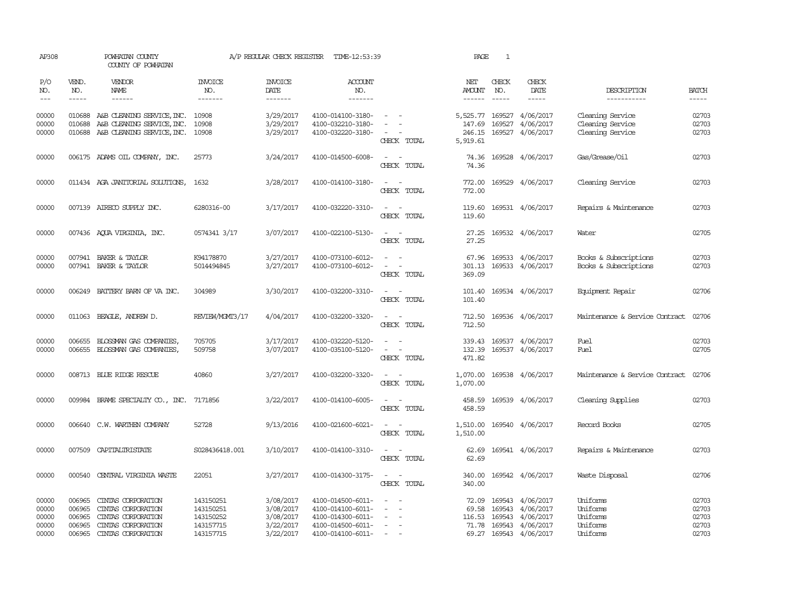| AP308                                     |                                                | POWHATAN COUNTY<br>COUNTY OF POWHATAN                                                                            |                                                               | A/P REGULAR CHECK REGISTER                                    | TIME-12:53:39                                                                                         |                                                                                                                             | PAGE                         | 1                             |                                                                                                       |                                                          |                                                                                                                                                                                                                                                                                                                                                                                                                                                                         |
|-------------------------------------------|------------------------------------------------|------------------------------------------------------------------------------------------------------------------|---------------------------------------------------------------|---------------------------------------------------------------|-------------------------------------------------------------------------------------------------------|-----------------------------------------------------------------------------------------------------------------------------|------------------------------|-------------------------------|-------------------------------------------------------------------------------------------------------|----------------------------------------------------------|-------------------------------------------------------------------------------------------------------------------------------------------------------------------------------------------------------------------------------------------------------------------------------------------------------------------------------------------------------------------------------------------------------------------------------------------------------------------------|
| P/O<br>NO.<br>$\qquad \qquad - -$         | VEND.<br>NO.<br>$- - - - -$                    | <b>VENDOR</b><br>NAME<br>------                                                                                  | <b>INVOICE</b><br>NO.<br>-------                              | <b>INVOICE</b><br>DATE<br>-------                             | <b>ACCOUNT</b><br>NO.<br>-------                                                                      |                                                                                                                             | NET<br><b>AMOUNT</b>         | CHECK<br>NO.<br>$\frac{1}{2}$ | CHECK<br>DATE<br>-----                                                                                | DESCRIPTION<br>-----------                               | <b>BATCH</b><br>$\begin{tabular}{ccccc} \multicolumn{2}{c }{\multicolumn{2}{c }{\multicolumn{2}{c }{\multicolumn{2}{c}}{\hspace{-2.2cm}}}} \multicolumn{2}{c }{\multicolumn{2}{c }{\hspace{-2.2cm}}\hline} \multicolumn{2}{c }{\hspace{-2.2cm}}\hline \multicolumn{2}{c }{\hspace{-2.2cm}}\hline \multicolumn{2}{c }{\hspace{-2.2cm}}\hline \multicolumn{2}{c }{\hspace{-2.2cm}}\hline \multicolumn{2}{c }{\hspace{-2.2cm}}\hline \multicolumn{2}{c }{\hspace{-2.2cm}}$ |
| 00000<br>00000<br>00000                   | 010688                                         | 010688 A&B CLEANING SERVICE, INC. 10908<br>A&B CLEANING SERVICE, INC.<br>010688 A&B CLEANING SERVICE, INC. 10908 | 10908                                                         | 3/29/2017<br>3/29/2017<br>3/29/2017                           | 4100-014100-3180-<br>4100-032210-3180-<br>4100-032220-3180-                                           | CHECK TOTAL                                                                                                                 | 147.69<br>246.15<br>5,919.61 | 169527                        | 5,525.77 169527 4/06/2017<br>4/06/2017<br>169527 4/06/2017                                            | Cleaning Service<br>Cleaning Service<br>Cleaning Service | 02703<br>02703<br>02703                                                                                                                                                                                                                                                                                                                                                                                                                                                 |
| 00000                                     |                                                | 006175 ADAMS OIL COMPANY, INC.                                                                                   | 25773                                                         | 3/24/2017                                                     | 4100-014500-6008-                                                                                     | CHECK TOTAL                                                                                                                 | 74.36                        |                               | 74.36 169528 4/06/2017                                                                                | Gas/Grease/0il                                           | 02703                                                                                                                                                                                                                                                                                                                                                                                                                                                                   |
| 00000                                     |                                                | 011434 AGA JANITORIAL SOLUTIONS,                                                                                 | 1632                                                          | 3/28/2017                                                     | 4100-014100-3180-                                                                                     | CHECK TOTAL                                                                                                                 | 772.00<br>772.00             |                               | 169529 4/06/2017                                                                                      | Cleaning Service                                         | 02703                                                                                                                                                                                                                                                                                                                                                                                                                                                                   |
| 00000                                     |                                                | 007139 AIRECO SUPPLY INC.                                                                                        | 6280316-00                                                    | 3/17/2017                                                     | 4100-032220-3310-                                                                                     | CHECK TOTAL                                                                                                                 | 119.60<br>119.60             |                               | 169531 4/06/2017                                                                                      | Repairs & Maintenance                                    | 02703                                                                                                                                                                                                                                                                                                                                                                                                                                                                   |
| 00000                                     |                                                | 007436 AQUA VIRGINIA, INC.                                                                                       | 0574341 3/17                                                  | 3/07/2017                                                     | 4100-022100-5130-                                                                                     | $\sim$<br>CHECK TOTAL                                                                                                       | 27.25<br>27.25               |                               | 169532 4/06/2017                                                                                      | Water                                                    | 02705                                                                                                                                                                                                                                                                                                                                                                                                                                                                   |
| 00000<br>00000                            |                                                | 007941 BAKER & TAYLOR<br>007941 BAKER & TAYLOR                                                                   | K94178870<br>5014494845                                       | 3/27/2017<br>3/27/2017                                        | 4100-073100-6012-<br>4100-073100-6012-                                                                | $\sim$<br>$\overline{\phantom{a}}$<br>CHECK TOTAL                                                                           | 67.96<br>301.13<br>369.09    |                               | 169533 4/06/2017<br>169533 4/06/2017                                                                  | Books & Subscriptions<br>Books & Subscriptions           | 02703<br>02703                                                                                                                                                                                                                                                                                                                                                                                                                                                          |
| 00000                                     |                                                | 006249 BATTERY BARN OF VA INC.                                                                                   | 304989                                                        | 3/30/2017                                                     | 4100-032200-3310-                                                                                     | $\frac{1}{2} \left( \frac{1}{2} \right) \left( \frac{1}{2} \right) = \frac{1}{2} \left( \frac{1}{2} \right)$<br>CHECK TOTAL | 101.40<br>101.40             |                               | 169534 4/06/2017                                                                                      | Equipment Repair                                         | 02706                                                                                                                                                                                                                                                                                                                                                                                                                                                                   |
| 00000                                     |                                                | 011063 BEAGLE, ANDREW D.                                                                                         | REVIEW/MGMT3/17                                               | 4/04/2017                                                     | 4100-032200-3320-                                                                                     | $\overline{\phantom{a}}$<br>$\sim$<br>CHECK TOTAL                                                                           | 712.50<br>712.50             |                               | 169536 4/06/2017                                                                                      | Maintenance & Service Contract                           | 02706                                                                                                                                                                                                                                                                                                                                                                                                                                                                   |
| 00000<br>00000                            | 006655<br>006655                               | BLOSSMAN GAS COMPANIES,<br>BLOSSMAN GAS COMPANIES,                                                               | 705705<br>509758                                              | 3/17/2017<br>3/07/2017                                        | 4100-032220-5120-<br>4100-035100-5120-                                                                | $\overline{\phantom{a}}$<br>CHECK TOTAL                                                                                     | 339.43<br>132.39<br>471.82   |                               | 169537 4/06/2017<br>169537 4/06/2017                                                                  | Fuel<br>Fuel                                             | 02703<br>02705                                                                                                                                                                                                                                                                                                                                                                                                                                                          |
| 00000                                     |                                                | 008713 BLUE RIDGE RESCUE                                                                                         | 40860                                                         | 3/27/2017                                                     | 4100-032200-3320-                                                                                     | CHECK TOTAL                                                                                                                 | 1,070.00<br>1,070.00         |                               | 169538 4/06/2017                                                                                      | Maintenance & Service Contract                           | 02706                                                                                                                                                                                                                                                                                                                                                                                                                                                                   |
| 00000                                     |                                                | 009984 BRAME SPECIALITY CO., INC. 7171856                                                                        |                                                               | 3/22/2017                                                     | 4100-014100-6005-                                                                                     | CHECK TOTAL                                                                                                                 | 458.59<br>458.59             |                               | 169539 4/06/2017                                                                                      | Cleaning Supplies                                        | 02703                                                                                                                                                                                                                                                                                                                                                                                                                                                                   |
| 00000                                     |                                                | 006640 C.W. WARTHEN COMPANY                                                                                      | 52728                                                         | 9/13/2016                                                     | 4100-021600-6021-                                                                                     | CHECK TOTAL                                                                                                                 | 1,510.00<br>1,510.00         |                               | 169540 4/06/2017                                                                                      | Record Books                                             | 02705                                                                                                                                                                                                                                                                                                                                                                                                                                                                   |
| 00000                                     |                                                | 007509 CAPITALIRISTATE                                                                                           | S028436418.001                                                | 3/10/2017                                                     | 4100-014100-3310-                                                                                     | $\sim$ $\sim$<br>CHECK TOTAL                                                                                                | 62.69<br>62.69               |                               | 169541 4/06/2017                                                                                      | Repairs & Maintenance                                    | 02703                                                                                                                                                                                                                                                                                                                                                                                                                                                                   |
| 00000                                     | 000540                                         | CENTRAL VIRGINIA WASTE                                                                                           | 22051                                                         | 3/27/2017                                                     | 4100-014300-3175-                                                                                     | $\sim$ $ \sim$<br>CHECK TOTAL                                                                                               | 340.00<br>340.00             |                               | 169542 4/06/2017                                                                                      | Waste Disposal                                           | 02706                                                                                                                                                                                                                                                                                                                                                                                                                                                                   |
| 00000<br>00000<br>00000<br>00000<br>00000 | 006965<br>006965<br>006965<br>006965<br>006965 | CINIAS CORPORATION<br>CINIAS CORPORATION<br>CINIAS CORPORATION<br>CINIAS CORPORATION<br>CINIAS CORPORATION       | 143150251<br>143150251<br>143150252<br>143157715<br>143157715 | 3/08/2017<br>3/08/2017<br>3/08/2017<br>3/22/2017<br>3/22/2017 | 4100-014500-6011-<br>4100-014100-6011-<br>4100-014300-6011-<br>4100-014500-6011-<br>4100-014100-6011- | $\sim$                                                                                                                      | 69.58<br>116.53<br>71.78     | 169543                        | 72.09 169543 4/06/2017<br>169543 4/06/2017<br>4/06/2017<br>169543 4/06/2017<br>69.27 169543 4/06/2017 | Uniforms<br>Uniforms<br>Uniforms<br>Uniforms<br>Uniforms | 02703<br>02703<br>02703<br>02703<br>02703                                                                                                                                                                                                                                                                                                                                                                                                                               |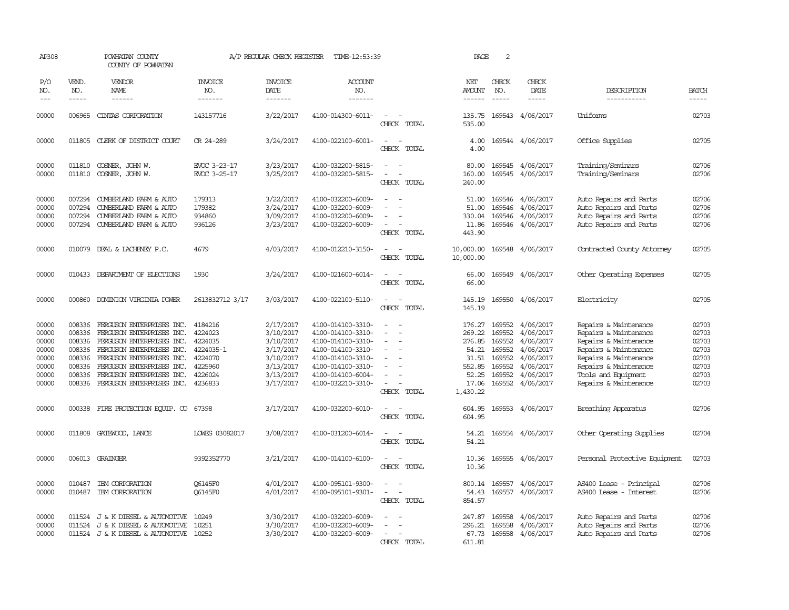| AP308                                                                |                                                | POWHATAN COUNTY<br>COUNTY OF POWHATAN                                                                                                                                                                                                                     |                                                                                        | A/P REGULAR CHECK REGISTER                                                                           | TIME-12:53:39                                                                                                                                                        |                                                                         | PAGE                                                                                 | 2                                                                  |                                                                                                             |                                                                                                                                                                                                    |                                                                      |
|----------------------------------------------------------------------|------------------------------------------------|-----------------------------------------------------------------------------------------------------------------------------------------------------------------------------------------------------------------------------------------------------------|----------------------------------------------------------------------------------------|------------------------------------------------------------------------------------------------------|----------------------------------------------------------------------------------------------------------------------------------------------------------------------|-------------------------------------------------------------------------|--------------------------------------------------------------------------------------|--------------------------------------------------------------------|-------------------------------------------------------------------------------------------------------------|----------------------------------------------------------------------------------------------------------------------------------------------------------------------------------------------------|----------------------------------------------------------------------|
| P/O<br>NO.<br>$---$                                                  | VEND.<br>NO.<br>$- - - - -$                    | VENDOR<br>NAME<br>$- - - - - -$                                                                                                                                                                                                                           | <b>INVOICE</b><br>NO.<br>--------                                                      | <b>INVOICE</b><br>DATE<br>$- - - - - - -$                                                            | <b>ACCOUNT</b><br>NO.<br>-------                                                                                                                                     |                                                                         | NET<br><b>AMOUNT</b><br>$- - - - - -$                                                | CHECK<br>NO.<br>$- - - - -$                                        | CHECK<br>DATE<br>$- - - - -$                                                                                | DESCRIPTION<br>-----------                                                                                                                                                                         | <b>BATCH</b><br>$- - - - -$                                          |
| 00000                                                                | 006965                                         | CINTAS CORPORATION                                                                                                                                                                                                                                        | 143157716                                                                              | 3/22/2017                                                                                            | 4100-014300-6011-                                                                                                                                                    | $\overline{\phantom{a}}$<br>CHECK TOTAL                                 | 135.75<br>535.00                                                                     |                                                                    | 169543 4/06/2017                                                                                            | Uniforms                                                                                                                                                                                           | 02703                                                                |
| 00000                                                                |                                                | 011805 CLERK OF DISTRICT COURT                                                                                                                                                                                                                            | CR 24-289                                                                              | 3/24/2017                                                                                            | 4100-022100-6001-                                                                                                                                                    | $\sim$<br>$\sim$<br>CHECK TOTAL                                         | 4.00<br>4.00                                                                         |                                                                    | 169544 4/06/2017                                                                                            | Office Supplies                                                                                                                                                                                    | 02705                                                                |
| 00000<br>00000                                                       |                                                | 011810 COSNER, JOHN W.<br>011810 COSNER, JOHN W.                                                                                                                                                                                                          | EVCC 3-23-17<br>EVCC 3-25-17                                                           | 3/23/2017<br>3/25/2017                                                                               | 4100-032200-5815-<br>4100-032200-5815-                                                                                                                               | $\sim$<br>$\overline{a}$<br>CHECK TOTAL                                 | 80.00<br>160.00<br>240.00                                                            |                                                                    | 169545 4/06/2017<br>169545 4/06/2017                                                                        | Training/Seminars<br>Training/Seminars                                                                                                                                                             | 02706<br>02706                                                       |
| 00000<br>00000<br>00000<br>00000                                     | 007294<br>007294<br>007294<br>007294           | CUMBERLAND FARM & AUTO<br>CUMBERLAND FARM & AUTO<br>CUMBERLAND FARM & AUTO<br>CUMBERLAND FARM & AUTO                                                                                                                                                      | 179313<br>179382<br>934860<br>936126                                                   | 3/22/2017<br>3/24/2017<br>3/09/2017<br>3/23/2017                                                     | 4100-032200-6009-<br>4100-032200-6009-<br>4100-032200-6009-<br>4100-032200-6009-                                                                                     | $\sim$<br>$\overline{\phantom{a}}$<br>CHECK TOTAL                       | 51.00<br>51.00<br>330.04<br>11.86<br>443.90                                          | 169546<br>169546                                                   | 4/06/2017<br>4/06/2017<br>169546 4/06/2017<br>169546 4/06/2017                                              | Auto Repairs and Parts<br>Auto Repairs and Parts<br>Auto Repairs and Parts<br>Auto Repairs and Parts                                                                                               | 02706<br>02706<br>02706<br>02706                                     |
| 00000                                                                |                                                | 010079 DEAL & LACHENEY P.C.                                                                                                                                                                                                                               | 4679                                                                                   | 4/03/2017                                                                                            | 4100-012210-3150-                                                                                                                                                    | CHECK TOTAL                                                             | 10,000.00<br>10,000.00                                                               |                                                                    | 169548 4/06/2017                                                                                            | Contracted County Attomey                                                                                                                                                                          | 02705                                                                |
| 00000                                                                |                                                | 010433 DEPARTMENT OF ELECTIONS                                                                                                                                                                                                                            | 1930                                                                                   | 3/24/2017                                                                                            | 4100-021600-6014-                                                                                                                                                    | CHECK TOTAL                                                             | 66.00<br>66.00                                                                       |                                                                    | 169549 4/06/2017                                                                                            | Other Operating Expenses                                                                                                                                                                           | 02705                                                                |
| 00000                                                                |                                                | 000860 DOMINION VIRGINIA POWER                                                                                                                                                                                                                            | 2613832712 3/17                                                                        | 3/03/2017                                                                                            | 4100-022100-5110-                                                                                                                                                    | $\sim$<br>$\sim$<br>CHECK TOTAL                                         | 145.19<br>145.19                                                                     |                                                                    | 169550 4/06/2017                                                                                            | Electricity                                                                                                                                                                                        | 02705                                                                |
| 00000<br>00000<br>00000<br>00000<br>00000<br>00000<br>00000<br>00000 | 008336<br>008336<br>008336<br>008336<br>008336 | FERGUSON ENTERPRISES INC.<br>FERGUSON ENTERPRISES INC.<br>FERGUSON ENTERPRISES INC.<br>FERGUSON ENTERPRISES INC.<br>008336 FERGUSON ENTERPRISES INC.<br>FERGUSON ENTERPRISES INC.<br>008336 FERGUSON ENTERPRISES INC.<br>008336 FERGUSON ENTERPRISES INC. | 4184216<br>4224023<br>4224035<br>4224035-1<br>4224070<br>4225960<br>4226024<br>4236833 | 2/17/2017<br>3/10/2017<br>3/10/2017<br>3/17/2017<br>3/10/2017<br>3/13/2017<br>3/13/2017<br>3/17/2017 | 4100-014100-3310-<br>4100-014100-3310-<br>4100-014100-3310-<br>4100-014100-3310-<br>4100-014100-3310-<br>4100-014100-3310-<br>4100-014100-6004-<br>4100-032210-3310- | $\sim$<br>$\equiv$<br>$\sim$<br>$\overline{a}$<br>$\sim$<br>CHECK TOTAL | 176.27<br>269.22<br>276.85<br>54.21<br>31.51<br>552.85<br>52.25<br>17.06<br>1,430.22 | 169552<br>169552<br>169552<br>169552<br>169552<br>169552<br>169552 | 4/06/2017<br>4/06/2017<br>4/06/2017<br>4/06/2017<br>4/06/2017<br>4/06/2017<br>4/06/2017<br>169552 4/06/2017 | Repairs & Maintenance<br>Repairs & Maintenance<br>Repairs & Maintenance<br>Repairs & Maintenance<br>Repairs & Maintenance<br>Repairs & Maintenance<br>Tools and Equipment<br>Repairs & Maintenance | 02703<br>02703<br>02703<br>02703<br>02703<br>02703<br>02703<br>02703 |
| 00000                                                                |                                                | 000338 FIRE PROTECTION EQUIP. CO                                                                                                                                                                                                                          | 67398                                                                                  | 3/17/2017                                                                                            | 4100-032200-6010-                                                                                                                                                    | $\overline{\phantom{a}}$<br>CHECK TOTAL                                 | 604.95<br>604.95                                                                     |                                                                    | 169553 4/06/2017                                                                                            | Breathing Apparatus                                                                                                                                                                                | 02706                                                                |
| 00000                                                                | 011808                                         | GATEWOOD, LANCE                                                                                                                                                                                                                                           | LOWES 03082017                                                                         | 3/08/2017                                                                                            | 4100-031200-6014-                                                                                                                                                    | CHECK TOTAL                                                             | 54.21<br>54.21                                                                       |                                                                    | 169554 4/06/2017                                                                                            | Other Operating Supplies                                                                                                                                                                           | 02704                                                                |
| 00000                                                                |                                                | 006013 GRAINGER                                                                                                                                                                                                                                           | 9392352770                                                                             | 3/21/2017                                                                                            | 4100-014100-6100-                                                                                                                                                    | $\sim$<br>$\overline{\phantom{a}}$<br>CHECK TOTAL                       | 10.36<br>10.36                                                                       |                                                                    | 169555 4/06/2017                                                                                            | Personal Protective Equipment                                                                                                                                                                      | 02703                                                                |
| 00000<br>00000                                                       | 010487                                         | IBM CORPORATION<br>010487 IBM CORPORATION                                                                                                                                                                                                                 | Q6145F0<br><b>06145F0</b>                                                              | 4/01/2017<br>4/01/2017                                                                               | 4100-095101-9300-<br>4100-095101-9301-                                                                                                                               | $\equiv$<br>$\sim$<br>$\sim$<br>$\overline{\phantom{a}}$<br>CHECK TOTAL | 54.43<br>854.57                                                                      |                                                                    | 800.14 169557 4/06/2017<br>169557 4/06/2017                                                                 | AS400 Lease - Principal<br>AS400 Lease - Interest                                                                                                                                                  | 02706<br>02706                                                       |
| 00000<br>00000<br>00000                                              | 011524                                         | 011524 J & K DIESEL & AUTOMOTIVE<br>J & K DIESEL & AUTOMOTIVE<br>011524 J & K DIESEL & AUTOMOTIVE 10252                                                                                                                                                   | 10249<br>10251                                                                         | 3/30/2017<br>3/30/2017<br>3/30/2017                                                                  | 4100-032200-6009-<br>4100-032200-6009-<br>4100-032200-6009-                                                                                                          | $\overline{\phantom{a}}$<br>$\sim$<br>CHECK TOTAL                       | 247.87<br>296.21<br>67.73<br>611.81                                                  | 169558<br>169558                                                   | 4/06/2017<br>4/06/2017<br>169558 4/06/2017                                                                  | Auto Repairs and Parts<br>Auto Repairs and Parts<br>Auto Repairs and Parts                                                                                                                         | 02706<br>02706<br>02706                                              |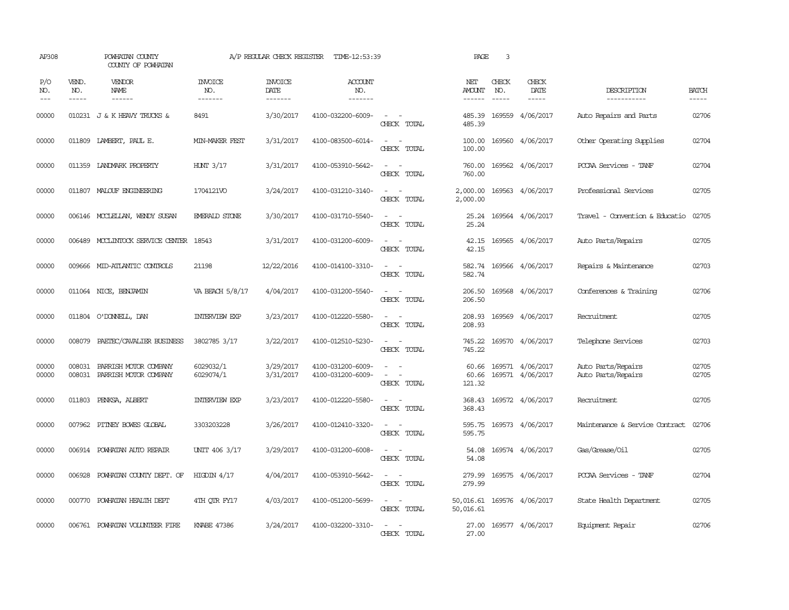| AP308               |                             | POWHATAN COUNTY<br>COUNTY OF POWHATAN          |                                  | A/P REGULAR CHECK REGISTER                | TIME-12:53:39                          |                                                                                                                                          | PAGE                     | 3            |                                      |                                          |                       |
|---------------------|-----------------------------|------------------------------------------------|----------------------------------|-------------------------------------------|----------------------------------------|------------------------------------------------------------------------------------------------------------------------------------------|--------------------------|--------------|--------------------------------------|------------------------------------------|-----------------------|
| P/O<br>NO.<br>$---$ | VEND.<br>NO.<br>$- - - - -$ | <b>VENDOR</b><br>NAME<br>$- - - - - -$         | <b>INVOICE</b><br>NO.<br>------- | <b>INVOICE</b><br><b>DATE</b><br>-------- | <b>ACCOUNT</b><br>NO.<br>-------       |                                                                                                                                          | NET<br>AMOUNT<br>------  | CHECK<br>NO. | CHECK<br>DATE<br>$- - - - -$         | DESCRIPTION<br>------------              | <b>BATCH</b><br>----- |
| 00000               |                             | 010231 J & K HEAVY TRUCKS &                    | 8491                             | 3/30/2017                                 | 4100-032200-6009-                      | $\frac{1}{2} \left( \frac{1}{2} \right) \left( \frac{1}{2} \right) \left( \frac{1}{2} \right) \left( \frac{1}{2} \right)$<br>CHECK TOTAL | 485.39<br>485.39         |              | 169559 4/06/2017                     | Auto Repairs and Parts                   | 02706                 |
| 00000               |                             | 011809 LAMBERT, PAUL E.                        | MIN-MAKER FEST                   | 3/31/2017                                 | 4100-083500-6014-                      | $\sim$ 100 $\mu$<br>$\overline{\phantom{a}}$<br>CHECK TOTAL                                                                              | 100.00<br>100.00         |              | 169560 4/06/2017                     | Other Operating Supplies                 | 02704                 |
| 00000               |                             | 011359 LANDMARK PROPERTY                       | <b>HUNT 3/17</b>                 | 3/31/2017                                 | 4100-053910-5642-                      | CHECK TOTAL                                                                                                                              | 760.00<br>760.00         |              | 169562 4/06/2017                     | PCCAA Services - TANF                    | 02704                 |
| 00000               |                             | 011807 MALOUF ENGINEERING                      | 1704121VO                        | 3/24/2017                                 | 4100-031210-3140-                      | $\sim$ $\sim$<br>CHECK TOTAL                                                                                                             | 2,000.00<br>2,000.00     |              | 169563 4/06/2017                     | Professional Services                    | 02705                 |
| 00000               |                             | 006146 MCCLELLAN, WENDY SUSAN                  | <b>EMERALD STONE</b>             | 3/30/2017                                 | 4100-031710-5540-                      | $ -$<br>CHECK TOTAL                                                                                                                      | 25.24<br>25.24           |              | 169564 4/06/2017                     | Travel - Convention & Educatio           | 02705                 |
| 00000               |                             | 006489 MCCLINTOCK SERVICE CENTER 18543         |                                  | 3/31/2017                                 | 4100-031200-6009-                      | $ -$<br>CHECK TOTAL                                                                                                                      | 42.15<br>42.15           |              | 169565 4/06/2017                     | Auto Parts/Repairs                       | 02705                 |
| 00000               |                             | 009666 MID-ATLANTIC CONTROLS                   | 21198                            | 12/22/2016                                | 4100-014100-3310-                      | $\equiv$<br>CHECK TOTAL                                                                                                                  | 582.74<br>582.74         |              | 169566 4/06/2017                     | Repairs & Maintenance                    | 02703                 |
| 00000               |                             | 011064 NICE, BENJAMIN                          | VA BEACH 5/8/17                  | 4/04/2017                                 | 4100-031200-5540-                      | $\equiv$<br>CHECK TOTAL                                                                                                                  | 206.50<br>206.50         |              | 169568 4/06/2017                     | Conferences & Training                   | 02706                 |
| 00000               |                             | 011804 O'DONNELL, DAN                          | <b>INTERVIEW EXP</b>             | 3/23/2017                                 | 4100-012220-5580-                      | $\frac{1}{2} \left( \frac{1}{2} \right) \left( \frac{1}{2} \right) \left( \frac{1}{2} \right) \left( \frac{1}{2} \right)$<br>CHECK TOTAL | 208.93<br>208.93         |              | 169569 4/06/2017                     | Recruitment                              | 02705                 |
| 00000               | 008079                      | PAETEC/CAVALIER BUSINESS                       | 3802785 3/17                     | 3/22/2017                                 | 4100-012510-5230-                      | $ -$<br>CHECK TOTAL                                                                                                                      | 745.22<br>745.22         |              | 169570 4/06/2017                     | Telephone Services                       | 02703                 |
| 00000<br>00000      | 008031<br>008031            | PARRISH MOTOR COMPANY<br>PARRISH MOTOR COMPANY | 6029032/1<br>6029074/1           | 3/29/2017<br>3/31/2017                    | 4100-031200-6009-<br>4100-031200-6009- | $\sim$<br>CHECK TOTAL                                                                                                                    | 60.66<br>60.66<br>121.32 |              | 169571 4/06/2017<br>169571 4/06/2017 | Auto Parts/Repairs<br>Auto Parts/Repairs | 02705<br>02705        |
| 00000               | 011803                      | PENKSA, ALBERT                                 | <b>INIERVIEW EXP</b>             | 3/23/2017                                 | 4100-012220-5580-                      | $\sim$ $-$<br>$\overline{\phantom{a}}$<br>CHECK TOTAL                                                                                    | 368.43<br>368.43         |              | 169572 4/06/2017                     | Recruitment                              | 02705                 |
| 00000               | 007962                      | PITNEY BOWES GLOBAL                            | 3303203228                       | 3/26/2017                                 | 4100-012410-3320-                      | $\sim$<br>$\sim$<br>CHECK TOTAL                                                                                                          | 595.75<br>595.75         |              | 169573 4/06/2017                     | Maintenance & Service Contract           | 02706                 |
| 00000               |                             | 006914 POWHATAN AUTO REPAIR                    | UNIT 406 3/17                    | 3/29/2017                                 | 4100-031200-6008-                      | $ -$<br>CHECK TOTAL                                                                                                                      | 54.08<br>54.08           |              | 169574 4/06/2017                     | Gas/Grease/Oil                           | 02705                 |
| 00000               | 006928                      | POWHATAN COUNTY DEPT. OF                       | HIGDIN $4/17$                    | 4/04/2017                                 | 4100-053910-5642-                      | $\sim$<br>$\sim$<br>CHECK TOTAL                                                                                                          | 279.99<br>279.99         |              | 169575 4/06/2017                     | PCCAA Services - TANF                    | 02704                 |
| 00000               | 000770                      | POWHATAN HEALTH DEPT                           | 4TH QTR FY17                     | 4/03/2017                                 | 4100-051200-5699-                      | $\overline{\phantom{a}}$<br>CHECK TOTAL                                                                                                  | 50,016.61<br>50,016.61   |              | 169576 4/06/2017                     | State Health Department                  | 02705                 |
| 00000               |                             | 006761 POWHATAN VOLUNTEER FIRE                 | KNABE 47386                      | 3/24/2017                                 | 4100-032200-3310-                      | $\overline{\phantom{a}}$<br>CHECK TOTAL                                                                                                  | 27.00<br>27.00           |              | 169577 4/06/2017                     | Equipment Repair                         | 02706                 |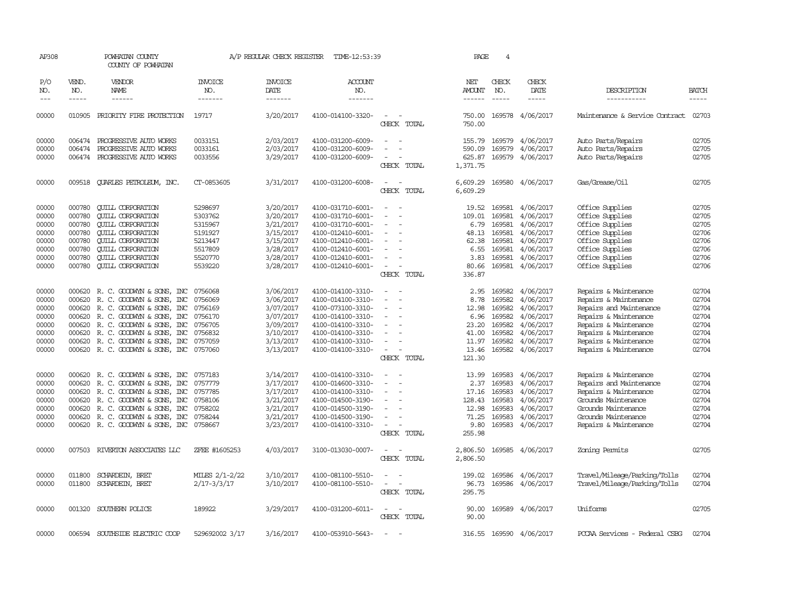| AP308                                                                |                                                                              | POWHATAN COUNTY<br>COUNTY OF POWHATAN                                                                                                                                                                                                                                                  |                                                                                      | A/P REGULAR CHECK REGISTER                                                                           | TIME-12:53:39                                                                                                                                                        |                                                     | PAGE                                                                         | 4                                                                  |                                                                                                                    |                                                                                                                                                                                                        |                                                                      |
|----------------------------------------------------------------------|------------------------------------------------------------------------------|----------------------------------------------------------------------------------------------------------------------------------------------------------------------------------------------------------------------------------------------------------------------------------------|--------------------------------------------------------------------------------------|------------------------------------------------------------------------------------------------------|----------------------------------------------------------------------------------------------------------------------------------------------------------------------|-----------------------------------------------------|------------------------------------------------------------------------------|--------------------------------------------------------------------|--------------------------------------------------------------------------------------------------------------------|--------------------------------------------------------------------------------------------------------------------------------------------------------------------------------------------------------|----------------------------------------------------------------------|
| P/O<br>NO.<br>$---$                                                  | VEND.<br>NO.<br>$- - - - -$                                                  | VENDOR<br>NAME<br>$- - - - - -$                                                                                                                                                                                                                                                        | INVOICE<br>NO.<br>-------                                                            | <b>INVOICE</b><br>DATE<br>--------                                                                   | <b>ACCOUNT</b><br>NO.<br>-------                                                                                                                                     |                                                     | NET<br>AMOUNT<br>------                                                      | CHECK<br>NO.<br>$\frac{1}{2}$                                      | CHECK<br>DATE<br>-----                                                                                             | DESCRIPTION<br>-----------                                                                                                                                                                             | <b>BATCH</b><br>$- - - - -$                                          |
| 00000                                                                | 010905                                                                       | PRIORITY FIRE PROTECTION                                                                                                                                                                                                                                                               | 19717                                                                                | 3/20/2017                                                                                            | 4100-014100-3320-                                                                                                                                                    | $\overline{\phantom{a}}$<br>CHECK TOTAL             | 750.00<br>750.00                                                             |                                                                    | 169578 4/06/2017                                                                                                   | Maintenance & Service Contract                                                                                                                                                                         | 02703                                                                |
| 00000<br>00000<br>00000                                              | 006474<br>006474                                                             | PROGRESSIVE AUTO WORKS<br>PROGRESSIVE AUTO WORKS<br>006474 PROGRESSIVE AUTO WORKS                                                                                                                                                                                                      | 0033151<br>0033161<br>0033556                                                        | 2/03/2017<br>2/03/2017<br>3/29/2017                                                                  | 4100-031200-6009-<br>4100-031200-6009-<br>4100-031200-6009-                                                                                                          | CHECK TOTAL                                         | 155.79<br>590.09<br>625.87<br>1,371.75                                       |                                                                    | 169579 4/06/2017<br>169579 4/06/2017<br>169579 4/06/2017                                                           | Auto Parts/Repairs<br>Auto Parts/Repairs<br>Auto Parts/Repairs                                                                                                                                         | 02705<br>02705<br>02705                                              |
| 00000                                                                |                                                                              | 009518 QUARLES PETROLEUM, INC.                                                                                                                                                                                                                                                         | CT-0853605                                                                           | 3/31/2017                                                                                            | 4100-031200-6008-                                                                                                                                                    | CHECK TOTAL                                         | 6,609.29<br>6,609.29                                                         |                                                                    | 169580 4/06/2017                                                                                                   | Gas/Grease/Oil                                                                                                                                                                                         | 02705                                                                |
| 00000<br>00000<br>00000<br>00000<br>00000<br>00000<br>00000<br>00000 | 000780<br>000780<br>000780<br>000780<br>000780<br>000780<br>000780<br>000780 | <b>QUILL CORPORATION</b><br><b>QUILL CORPORATION</b><br><b>CUILL CORPORATION</b><br><b>QUILL CORPORATION</b><br><b>QUILL CORPORATION</b><br><b>QUILL CORPORATION</b><br><b>CUILL CORPORATION</b><br><b>CUILL CORPORATION</b>                                                           | 5298697<br>5303762<br>5315967<br>5191927<br>5213447<br>5517809<br>5520770<br>5539220 | 3/20/2017<br>3/20/2017<br>3/21/2017<br>3/15/2017<br>3/15/2017<br>3/28/2017<br>3/28/2017<br>3/28/2017 | 4100-031710-6001-<br>4100-031710-6001-<br>4100-031710-6001-<br>4100-012410-6001-<br>4100-012410-6001-<br>4100-012410-6001-<br>4100-012410-6001-<br>4100-012410-6001- | $\equiv$<br>$\overline{\phantom{a}}$<br>CHECK TOTAL | 19.52<br>109.01<br>6.79<br>48.13<br>62.38<br>6.55<br>3.83<br>80.66<br>336.87 | 169581<br>169581<br>169581<br>169581<br>169581<br>169581           | 169581 4/06/2017<br>4/06/2017<br>4/06/2017<br>4/06/2017<br>4/06/2017<br>4/06/2017<br>4/06/2017<br>169581 4/06/2017 | Office Supplies<br>Office Supplies<br>Office Supplies<br>Office Supplies<br>Office Supplies<br>Office Supplies<br>Office Supplies<br>Office Supplies                                                   | 02705<br>02705<br>02705<br>02706<br>02706<br>02706<br>02706<br>02706 |
| 00000<br>00000<br>00000<br>00000<br>00000<br>00000<br>00000<br>00000 | 000620<br>000620<br>000620                                                   | R. C. GOODWYN & SONS, INC<br>000620 R.C. GOODWYN & SONS, INC<br>R. C. GOODWYN & SONS, INC<br>000620 R. C. GOODWYN & SONS, INC<br>R. C. GOODWYN & SONS, INC<br>000620 R. C. GOODWYN & SONS, INC<br>000620 R. C. GOODWYN & SONS, INC 0757059<br>000620 R. C. GOODWYN & SONS, INC 0757060 | 0756068<br>0756069<br>0756169<br>0756170<br>0756705<br>0756832                       | 3/06/2017<br>3/06/2017<br>3/07/2017<br>3/07/2017<br>3/09/2017<br>3/10/2017<br>3/13/2017<br>3/13/2017 | 4100-014100-3310-<br>4100-014100-3310-<br>4100-073100-3310-<br>4100-014100-3310-<br>4100-014100-3310-<br>4100-014100-3310-<br>4100-014100-3310-<br>4100-014100-3310- | $\overline{\phantom{a}}$<br>CHECK TOTAL             | 2.95<br>8.78<br>12.98<br>6.96<br>23.20<br>41.00<br>11.97<br>13.46<br>121.30  | 169582<br>169582<br>169582<br>169582<br>169582<br>169582<br>169582 | 4/06/2017<br>4/06/2017<br>4/06/2017<br>4/06/2017<br>4/06/2017<br>4/06/2017<br>4/06/2017<br>169582 4/06/2017        | Repairs & Maintenance<br>Repairs & Maintenance<br>Repairs and Maintenance<br>Repairs & Maintenance<br>Repairs & Maintenance<br>Repairs & Maintenance<br>Repairs & Maintenance<br>Repairs & Maintenance | 02704<br>02704<br>02704<br>02704<br>02704<br>02704<br>02704<br>02704 |
| 00000<br>00000<br>00000<br>00000<br>00000<br>00000<br>00000          | 000620                                                                       | 000620 R. C. GOODWYN & SONS, INC 0757183<br>R. C. GOODWYN & SONS, INC<br>000620 R. C. GOODWYN & SONS, INC 0757785<br>000620 R.C. GOODWYN & SONS, INC<br>000620 R. C. GOODWYN & SONS, INC 0758202<br>000620 R. C. GOODWYN & SONS, INC<br>000620 R.C. GOODWYN & SONS, INC 0758667        | 0757779<br>0758106<br>0758244                                                        | 3/14/2017<br>3/17/2017<br>3/17/2017<br>3/21/2017<br>3/21/2017<br>3/21/2017<br>3/23/2017              | 4100-014100-3310-<br>4100-014600-3310-<br>4100-014100-3310-<br>4100-014500-3190-<br>4100-014500-3190-<br>4100-014500-3190-<br>4100-014100-3310-                      | $\sim$<br>CHECK TOTAL                               | 13.99<br>2.37<br>17.16<br>128.43<br>12.98<br>71.25<br>9.80<br>255.98         | 169583<br>169583<br>169583<br>169583<br>169583<br>169583<br>169583 | 4/06/2017<br>4/06/2017<br>4/06/2017<br>4/06/2017<br>4/06/2017<br>4/06/2017<br>4/06/2017                            | Repairs & Maintenance<br>Repairs and Maintenance<br>Repairs & Maintenance<br>Grounds Maintenance<br>Grounds Maintenance<br>Grounds Maintenance<br>Repairs & Maintenance                                | 02704<br>02704<br>02704<br>02704<br>02704<br>02704<br>02704          |
| 00000                                                                | 007503                                                                       | RIVERION ASSOCIATES LLC                                                                                                                                                                                                                                                                | ZFEE #1605253                                                                        | 4/03/2017                                                                                            | 3100-013030-0007-                                                                                                                                                    | $\equiv$<br>CHECK TOTAL                             | 2,806.50<br>2,806.50                                                         |                                                                    | 169585 4/06/2017                                                                                                   | Zoning Permits                                                                                                                                                                                         | 02705                                                                |
| 00000<br>00000                                                       | 011800<br>011800                                                             | SCHARDEIN, BRET<br>SCHARDEIN, BRET                                                                                                                                                                                                                                                     | MILES 2/1-2/22<br>$2/17 - 3/3/17$                                                    | 3/10/2017<br>3/10/2017                                                                               | 4100-081100-5510-<br>4100-081100-5510-                                                                                                                               | $\equiv$<br>CHECK TOTAL                             | 199.02<br>96.73<br>295.75                                                    | 169586<br>169586                                                   | 4/06/2017<br>4/06/2017                                                                                             | Travel/Mileage/Parking/Tolls<br>Travel/Mileage/Parking/Tolls                                                                                                                                           | 02704<br>02704                                                       |
| 00000                                                                |                                                                              | 001320 SOUTHERN POLICE                                                                                                                                                                                                                                                                 | 189922                                                                               | 3/29/2017                                                                                            | 4100-031200-6011-                                                                                                                                                    | $\overline{\phantom{a}}$<br>CHECK TOTAL             | 90.00<br>90.00                                                               |                                                                    | 169589 4/06/2017                                                                                                   | Uniforms                                                                                                                                                                                               | 02705                                                                |
| 00000                                                                |                                                                              | 006594 SOUTHSIDE ELECTRIC COOP                                                                                                                                                                                                                                                         | 529692002 3/17                                                                       | 3/16/2017                                                                                            | 4100-053910-5643-                                                                                                                                                    | $\equiv$                                            | 316.55                                                                       |                                                                    | 169590 4/06/2017                                                                                                   | PCCAA Services - Federal CSBG                                                                                                                                                                          | 02704                                                                |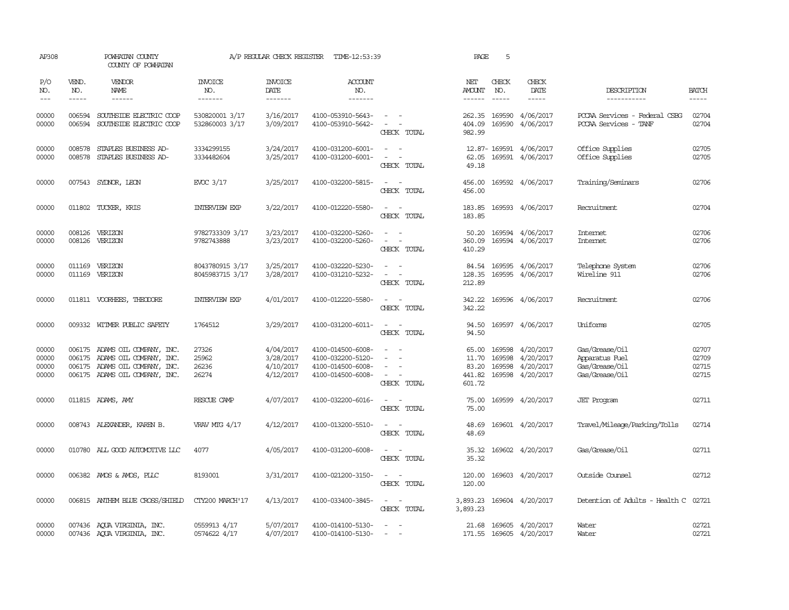| AP308                            |                          | POWHATAN COUNTY<br>COUNTY OF POWHATAN                                                                                                |                                    | A/P REGULAR CHECK REGISTER                       | TIME-12:53:39                                                                    |                                                                                                                             | PAGE                                        | 5                             |                                                         |                                                                      |                                  |
|----------------------------------|--------------------------|--------------------------------------------------------------------------------------------------------------------------------------|------------------------------------|--------------------------------------------------|----------------------------------------------------------------------------------|-----------------------------------------------------------------------------------------------------------------------------|---------------------------------------------|-------------------------------|---------------------------------------------------------|----------------------------------------------------------------------|----------------------------------|
| P/O<br>NO.<br>$---$              | VEND.<br>NO.<br>$\cdots$ | VENDOR<br>NAME                                                                                                                       | <b>INVOICE</b><br>NO.<br>-------   | <b>INVOICE</b><br>DATE<br>-------                | <b>ACCOUNT</b><br>NO.<br>-------                                                 |                                                                                                                             | NET<br>AMOUNT<br>------                     | CHECK<br>NO.<br>$\frac{1}{2}$ | CHECK<br>DATE<br>$- - - - -$                            | DESCRIPTION<br>-----------                                           | <b>BATCH</b><br>$- - - - -$      |
| 00000<br>00000                   | 006594<br>006594         | SOUTHSIDE ELECTRIC COOP<br>SOUTHSIDE ELECTRIC COOP                                                                                   | 530820001 3/17<br>532860003 3/17   | 3/16/2017<br>3/09/2017                           | 4100-053910-5643-<br>4100-053910-5642-                                           | $\sim$ $ -$<br>$\sim$<br>CHECK TOTAL                                                                                        | 262.35<br>404.09<br>982.99                  | 169590                        | 169590 4/06/2017<br>4/06/2017                           | PCCAA Services - Federal CSBG<br>PCCAA Services - TANF               | 02704<br>02704                   |
| 00000<br>00000                   | 008578<br>008578         | STAPLES BUSINESS AD-<br>STAPLES BUSINESS AD-                                                                                         | 3334299155<br>3334482604           | 3/24/2017<br>3/25/2017                           | 4100-031200-6001-<br>4100-031200-6001-                                           | $\overline{\phantom{a}}$<br>$\equiv$<br>CHECK TOTAL                                                                         | 62.05<br>49.18                              |                               | 12.87-169591 4/06/2017<br>169591 4/06/2017              | Office Supplies<br>Office Supplies                                   | 02705<br>02705                   |
| 00000                            |                          | 007543 SYDNOR, LEON                                                                                                                  | EVCC 3/17                          | 3/25/2017                                        | 4100-032200-5815-                                                                | $\sim$<br>CHECK TOTAL                                                                                                       | 456.00<br>456.00                            |                               | 169592 4/06/2017                                        | Training/Seminars                                                    | 02706                            |
| 00000                            |                          | 011802 TUCKER, KRIS                                                                                                                  | <b>INTERVIEW EXP</b>               | 3/22/2017                                        | 4100-012220-5580-                                                                | $\equiv$<br>CHECK TOTAL                                                                                                     | 183.85<br>183.85                            |                               | 169593 4/06/2017                                        | Recruitment                                                          | 02704                            |
| 00000<br>00000                   |                          | 008126 VERIZON<br>008126 VERIZON                                                                                                     | 9782733309 3/17<br>9782743888      | 3/23/2017<br>3/23/2017                           | 4100-032200-5260-<br>4100-032200-5260-                                           | $\sim$<br>$\sim$<br>$\overline{\phantom{a}}$<br>CHECK TOTAL                                                                 | 50.20<br>360.09<br>410.29                   |                               | 169594 4/06/2017<br>169594 4/06/2017                    | Internet<br><b>Internet</b>                                          | 02706<br>02706                   |
| 00000<br>00000                   |                          | 011169 VERIZON<br>011169 VERIZON                                                                                                     | 8043780915 3/17<br>8045983715 3/17 | 3/25/2017<br>3/28/2017                           | 4100-032220-5230-<br>4100-031210-5232-                                           | $\equiv$<br>CHECK TOTAL                                                                                                     | 128.35<br>212.89                            |                               | 84.54 169595 4/06/2017<br>169595 4/06/2017              | Telephone System<br>Wireline 911                                     | 02706<br>02706                   |
| 00000                            |                          | 011811 VOORHEES, THEODORE                                                                                                            | <b>INIERVIEW EXP</b>               | 4/01/2017                                        | 4100-012220-5580-                                                                | $\sim$<br>CHECK TOTAL                                                                                                       | 342.22<br>342.22                            |                               | 169596 4/06/2017                                        | Recruitment                                                          | 02706                            |
| 00000                            |                          | 009332 WITMER PUBLIC SAFETY                                                                                                          | 1764512                            | 3/29/2017                                        | 4100-031200-6011-                                                                | $\sim$<br>CHECK TOTAL                                                                                                       | 94.50<br>94.50                              |                               | 169597 4/06/2017                                        | Uniforms                                                             | 02705                            |
| 00000<br>00000<br>00000<br>00000 |                          | 006175 ADAMS OIL COMPANY, INC.<br>006175 ADAMS OIL COMPANY, INC.<br>006175 ADAMS OIL COMPANY, INC.<br>006175 ADAMS OIL COMPANY, INC. | 27326<br>25962<br>26236<br>26274   | 4/04/2017<br>3/28/2017<br>4/10/2017<br>4/12/2017 | 4100-014500-6008-<br>4100-032200-5120-<br>4100-014500-6008-<br>4100-014500-6008- | $\sim$<br>$\sim$<br>CHECK TOTAL                                                                                             | 65.00<br>11.70<br>83.20<br>441.82<br>601.72 | 169598<br>169598<br>169598    | 169598 4/20/2017<br>4/20/2017<br>4/20/2017<br>4/20/2017 | Gas/Grease/Oil<br>Apparatus Fuel<br>Gas/Grease/Oil<br>Gas/Grease/Oil | 02707<br>02709<br>02715<br>02715 |
| 00000                            |                          | 011815 ADAMS, AMY                                                                                                                    | RESCUE CAMP                        | 4/07/2017                                        | 4100-032200-6016-                                                                | $\equiv$<br>CHECK TOTAL                                                                                                     | 75.00<br>75.00                              |                               | 169599 4/20/2017                                        | <b>JET</b> Program                                                   | 02711                            |
| 00000                            |                          | 008743 ALEXANDER, KAREN B.                                                                                                           | VRAV MIG 4/17                      | 4/12/2017                                        | 4100-013200-5510-                                                                | $\sim$<br>$\sim$<br>CHECK TOTAL                                                                                             | 48.69<br>48.69                              |                               | 169601 4/20/2017                                        | Travel/Mileage/Parking/Tolls                                         | 02714                            |
| 00000                            |                          | 010780 ALL GOOD AUTOMOTTVE LLC                                                                                                       | 4077                               | 4/05/2017                                        | 4100-031200-6008-                                                                | CHECK TOTAL                                                                                                                 | 35.32<br>35.32                              |                               | 169602 4/20/2017                                        | Gas/Grease/Oil                                                       | 02711                            |
| 00000                            |                          | 006382 AMOS & AMOS, PLLC                                                                                                             | 8193001                            | 3/31/2017                                        | 4100-021200-3150-                                                                | $\frac{1}{2} \left( \frac{1}{2} \right) \left( \frac{1}{2} \right) = \frac{1}{2} \left( \frac{1}{2} \right)$<br>CHECK TOTAL | 120.00<br>120.00                            |                               | 169603 4/20/2017                                        | Outside Counsel                                                      | 02712                            |
| 00000                            |                          | 006815 ANTHEM BLUE CROSS/SHIELD                                                                                                      | CTY200 MARCH'17                    | 4/13/2017                                        | 4100-033400-3845-                                                                | $\frac{1}{2} \left( \frac{1}{2} \right) \left( \frac{1}{2} \right) = \frac{1}{2} \left( \frac{1}{2} \right)$<br>CHECK TOTAL | 3,893.23<br>3,893.23                        |                               | 169604 4/20/2017                                        | Detention of Adults - Health C 02721                                 |                                  |
| 00000<br>00000                   |                          | 007436 AQUA VIRGINIA, INC.<br>007436 AQUA VIRGINIA, INC.                                                                             | 0559913 4/17<br>0574622 4/17       | 5/07/2017<br>4/07/2017                           | 4100-014100-5130-<br>4100-014100-5130-                                           | $\sim$ 100 $\mu$<br>$\sim$                                                                                                  |                                             |                               | 21.68 169605 4/20/2017<br>171.55 169605 4/20/2017       | Water<br>Water                                                       | 02721<br>02721                   |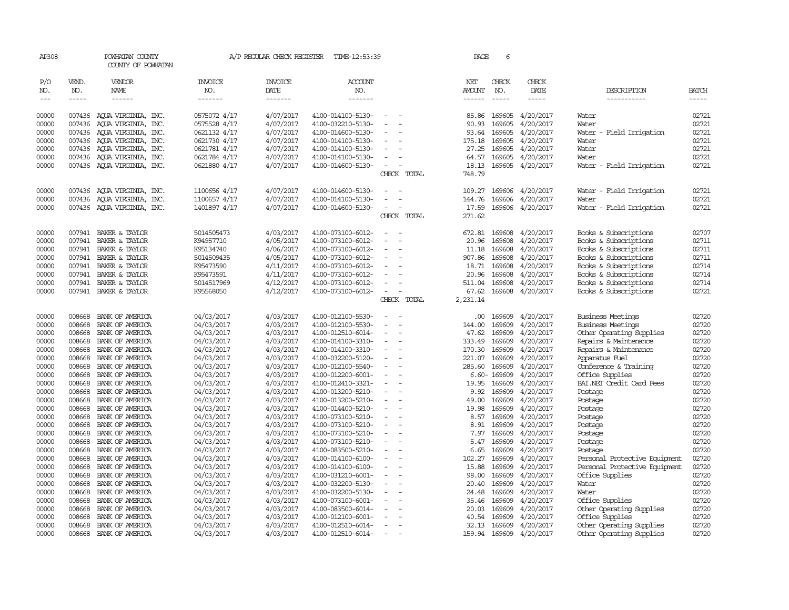| AP308                   |                            | POWHATAN COUNTY<br>COUNTY OF POWHATAN                             |                                              | A/P REGULAR CHECK REGISTER          | TIME-12:53:39                                               |                                    | PAGE                                | 6                          |                                     |                                                               |                         |
|-------------------------|----------------------------|-------------------------------------------------------------------|----------------------------------------------|-------------------------------------|-------------------------------------------------------------|------------------------------------|-------------------------------------|----------------------------|-------------------------------------|---------------------------------------------------------------|-------------------------|
| P/O<br>NO.              | VEND.<br>NO.               | VENDOR<br><b>NAME</b>                                             | <b>INVOICE</b><br>NO.                        | <b>INVOICE</b><br>DATE              | <b>ACCOUNT</b><br>NO.                                       |                                    | <b>NET</b><br><b>AMOUNT</b>         | CHECK<br>NO.               | CHECK<br>DATE                       | DESCRIPTION                                                   | <b>BATCH</b>            |
| $---$                   | $- - - - -$                | ------                                                            | -------                                      | -------                             | --------                                                    |                                    | $- - - - - -$                       |                            | -----                               | -----------                                                   | -----                   |
| 00000<br>00000<br>00000 | 007436<br>007436<br>007436 | AQUA VIRGINIA, INC.<br>AOUA VIRGINIA, INC.<br>AQUA VIRGINIA, INC. | 0575072 4/17<br>0575528 4/17<br>0621132 4/17 | 4/07/2017<br>4/07/2017<br>4/07/2017 | 4100-014100-5130-<br>4100-032210-5130-<br>4100-014600-5130- |                                    | 85.86<br>90.93<br>93.64             | 169605<br>169605<br>169605 | 4/20/2017<br>4/20/2017<br>4/20/2017 | Water<br>Water<br>Water - Field Irrigation                    | 02721<br>02721<br>02721 |
| 00000<br>00000          | 007436<br>007436           | AOUA VIRGINIA,<br>INC.<br>AQUA VIRGINIA,<br>INC.                  | 0621730 4/17<br>0621781 4/17                 | 4/07/2017<br>4/07/2017              | 4100-014100-5130-<br>4100-014100-5130-                      |                                    | 175.18<br>27.25                     | 169605<br>169605           | 4/20/2017<br>4/20/2017              | Water<br>Water                                                | 02721<br>02721          |
| 00000                   | 007436                     | AOUA VIRGINIA, INC.                                               | 0621784 4/17                                 | 4/07/2017                           | 4100-014100-5130-                                           |                                    | 64.57                               | 169605                     | 4/20/2017                           | Water                                                         | 02721                   |
| 00000                   |                            | 007436 AQUA VIRGINIA, INC.                                        | 0621880 4/17                                 | 4/07/2017                           | 4100-014600-5130-                                           |                                    | 18.13                               |                            | 169605 4/20/2017                    | Water - Field Irrigation                                      | 02721                   |
|                         |                            |                                                                   |                                              |                                     |                                                             | CHECK<br>TOTAL                     | 748.79                              |                            |                                     |                                                               |                         |
| 00000<br>00000<br>00000 | 007436<br>007436<br>007436 | AOUA VIRGINIA, INC.<br>AQUA VIRGINIA, INC.<br>AOUA VIRGINIA, INC. | 1100656 4/17<br>1100657 4/17<br>1401897 4/17 | 4/07/2017<br>4/07/2017<br>4/07/2017 | 4100-014600-5130-<br>4100-014100-5130-<br>4100-014600-5130- | CHECK TOTAL                        | 109.27<br>144.76<br>17.59<br>271.62 | 169606<br>169606<br>169606 | 4/20/2017<br>4/20/2017<br>4/20/2017 | Water - Field Irrigation<br>Water<br>Water - Field Irrigation | 02721<br>02721<br>02721 |
|                         |                            |                                                                   |                                              |                                     |                                                             |                                    |                                     |                            |                                     |                                                               |                         |
| 00000<br>00000          | 007941                     | 007941 BAKER & TAYLOR<br>BAKER & TAYLOR                           | 5014505473<br>K94957710                      | 4/03/2017<br>4/05/2017              | 4100-073100-6012-<br>4100-073100-6012-                      |                                    | 20.96                               | 672.81 169608<br>169608    | 4/20/2017<br>4/20/2017              | Books & Subscriptions<br>Books & Subscriptions                | 02707<br>02711          |
| 00000<br>00000          | 007941<br>007941           | BAKER & TAYLOR<br>BAKER & TAYLOR                                  | K95134740<br>5014509435                      | 4/06/2017<br>4/05/2017              | 4100-073100-6012-<br>4100-073100-6012-                      | $\overline{\phantom{a}}$           | 11.18<br>907.86                     | 169608<br>169608           | 4/20/2017<br>4/20/2017              | Books & Subscriptions<br>Books & Subscriptions                | 02711<br>02711          |
| 00000                   | 007941                     | BAKER & TAYLOR                                                    | K95473590                                    | 4/11/2017                           | 4100-073100-6012-                                           |                                    | 18.71                               | 169608                     | 4/20/2017                           | Books & Subscriptions                                         | 02714                   |
| 00000                   | 007941                     | BAKER & TAYLOR                                                    | K95473591                                    | 4/11/2017                           | 4100-073100-6012-                                           |                                    | 20.96                               | 169608                     | 4/20/2017                           | Books & Subscriptions                                         | 02714                   |
| 00000                   | 007941                     | BAKER & TAYLOR                                                    | 5014517969                                   | 4/12/2017                           | 4100-073100-6012-                                           |                                    | 511.04                              | 169608                     | 4/20/2017                           | Books & Subscriptions                                         | 02714                   |
| 00000                   | 007941                     | BAKER & TAYLOR                                                    | K95568050                                    | 4/12/2017                           | 4100-073100-6012-                                           |                                    | 67.62                               | 169608                     | 4/20/2017                           | Books & Subscriptions                                         | 02721                   |
|                         |                            |                                                                   |                                              |                                     |                                                             | CHECK TOTAL                        | 2,231.14                            |                            |                                     |                                                               |                         |
| 00000                   | 008668                     | BANK OF AMERICA                                                   | 04/03/2017                                   | 4/03/2017                           | 4100-012100-5530-                                           |                                    | .00.                                | 169609                     | 4/20/2017                           | <b>Business Meetings</b>                                      | 02720                   |
| 00000                   | 008668                     | BANK OF AMERICA                                                   | 04/03/2017                                   | 4/03/2017                           | 4100-012100-5530-                                           |                                    | 144.00                              | 169609                     | 4/20/2017                           | <b>Business Meetings</b>                                      | 02720                   |
| 00000                   | 008668                     | BANK OF AMERICA                                                   | 04/03/2017                                   | 4/03/2017                           | 4100-012510-6014-                                           |                                    | 47.62                               | 169609                     | 4/20/2017                           | Other Operating Supplies                                      | 02720                   |
| 00000                   | 008668                     | BANK OF AMERICA                                                   | 04/03/2017                                   | 4/03/2017                           | 4100-014100-3310-                                           |                                    | 333.49                              | 169609                     | 4/20/2017                           | Repairs & Maintenance                                         | 02720                   |
| 00000                   | 008668                     | BANK OF AMERICA                                                   | 04/03/2017                                   | 4/03/2017                           | 4100-014100-3310-                                           |                                    | 170.30                              | 169609                     | 4/20/2017                           | Repairs & Maintenance                                         | 02720                   |
| 00000                   | 008668                     | BANK OF AMERICA                                                   | 04/03/2017                                   | 4/03/2017                           | 4100-032200-5120-                                           |                                    | 221.07                              | 169609                     | 4/20/2017                           | Apparatus Fuel                                                | 02720                   |
| 00000                   | 008668                     | BANK OF AMERICA                                                   | 04/03/2017                                   | 4/03/2017                           | 4100-012100-5540-                                           | $\sim$                             | 285.60                              | 169609                     | 4/20/2017                           | Conference & Training                                         | 02720                   |
| 00000<br>00000          | 008668<br>008668           | BANK OF AMERICA<br>BANK OF AMERICA                                | 04/03/2017                                   | 4/03/2017                           | 4100-012200-6001-<br>4100-012410-3321-                      |                                    | 19.95                               | 6.60-169609<br>169609      | 4/20/2017                           | Office Supplies<br>BAI.NET Credit Card Fees                   | 02720<br>02720          |
| 00000                   | 008668                     | BANK OF AMERICA                                                   | 04/03/2017<br>04/03/2017                     | 4/03/2017<br>4/03/2017              | 4100-013200-5210-                                           |                                    | 9.92                                | 169609                     | 4/20/2017<br>4/20/2017              | Postage                                                       | 02720                   |
| 00000                   | 008668                     | BANK OF AMERICA                                                   | 04/03/2017                                   | 4/03/2017                           | 4100-013200-5210-                                           |                                    | 49.00                               | 169609                     | 4/20/2017                           | Postage                                                       | 02720                   |
| 00000                   | 008668                     | BANK OF AMERICA                                                   | 04/03/2017                                   | 4/03/2017                           | 4100-014400-5210-                                           | $\sim$                             | 19.98                               | 169609                     | 4/20/2017                           | Postage                                                       | 02720                   |
| 00000                   | 008668                     | BANK OF AMERICA                                                   | 04/03/2017                                   | 4/03/2017                           | 4100-073100-5210-                                           |                                    | 8.57                                | 169609                     | 4/20/2017                           | Postage                                                       | 02720                   |
| 00000                   | 008668                     | BANK OF AMERICA                                                   | 04/03/2017                                   | 4/03/2017                           | 4100-073100-5210-                                           |                                    | 8.91                                | 169609                     | 4/20/2017                           | Postage                                                       | 02720                   |
| 00000                   | 008668                     | BANK OF AMERICA                                                   | 04/03/2017                                   | 4/03/2017                           | 4100-073100-5210-                                           |                                    | 7.97                                | 169609                     | 4/20/2017                           | Postage                                                       | 02720                   |
| 00000                   | 008668                     | BANK OF AMERICA                                                   | 04/03/2017                                   | 4/03/2017                           | 4100-073100-5210-                                           |                                    | 5.47                                | 169609                     | 4/20/2017                           | Postage                                                       | 02720                   |
| 00000                   | 008668                     | BANK OF AMERICA                                                   | 04/03/2017                                   | 4/03/2017                           | 4100-083500-5210-                                           | $\overline{\phantom{a}}$           | 6.65                                | 169609                     | 4/20/2017                           | Postage                                                       | 02720                   |
| 00000                   | 008668                     | BANK OF AMERICA                                                   | 04/03/2017                                   | 4/03/2017                           | 4100-014100-6100-                                           |                                    | 102.27                              | 169609                     | 4/20/2017                           | Personal Protective Equipment                                 | 02720                   |
| 00000                   | 008668                     | BANK OF AMERICA                                                   | 04/03/2017                                   | 4/03/2017                           | 4100-014100-6100-                                           |                                    | 15.88                               | 169609                     | 4/20/2017                           | Personal Protective Equipment                                 | 02720                   |
| 00000                   | 008668                     | BANK OF AMERICA                                                   | 04/03/2017                                   | 4/03/2017                           | 4100-031210-6001-                                           |                                    | 98.00                               | 169609                     | 4/20/2017                           | Office Supplies                                               | 02720                   |
| 00000                   | 008668                     | BANK OF AMERICA                                                   | 04/03/2017                                   | 4/03/2017                           | 4100-032200-5130-                                           |                                    | 20.40                               | 169609                     | 4/20/2017                           | Water                                                         | 02720                   |
| 00000                   | 008668                     | BANK OF AMERICA                                                   | 04/03/2017                                   | 4/03/2017                           | 4100-032200-5130-                                           |                                    | 24.48                               | 169609                     | 4/20/2017                           | Water                                                         | 02720                   |
| 00000                   | 008668                     | BANK OF AMERICA                                                   | 04/03/2017                                   | 4/03/2017                           | 4100-073100-6001-                                           | $\sim$                             | 35.46                               | 169609                     | 4/20/2017                           | Office Supplies                                               | 02720                   |
| 00000                   | 008668                     | BANK OF AMERICA                                                   | 04/03/2017                                   | 4/03/2017                           | 4100-083500-6014-                                           |                                    | 20.03                               | 169609                     | 4/20/2017                           | Other Operating Supplies                                      | 02720                   |
| 00000                   | 008668                     | BANK OF AMERICA                                                   | 04/03/2017                                   | 4/03/2017                           | 4100-012100-6001-                                           |                                    | 40.54                               | 169609                     | 4/20/2017                           | Office Supplies                                               | 02720                   |
| 00000                   | 008668                     | BANK OF AMERICA                                                   | 04/03/2017                                   | 4/03/2017                           | 4100-012510-6014-                                           | $\overline{\phantom{a}}$<br>$\sim$ | 32.13                               | 169609                     | 4/20/2017                           | Other Operating Supplies                                      | 02720                   |
| 00000                   | 008668                     | BANK OF AMERICA                                                   | 04/03/2017                                   | 4/03/2017                           | 4100-012510-6014-                                           | $\sim$                             |                                     | 159.94 169609              | 4/20/2017                           | Other Operating Supplies                                      | 02720                   |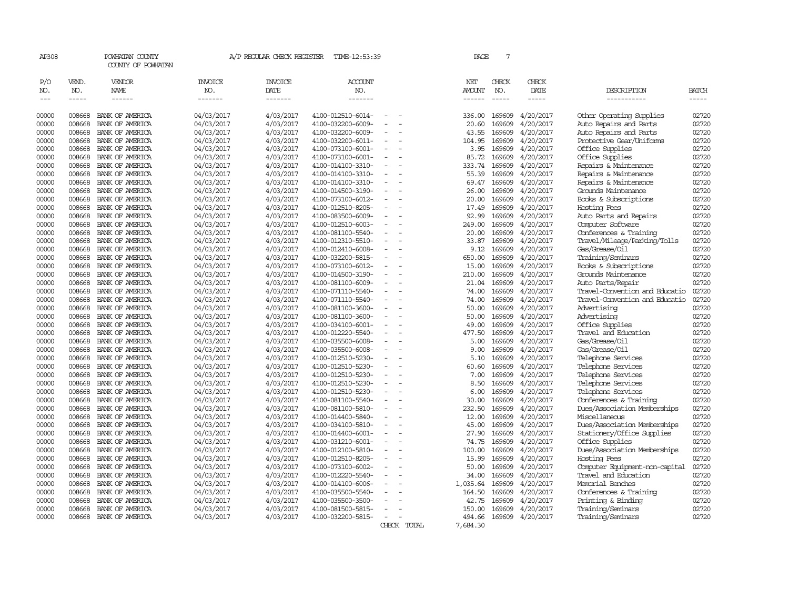| AP308               |                             | POWHATAN COUNTY<br>COUNTY OF POWHATAN |                                  | A/P REGULAR CHECK REGISTER         | TIME-12:53:39                          |                          |  | PAGE                                       | $7\phantom{.0}$               |                              |                                                     |                       |
|---------------------|-----------------------------|---------------------------------------|----------------------------------|------------------------------------|----------------------------------------|--------------------------|--|--------------------------------------------|-------------------------------|------------------------------|-----------------------------------------------------|-----------------------|
| P/O<br>NO.<br>$---$ | VEND.<br>NO.<br>$- - - - -$ | VENDOR<br><b>NAME</b><br>------       | <b>INVOICE</b><br>NO.<br>------- | <b>INVOICE</b><br>DATE<br>-------- | <b>ACCOUNT</b><br>NO.<br>-------       |                          |  | NET <sup></sup><br><b>AMOUNT</b><br>------ | CHECK<br>NO.<br>$\frac{1}{2}$ | CHECK<br>DATE<br>$- - - - -$ | DESCRIPTION<br>-----------                          | <b>BATCH</b><br>----- |
| 00000               | 008668                      | BANK OF AMERICA                       | 04/03/2017                       | 4/03/2017                          | 4100-012510-6014-                      |                          |  | 336.00                                     | 169609                        | 4/20/2017                    | Other Operating Supplies                            | 02720                 |
| 00000               | 008668                      | BANK OF AMERICA                       | 04/03/2017                       | 4/03/2017                          | 4100-032200-6009-                      |                          |  | 20.60                                      | 169609                        | 4/20/2017                    | Auto Repairs and Parts                              | 02720                 |
| 00000               | 008668                      | BANK OF AMERICA                       | 04/03/2017                       | 4/03/2017                          | 4100-032200-6009-                      | $\equiv$                 |  | 43.55                                      | 169609                        | 4/20/2017                    | Auto Repairs and Parts                              | 02720                 |
| 00000               | 008668                      | BANK OF AMERICA                       | 04/03/2017                       | 4/03/2017                          | 4100-032200-6011-                      | $\overline{\phantom{a}}$ |  | 104.95                                     | 169609                        | 4/20/2017                    | Protective Gear/Uniforms                            | 02720                 |
| 00000               | 008668                      | BANK OF AMERICA                       | 04/03/2017                       | 4/03/2017                          | 4100-073100-6001-                      |                          |  | 3.95                                       | 169609                        | 4/20/2017                    | Office Supplies                                     | 02720                 |
| 00000               | 008668                      | BANK OF AMERICA                       | 04/03/2017                       | 4/03/2017                          | 4100-073100-6001-                      | $\omega$                 |  | 85.72                                      | 169609                        | 4/20/2017                    | Office Supplies                                     | 02720                 |
| 00000               | 008668                      | BANK OF AMERICA                       | 04/03/2017                       | 4/03/2017                          | 4100-014100-3310-                      |                          |  | 333.74                                     | 169609                        | 4/20/2017                    | Repairs & Maintenance                               | 02720                 |
| 00000               | 008668                      | BANK OF AMERICA                       | 04/03/2017                       | 4/03/2017                          | 4100-014100-3310-                      |                          |  | 55.39                                      | 169609                        | 4/20/2017                    | Repairs & Maintenance                               | 02720                 |
| 00000               | 008668                      | BANK OF AMERICA                       | 04/03/2017                       | 4/03/2017                          | 4100-014100-3310-                      | $\equiv$                 |  | 69.47                                      | 169609                        | 4/20/2017                    | Repairs & Maintenance                               | 02720                 |
| 00000               | 008668                      | BANK OF AMERICA                       | 04/03/2017                       | 4/03/2017                          | 4100-014500-3190-                      |                          |  | 26.00                                      | 169609                        | 4/20/2017                    | Grounds Maintenance                                 | 02720                 |
| 00000               | 008668                      | BANK OF AMERICA                       | 04/03/2017                       | 4/03/2017                          | 4100-073100-6012-                      |                          |  | 20.00                                      | 169609                        | 4/20/2017                    | Books & Subscriptions                               | 02720                 |
| 00000               | 008668                      | BANK OF AMERICA                       | 04/03/2017                       | 4/03/2017                          | 4100-012510-8205-                      |                          |  | 17.49                                      | 169609                        | 4/20/2017                    | Hosting Fees                                        | 02720                 |
| 00000               | 008668                      | BANK OF AMERICA                       | 04/03/2017                       | 4/03/2017                          | 4100-083500-6009-                      |                          |  | 92.99                                      | 169609                        | 4/20/2017                    | Auto Parts and Repairs                              | 02720                 |
| 00000               | 008668                      | BANK OF AMERICA                       | 04/03/2017                       | 4/03/2017                          | 4100-012510-6003-                      |                          |  | 249.00                                     | 169609                        | 4/20/2017                    | Computer Software                                   | 02720                 |
| 00000               | 008668                      | BANK OF AMERICA                       | 04/03/2017                       | 4/03/2017                          | 4100-081100-5540-                      |                          |  | 20.00                                      | 169609                        | 4/20/2017                    | Conferences & Training                              | 02720                 |
| 00000               | 008668                      | BANK OF AMERICA                       | 04/03/2017                       | 4/03/2017                          | 4100-012310-5510-                      | $\equiv$                 |  | 33.87                                      | 169609                        | 4/20/2017                    | Travel/Mileage/Parking/Tolls                        | 02720                 |
| 00000               | 008668                      | BANK OF AMERICA                       | 04/03/2017                       | 4/03/2017                          | 4100-012410-6008-                      | $\sim$                   |  | 9.12                                       | 169609                        | 4/20/2017                    | Gas/Grease/Oil                                      | 02720                 |
| 00000               | 008668                      | BANK OF AMERICA                       | 04/03/2017                       | 4/03/2017                          | 4100-032200-5815-                      |                          |  | 650.00                                     | 169609                        | 4/20/2017                    | Training/Seminars                                   | 02720                 |
| 00000               | 008668                      | BANK OF AMERICA                       | 04/03/2017                       | 4/03/2017                          | 4100-073100-6012-                      | $\omega$                 |  | 15.00                                      | 169609                        | 4/20/2017                    | Books & Subscriptions                               | 02720                 |
| 00000               | 008668                      | BANK OF AMERICA                       | 04/03/2017                       | 4/03/2017                          | 4100-014500-3190-                      |                          |  | 210.00                                     | 169609                        | 4/20/2017                    | Grounds Maintenance                                 | 02720<br>02720        |
| 00000<br>00000      | 008668<br>008668            | BANK OF AMERICA<br>BANK OF AMERICA    | 04/03/2017                       | 4/03/2017<br>4/03/2017             | 4100-081100-6009-<br>4100-071110-5540- | $\equiv$                 |  | 21.04<br>74.00                             | 169609<br>169609              | 4/20/2017<br>4/20/2017       | Auto Parts/Repair<br>Travel-Convention and Educatio | 02720                 |
| 00000               | 008668                      | BANK OF AMERICA                       | 04/03/2017<br>04/03/2017         | 4/03/2017                          | 4100-071110-5540-                      |                          |  | 74.00                                      | 169609                        | 4/20/2017                    | Travel-Convention and Educatio                      | 02720                 |
| 00000               | 008668                      | BANK OF AMERICA                       | 04/03/2017                       | 4/03/2017                          | 4100-081100-3600-                      |                          |  | 50.00                                      | 169609                        | 4/20/2017                    | Advertising                                         | 02720                 |
| 00000               | 008668                      | BANK OF AMERICA                       | 04/03/2017                       | 4/03/2017                          | 4100-081100-3600-                      | $\equiv$                 |  | 50.00                                      | 169609                        | 4/20/2017                    | Advertising                                         | 02720                 |
| 00000               | 008668                      | BANK OF AMERICA                       | 04/03/2017                       | 4/03/2017                          | 4100-034100-6001-                      | $\sim$                   |  | 49.00                                      | 169609                        | 4/20/2017                    | Office Supplies                                     | 02720                 |
| 00000               | 008668                      | BANK OF AMERICA                       | 04/03/2017                       | 4/03/2017                          | 4100-012220-5540-                      |                          |  | 477.50                                     | 169609                        | 4/20/2017                    | Travel and Education                                | 02720                 |
| 00000               | 008668                      | BANK OF AMERICA                       | 04/03/2017                       | 4/03/2017                          | 4100-035500-6008-                      |                          |  | 5.00                                       | 169609                        | 4/20/2017                    | Gas/Grease/Oil                                      | 02720                 |
| 00000               | 008668                      | BANK OF AMERICA                       | 04/03/2017                       | 4/03/2017                          | 4100-035500-6008-                      | $\equiv$                 |  | 9.00                                       | 169609                        | 4/20/2017                    | Gas/Grease/Oil                                      | 02720                 |
| 00000               | 008668                      | BANK OF AMERICA                       | 04/03/2017                       | 4/03/2017                          | 4100-012510-5230-                      | $\overline{\phantom{a}}$ |  | 5.10                                       | 169609                        | 4/20/2017                    | Telephone Services                                  | 02720                 |
| 00000               | 008668                      | BANK OF AMERICA                       | 04/03/2017                       | 4/03/2017                          | 4100-012510-5230-                      |                          |  | 60.60                                      | 169609                        | 4/20/2017                    | Telephone Services                                  | 02720                 |
| 00000               | 008668                      | BANK OF AMERICA                       | 04/03/2017                       | 4/03/2017                          | 4100-012510-5230-                      | $\omega$                 |  | 7.00                                       | 169609                        | 4/20/2017                    | Telephone Services                                  | 02720                 |
| 00000               | 008668                      | BANK OF AMERICA                       | 04/03/2017                       | 4/03/2017                          | 4100-012510-5230-                      |                          |  | 8.50                                       | 169609                        | 4/20/2017                    | Telephone Services                                  | 02720                 |
| 00000               | 008668                      | BANK OF AMERICA                       | 04/03/2017                       | 4/03/2017                          | 4100-012510-5230-                      |                          |  | 6.00                                       | 169609                        | 4/20/2017                    | Telephone Services                                  | 02720                 |
| 00000               | 008668                      | BANK OF AMERICA                       | 04/03/2017                       | 4/03/2017                          | 4100-081100-5540-                      | $\sim$                   |  | 30.00                                      | 169609                        | 4/20/2017                    | Conferences & Training                              | 02720                 |
| 00000               | 008668                      | BANK OF AMERICA                       | 04/03/2017                       | 4/03/2017                          | 4100-081100-5810-                      |                          |  | 232.50                                     | 169609                        | 4/20/2017                    | Dues/Association Memberships                        | 02720                 |
| 00000               | 008668                      | BANK OF AMERICA                       | 04/03/2017                       | 4/03/2017                          | 4100-014400-5840-                      |                          |  | 12.00                                      | 169609                        | 4/20/2017                    | Miscellaneous                                       | 02720                 |
| 00000               | 008668                      | BANK OF AMERICA                       | 04/03/2017                       | 4/03/2017                          | 4100-034100-5810-                      | $\overline{\phantom{a}}$ |  | 45.00                                      | 169609                        | 4/20/2017                    | Dues/Association Memberships                        | 02720                 |
| 00000               | 008668                      | BANK OF AMERICA                       | 04/03/2017                       | 4/03/2017                          | 4100-014400-6001-                      | $\sim$                   |  | 27.90                                      | 169609                        | 4/20/2017                    | Stationery/Office Supplies                          | 02720                 |
| 00000               | 008668                      | BANK OF AMERICA                       | 04/03/2017                       | 4/03/2017                          | 4100-031210-6001-                      | $\equiv$                 |  | 74.75                                      | 169609                        | 4/20/2017                    | Office Supplies                                     | 02720                 |
| 00000               | 008668                      | BANK OF AMERICA                       | 04/03/2017                       | 4/03/2017                          | 4100-012100-5810-                      |                          |  | 100.00                                     | 169609                        | 4/20/2017                    | Dues/Association Memberships                        | 02720                 |
| 00000               | 008668                      | BANK OF AMERICA                       | 04/03/2017                       | 4/03/2017                          | 4100-012510-8205-                      | $\equiv$                 |  | 15.99                                      | 169609                        | 4/20/2017                    | Hosting Fees                                        | 02720                 |
| 00000               | 008668                      | BANK OF AMERICA                       | 04/03/2017                       | 4/03/2017                          | 4100-073100-6002-                      |                          |  | 50.00                                      | 169609                        | 4/20/2017                    | Computer Equipment-non-capital                      | 02720                 |
| 00000               | 008668                      | BANK OF AMERICA                       | 04/03/2017                       | 4/03/2017                          | 4100-012220-5540-                      |                          |  | 34.00                                      | 169609                        | 4/20/2017                    | Travel and Education                                | 02720                 |
| 00000               | 008668                      | BANK OF AMERICA                       | 04/03/2017                       | 4/03/2017                          | 4100-014100-6006-                      | $\overline{\phantom{a}}$ |  | 1,035.64                                   | 169609                        | 4/20/2017                    | Memorial Benches                                    | 02720                 |
| 00000               | 008668                      | BANK OF AMERICA                       | 04/03/2017                       | 4/03/2017                          | 4100-035500-5540-                      | $\sim$                   |  | 164.50                                     | 169609                        | 4/20/2017                    | Conferences & Training                              | 02720                 |
| 00000               | 008668                      | BANK OF AMERICA                       | 04/03/2017                       | 4/03/2017                          | 4100-035500-3500-                      |                          |  | 42.75                                      | 169609                        | 4/20/2017                    | Printing & Binding                                  | 02720                 |
| 00000               | 008668                      | BANK OF AMERICA                       | 04/03/2017                       | 4/03/2017                          | 4100-081500-5815-                      | $\equiv$                 |  | 150.00                                     | 169609                        | 4/20/2017                    | Training/Seminars                                   | 02720                 |
| 00000               | 008668                      | BANK OF AMERICA                       | 04/03/2017                       | 4/03/2017                          | 4100-032200-5815-                      | $\overline{\phantom{a}}$ |  | 494.66                                     | 169609                        | 4/20/2017                    | Training/Seminars                                   | 02720                 |
|                     |                             |                                       |                                  |                                    |                                        | CHECK TOTAL              |  | 7,684.30                                   |                               |                              |                                                     |                       |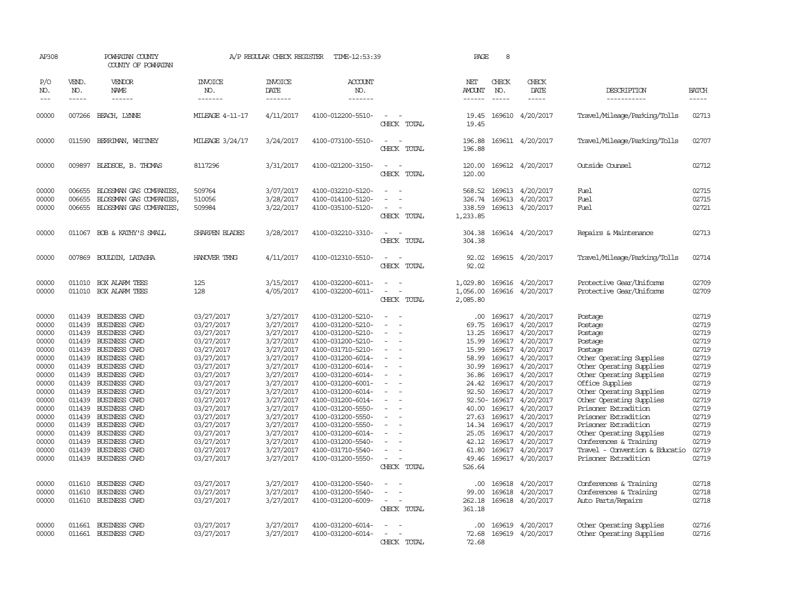| AP308               | POWHATAN COUNTY<br>COUNTY OF POWHATAN |                                                                                                                                                                                                                                                                                                                                                                                                                                                                                                     |                                  | A/P REGULAR CHECK REGISTER         | TIME-12:53:39                          |                              | PAGE                                  | 8                             |                                      |                                                    |                       |
|---------------------|---------------------------------------|-----------------------------------------------------------------------------------------------------------------------------------------------------------------------------------------------------------------------------------------------------------------------------------------------------------------------------------------------------------------------------------------------------------------------------------------------------------------------------------------------------|----------------------------------|------------------------------------|----------------------------------------|------------------------------|---------------------------------------|-------------------------------|--------------------------------------|----------------------------------------------------|-----------------------|
| P/O<br>NO.<br>$---$ | VEND.<br>NO.<br>$\frac{1}{2}$         | <b>VENDOR</b><br>NAME<br>$\frac{1}{2} \left( \frac{1}{2} \right) \left( \frac{1}{2} \right) \left( \frac{1}{2} \right) \left( \frac{1}{2} \right) \left( \frac{1}{2} \right) \left( \frac{1}{2} \right) \left( \frac{1}{2} \right) \left( \frac{1}{2} \right) \left( \frac{1}{2} \right) \left( \frac{1}{2} \right) \left( \frac{1}{2} \right) \left( \frac{1}{2} \right) \left( \frac{1}{2} \right) \left( \frac{1}{2} \right) \left( \frac{1}{2} \right) \left( \frac{1}{2} \right) \left( \frac$ | <b>INVOICE</b><br>NO.<br>------- | <b>INVOICE</b><br>DATE<br>-------- | <b>ACCOUNT</b><br>NO.<br>-------       |                              | NET<br><b>AMOUNT</b><br>$- - - - - -$ | CHECK<br>NO.<br>$\frac{1}{2}$ | CHECK<br>DATE<br>$\frac{1}{2}$       | DESCRIPTION<br>-----------                         | <b>BATCH</b><br>----- |
| 00000               | 007266                                | BEACH, LYNNE                                                                                                                                                                                                                                                                                                                                                                                                                                                                                        | MILEAGE 4-11-17                  | 4/11/2017                          | 4100-012200-5510-                      | $\equiv$                     | 19.45                                 |                               | 169610 4/20/2017                     | Travel/Mileage/Parking/Tolls                       | 02713                 |
|                     |                                       |                                                                                                                                                                                                                                                                                                                                                                                                                                                                                                     |                                  |                                    |                                        | CHECK TOTAL                  | 19.45                                 |                               |                                      |                                                    |                       |
| 00000               |                                       | 011590 BERRIMAN, WHITNEY                                                                                                                                                                                                                                                                                                                                                                                                                                                                            | MILEAGE 3/24/17                  | 3/24/2017                          | 4100-073100-5510-                      | CHECK TOTAL                  | 196.88<br>196.88                      |                               | 169611 4/20/2017                     | Travel/Mileage/Parking/Tolls                       | 02707                 |
| 00000               |                                       | 009897 BLEDSOE, B. THOMAS                                                                                                                                                                                                                                                                                                                                                                                                                                                                           | 8117296                          | 3/31/2017                          | 4100-021200-3150-                      | $\sim$ $\sim$<br>CHECK TOTAL | 120.00<br>120.00                      |                               | 169612 4/20/2017                     | Outside Counsel                                    | 02712                 |
| 00000               | 006655                                | BLOSSMAN GAS COMPANIES                                                                                                                                                                                                                                                                                                                                                                                                                                                                              | 509764                           | 3/07/2017                          | 4100-032210-5120-                      |                              |                                       |                               | 568.52 169613 4/20/2017              | Fuel                                               | 02715                 |
| 00000               | 006655                                | BLOSSMAN GAS COMPANIES                                                                                                                                                                                                                                                                                                                                                                                                                                                                              | 510056                           | 3/28/2017                          | 4100-014100-5120-                      |                              | 326.74                                |                               | 169613 4/20/2017                     | Fuel                                               | 02715                 |
| 00000               | 006655                                | BLOSSMAN GAS COMPANIES,                                                                                                                                                                                                                                                                                                                                                                                                                                                                             | 509984                           | 3/22/2017                          | 4100-035100-5120-                      | $\overline{\phantom{a}}$     | 338.59                                |                               | 169613 4/20/2017                     | Fuel                                               | 02721                 |
|                     |                                       |                                                                                                                                                                                                                                                                                                                                                                                                                                                                                                     |                                  |                                    |                                        | CHECK TOTAL                  | 1,233.85                              |                               |                                      |                                                    |                       |
| 00000               |                                       | 011067 BOB & KATHY'S SMALL                                                                                                                                                                                                                                                                                                                                                                                                                                                                          | SHARPEN BLADES                   | 3/28/2017                          | 4100-032210-3310-                      |                              | 304.38                                |                               | 169614 4/20/2017                     | Repairs & Maintenance                              | 02713                 |
|                     |                                       |                                                                                                                                                                                                                                                                                                                                                                                                                                                                                                     |                                  |                                    |                                        | CHECK TOTAL                  | 304.38                                |                               |                                      |                                                    |                       |
| 00000               |                                       | 007869 BOULDIN, LATASHA                                                                                                                                                                                                                                                                                                                                                                                                                                                                             | HANOVER TRNG                     | 4/11/2017                          | 4100-012310-5510-                      | $\sim$                       | 92.02                                 |                               | 169615 4/20/2017                     | Travel/Mileage/Parking/Tolls                       | 02714                 |
|                     |                                       |                                                                                                                                                                                                                                                                                                                                                                                                                                                                                                     |                                  |                                    |                                        | CHECK TOTAL                  | 92.02                                 |                               |                                      |                                                    |                       |
| 00000               |                                       | 011010 BOX ALARM TEES                                                                                                                                                                                                                                                                                                                                                                                                                                                                               | 125                              | 3/15/2017                          | 4100-032200-6011-                      |                              | 1,029.80                              |                               | 169616 4/20/2017                     | Protective Gear/Uniforms                           | 02709                 |
| 00000               |                                       | 011010 BOX ALARM TEES                                                                                                                                                                                                                                                                                                                                                                                                                                                                               | 128                              | 4/05/2017                          | 4100-032200-6011-                      |                              | 1,056.00                              |                               | 169616 4/20/2017                     | Protective Gear/Uniforms                           | 02709                 |
|                     |                                       |                                                                                                                                                                                                                                                                                                                                                                                                                                                                                                     |                                  |                                    |                                        | CHECK TOTAL                  | 2,085.80                              |                               |                                      |                                                    |                       |
| 00000               | 011439                                | <b>BUSINESS CARD</b>                                                                                                                                                                                                                                                                                                                                                                                                                                                                                | 03/27/2017                       | 3/27/2017                          | 4100-031200-5210-                      |                              | $.00 \cdot$                           |                               | 169617 4/20/2017                     | Postage                                            | 02719                 |
| 00000               | 011439                                | <b>BUSINESS CARD</b>                                                                                                                                                                                                                                                                                                                                                                                                                                                                                | 03/27/2017                       | 3/27/2017                          | 4100-031200-5210-                      | $\equiv$                     | 69.75                                 |                               | 169617 4/20/2017                     | Postage                                            | 02719                 |
| 00000               |                                       | 011439 BUSINESS CARD                                                                                                                                                                                                                                                                                                                                                                                                                                                                                | 03/27/2017                       | 3/27/2017                          | 4100-031200-5210-                      |                              | 13.25                                 |                               | 169617 4/20/2017                     | Postage                                            | 02719                 |
| 00000               |                                       | 011439 BUSINESS CARD                                                                                                                                                                                                                                                                                                                                                                                                                                                                                | 03/27/2017                       | 3/27/2017                          | 4100-031200-5210-                      |                              | 15.99                                 |                               | 169617 4/20/2017                     | Postage                                            | 02719                 |
| 00000               |                                       | 011439 BUSINESS CARD                                                                                                                                                                                                                                                                                                                                                                                                                                                                                | 03/27/2017                       | 3/27/2017                          | 4100-031710-5210-                      |                              | 15.99                                 |                               | 169617 4/20/2017                     | Postage                                            | 02719                 |
| 00000               |                                       | 011439 BUSINESS CARD                                                                                                                                                                                                                                                                                                                                                                                                                                                                                | 03/27/2017                       | 3/27/2017                          | 4100-031200-6014-                      |                              | 58.99                                 |                               | 169617 4/20/2017                     | Other Operating Supplies                           | 02719                 |
| 00000               | 011439                                | BUSINESS CARD                                                                                                                                                                                                                                                                                                                                                                                                                                                                                       | 03/27/2017                       | 3/27/2017                          | 4100-031200-6014-                      |                              | 30.99                                 |                               | 169617 4/20/2017                     | Other Operating Supplies                           | 02719                 |
| 00000               |                                       | 011439 BUSINESS CARD                                                                                                                                                                                                                                                                                                                                                                                                                                                                                | 03/27/2017                       | 3/27/2017                          | 4100-031200-6014-                      |                              | 36.86                                 |                               | 169617 4/20/2017                     | Other Operating Supplies                           | 02719                 |
| 00000               |                                       | 011439 BUSINESS CARD                                                                                                                                                                                                                                                                                                                                                                                                                                                                                | 03/27/2017                       | 3/27/2017                          | 4100-031200-6001-                      |                              | 24.42                                 |                               | 169617 4/20/2017                     | Office Supplies                                    | 02719                 |
| 00000               |                                       | 011439 BUSINESS CARD                                                                                                                                                                                                                                                                                                                                                                                                                                                                                | 03/27/2017                       | 3/27/2017                          | 4100-031200-6014-                      |                              | 92.50                                 |                               | 169617 4/20/2017                     | Other Operating Supplies                           | 02719                 |
| 00000               |                                       | 011439 BUSINESS CARD                                                                                                                                                                                                                                                                                                                                                                                                                                                                                | 03/27/2017                       | 3/27/2017                          | 4100-031200-6014-                      |                              |                                       |                               | 92.50-169617 4/20/2017               | Other Operating Supplies                           | 02719                 |
| 00000               |                                       | 011439 BUSINESS CARD                                                                                                                                                                                                                                                                                                                                                                                                                                                                                | 03/27/2017                       | 3/27/2017                          | 4100-031200-5550-                      |                              | 40.00                                 |                               | 169617 4/20/2017                     | Prisoner Extradition                               | 02719                 |
| 00000               |                                       | 011439 BUSINESS CARD                                                                                                                                                                                                                                                                                                                                                                                                                                                                                | 03/27/2017                       | 3/27/2017                          | 4100-031200-5550-                      |                              |                                       |                               | 27.63 169617 4/20/2017               | Prisoner Extradition                               | 02719                 |
| 00000               |                                       | 011439 BUSINESS CARD                                                                                                                                                                                                                                                                                                                                                                                                                                                                                | 03/27/2017                       | 3/27/2017                          | 4100-031200-5550-                      |                              | 14.34                                 |                               | 169617 4/20/2017                     | Prisoner Extradition                               | 02719                 |
| 00000<br>00000      |                                       | 011439 BUSINESS CARD<br>011439 BUSINESS CARD                                                                                                                                                                                                                                                                                                                                                                                                                                                        | 03/27/2017                       | 3/27/2017                          | 4100-031200-6014-<br>4100-031200-5540- |                              | 25.05<br>42.12                        |                               | 169617 4/20/2017<br>169617 4/20/2017 | Other Operating Supplies<br>Conferences & Training | 02719<br>02719        |
| 00000               |                                       | 011439 BUSINESS CARD                                                                                                                                                                                                                                                                                                                                                                                                                                                                                | 03/27/2017<br>03/27/2017         | 3/27/2017<br>3/27/2017             | 4100-031710-5540-                      | $\equiv$                     | 61.80                                 |                               | 169617 4/20/2017                     | Travel - Convention & Educatio                     | 02719                 |
| 00000               | 011439                                | BUSINESS CARD                                                                                                                                                                                                                                                                                                                                                                                                                                                                                       | 03/27/2017                       | 3/27/2017                          | 4100-031200-5550-                      | $\equiv$                     | 49.46                                 |                               | 169617 4/20/2017                     | Prisoner Extradition                               | 02719                 |
|                     |                                       |                                                                                                                                                                                                                                                                                                                                                                                                                                                                                                     |                                  |                                    |                                        | CHECK TOTAL                  | 526.64                                |                               |                                      |                                                    |                       |
| 00000               |                                       | 011610 BUSINESS CARD                                                                                                                                                                                                                                                                                                                                                                                                                                                                                | 03/27/2017                       | 3/27/2017                          | 4100-031200-5540-                      |                              | $.00 \cdot$                           | 169618                        | 4/20/2017                            | Conferences & Training                             | 02718                 |
| 00000               | 011610                                | <b>BUSINESS CARD</b>                                                                                                                                                                                                                                                                                                                                                                                                                                                                                | 03/27/2017                       | 3/27/2017                          | 4100-031200-5540-                      |                              | 99.00                                 | 169618                        | 4/20/2017                            | Conferences & Training                             | 02718                 |
| 00000               |                                       | 011610 BUSINESS CARD                                                                                                                                                                                                                                                                                                                                                                                                                                                                                | 03/27/2017                       | 3/27/2017                          | 4100-031200-6009-                      |                              | 262.18                                |                               | 169618 4/20/2017                     | Auto Parts/Repairs                                 | 02718                 |
|                     |                                       |                                                                                                                                                                                                                                                                                                                                                                                                                                                                                                     |                                  |                                    |                                        | CHECK TOTAL                  | 361.18                                |                               |                                      |                                                    |                       |
| 00000               | 011661                                | <b>BUSINESS CARD</b>                                                                                                                                                                                                                                                                                                                                                                                                                                                                                | 03/27/2017                       | 3/27/2017                          | 4100-031200-6014-                      |                              | .00                                   |                               | 169619 4/20/2017                     | Other Operating Supplies                           | 02716                 |
| 00000               |                                       | 011661 BUSINESS CARD                                                                                                                                                                                                                                                                                                                                                                                                                                                                                | 03/27/2017                       | 3/27/2017                          | 4100-031200-6014-                      |                              | 72.68                                 |                               | 169619 4/20/2017                     | Other Operating Supplies                           | 02716                 |
|                     |                                       |                                                                                                                                                                                                                                                                                                                                                                                                                                                                                                     |                                  |                                    |                                        | CHRCK TOTAL                  | 72.68                                 |                               |                                      |                                                    |                       |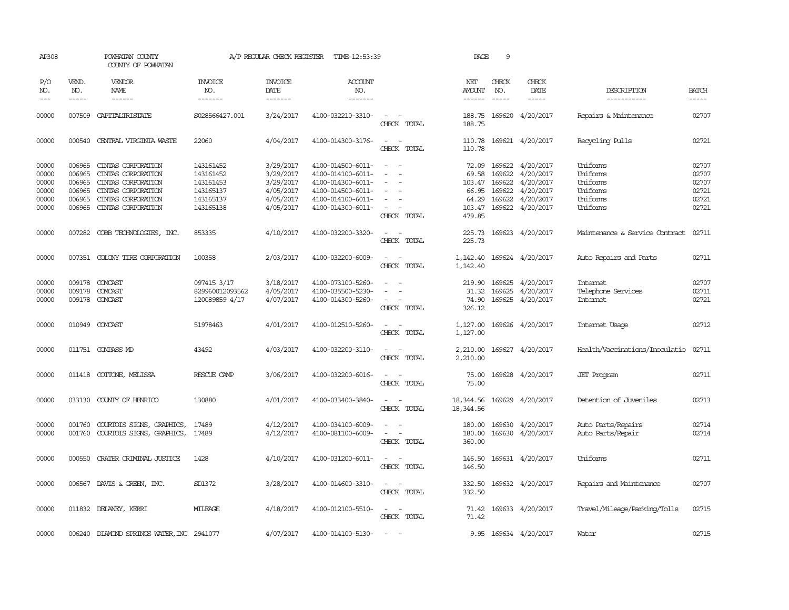| AP308                                              | POWHATAN COUNTY<br>COUNTY OF POWHATAN                    |                                                                                                                                  |                                                                            | A/P REGULAR CHECK REGISTER                                                 | TIME-12:53:39                                                                                                              |                                                                                                                                       | PAGE                                        | 9                                 |                                                                                                       |                                                                      |                                                    |
|----------------------------------------------------|----------------------------------------------------------|----------------------------------------------------------------------------------------------------------------------------------|----------------------------------------------------------------------------|----------------------------------------------------------------------------|----------------------------------------------------------------------------------------------------------------------------|---------------------------------------------------------------------------------------------------------------------------------------|---------------------------------------------|-----------------------------------|-------------------------------------------------------------------------------------------------------|----------------------------------------------------------------------|----------------------------------------------------|
| P/O<br>NO.<br>$---$                                | VEND.<br>NO.<br>$\frac{1}{2}$                            | <b>VENDOR</b><br>NAME<br>$- - - - - -$                                                                                           | INVOICE<br>NO.<br>-------                                                  | <b>INVOICE</b><br>DATE<br>-------                                          | ACCOUNT<br>NO.<br>$- - - - - - -$                                                                                          |                                                                                                                                       | NET<br><b>AMOUNT</b><br>------              | CHECK<br>NO.<br>$\frac{1}{2}$     | CHECK<br>DATE<br>$\frac{1}{2}$                                                                        | DESCRIPTION<br>-----------                                           | <b>BATCH</b><br>-----                              |
| 00000                                              | 007509                                                   | CAPITALIRISTATE                                                                                                                  | S028566427.001                                                             | 3/24/2017                                                                  | 4100-032210-3310-                                                                                                          | $\overline{\phantom{a}}$<br>CHECK TOTAL                                                                                               | 188.75<br>188.75                            |                                   | 169620 4/20/2017                                                                                      | Repairs & Maintenance                                                | 02707                                              |
| 00000                                              | 000540                                                   | CENTRAL VIRGINIA WASTE                                                                                                           | 22060                                                                      | 4/04/2017                                                                  | 4100-014300-3176-                                                                                                          | $\sim$<br>CHECK TOTAL                                                                                                                 | 110.78<br>110.78                            |                                   | 169621 4/20/2017                                                                                      | Recycling Pulls                                                      | 02721                                              |
| 00000<br>00000<br>00000<br>00000<br>00000<br>00000 | 006965<br>006965<br>006965<br>006965<br>006965<br>006965 | CINIAS CORPORATION<br>CINIAS CORPORATION<br>CINIAS CORPORATION<br>CINIAS CORPORATION<br>CINIAS CORPORATION<br>CINIAS CORPORATION | 143161452<br>143161452<br>143161453<br>143165137<br>143165137<br>143165138 | 3/29/2017<br>3/29/2017<br>3/29/2017<br>4/05/2017<br>4/05/2017<br>4/05/2017 | 4100-014500-6011-<br>4100-014100-6011-<br>4100-014300-6011-<br>4100-014500-6011-<br>4100-014100-6011-<br>4100-014300-6011- | $\sim$ $ \sim$<br>$\overline{\phantom{a}}$<br>CHECK TOTAL                                                                             | 69.58<br>66.95<br>64.29<br>103.47<br>479.85 | 169622<br>103.47 169622<br>169622 | 72.09 169622 4/20/2017<br>4/20/2017<br>4/20/2017<br>4/20/2017<br>169622 4/20/2017<br>169622 4/20/2017 | Uniforms<br>Uniforms<br>Uniforms<br>Uniforms<br>Uniforms<br>Uniforms | 02707<br>02707<br>02707<br>02721<br>02721<br>02721 |
| 00000                                              |                                                          | 007282 COBB TECHNOLOGIES, INC.                                                                                                   | 853335                                                                     | 4/10/2017                                                                  | 4100-032200-3320-                                                                                                          | $\overline{\phantom{a}}$<br>CHECK TOTAL                                                                                               | 225.73<br>225.73                            |                                   | 169623 4/20/2017                                                                                      | Maintenance & Service Contract                                       | 02711                                              |
| 00000                                              |                                                          | 007351 COLONY TIRE CORPORATION                                                                                                   | 100358                                                                     | 2/03/2017                                                                  | 4100-032200-6009-                                                                                                          | $\sim$<br>CHECK TOTAL                                                                                                                 | 1,142.40<br>1,142.40                        |                                   | 169624 4/20/2017                                                                                      | Auto Repairs and Parts                                               | 02711                                              |
| 00000<br>00000<br>00000                            | 009178                                                   | 009178 COMCAST<br>COMCAST<br>009178 COMCAST                                                                                      | 097415 3/17<br>829960012093562<br>120089859 4/17                           | 3/18/2017<br>4/05/2017<br>4/07/2017                                        | 4100-073100-5260-<br>4100-035500-5230-<br>4100-014300-5260-                                                                | $\overline{\phantom{a}}$<br>. —<br>CHECK TOTAL                                                                                        | 219.90<br>31.32<br>74.90<br>326.12          |                                   | 169625 4/20/2017<br>169625 4/20/2017<br>169625 4/20/2017                                              | Internet<br>Telephone Services<br>Internet                           | 02707<br>02711<br>02721                            |
| 00000                                              |                                                          | 010949 COMCAST                                                                                                                   | 51978463                                                                   | 4/01/2017                                                                  | 4100-012510-5260-                                                                                                          | CHECK TOTAL                                                                                                                           | 1,127.00<br>1,127.00                        |                                   | 169626 4/20/2017                                                                                      | Internet Usage                                                       | 02712                                              |
| 00000                                              |                                                          | 011751 COMPASS MD                                                                                                                | 43492                                                                      | 4/03/2017                                                                  | 4100-032200-3110-                                                                                                          | CHECK TOTAL                                                                                                                           | 2,210.00<br>2,210.00                        |                                   | 169627 4/20/2017                                                                                      | Health/Vaccinations/Inoculatio                                       | 02711                                              |
| 00000                                              |                                                          | 011418 COTTONE, MELISSA                                                                                                          | RESCUE CAMP                                                                | 3/06/2017                                                                  | 4100-032200-6016-                                                                                                          | $\equiv$<br>CHECK TOTAL                                                                                                               | 75.00<br>75.00                              |                                   | 169628 4/20/2017                                                                                      | <b>JET</b> Program                                                   | 02711                                              |
| 00000                                              |                                                          | 033130 COUNTY OF HENRICO                                                                                                         | 130880                                                                     | 4/01/2017                                                                  | 4100-033400-3840-                                                                                                          | $\sim$ 100 $\mu$<br>$\sim$<br>CHECK TOTAL                                                                                             | 18,344.56<br>18,344.56                      |                                   | 169629 4/20/2017                                                                                      | Detention of Juveniles                                               | 02713                                              |
| 00000<br>00000                                     | 001760<br>001760                                         | COURTOIS SIGNS, GRAPHICS,<br>COURTOIS SIGNS, GRAPHICS,                                                                           | 17489<br>17489                                                             | 4/12/2017<br>4/12/2017                                                     | 4100-034100-6009-<br>4100-081100-6009-                                                                                     | $\frac{1}{2} \left( \frac{1}{2} \right) \left( \frac{1}{2} \right) = \frac{1}{2} \left( \frac{1}{2} \right)$<br>$\sim$<br>CHECK TOTAL | 180.00<br>180.00<br>360.00                  |                                   | 169630 4/20/2017<br>169630 4/20/2017                                                                  | Auto Parts/Repairs<br>Auto Parts/Repair                              | 02714<br>02714                                     |
| 00000                                              | 000550                                                   | CRATER CRIMINAL JUSTICE                                                                                                          | 1428                                                                       | 4/10/2017                                                                  | 4100-031200-6011-                                                                                                          | $\frac{1}{2} \left( \frac{1}{2} \right) \left( \frac{1}{2} \right) = \frac{1}{2} \left( \frac{1}{2} \right)$<br>CHECK TOTAL           | 146.50<br>146.50                            |                                   | 169631 4/20/2017                                                                                      | Uniforms                                                             | 02711                                              |
| 00000                                              |                                                          | 006567 DAVIS & GREEN, INC.                                                                                                       | SD1372                                                                     | 3/28/2017                                                                  | 4100-014600-3310-                                                                                                          | $\sim$ 10 $\sim$ 10 $\sim$<br>CHECK TOTAL                                                                                             | 332.50                                      |                                   | 332.50 169632 4/20/2017                                                                               | Repairs and Maintenance                                              | 02707                                              |
| 00000                                              |                                                          | 011832 DELANEY, KERRI                                                                                                            | MILEAGE                                                                    | 4/18/2017                                                                  | 4100-012100-5510-                                                                                                          | $\sim$ $  -$<br>CHECK TOTAL                                                                                                           | 71.42                                       |                                   | 71.42 169633 4/20/2017                                                                                | Travel/Mileage/Parking/Tolls                                         | 02715                                              |
| 00000                                              |                                                          | 006240 DIAMOND SPRINGS WATER, INC 2941077                                                                                        |                                                                            | 4/07/2017                                                                  | 4100-014100-5130-                                                                                                          | $\sim$                                                                                                                                |                                             |                                   | 9.95 169634 4/20/2017                                                                                 | Water                                                                | 02715                                              |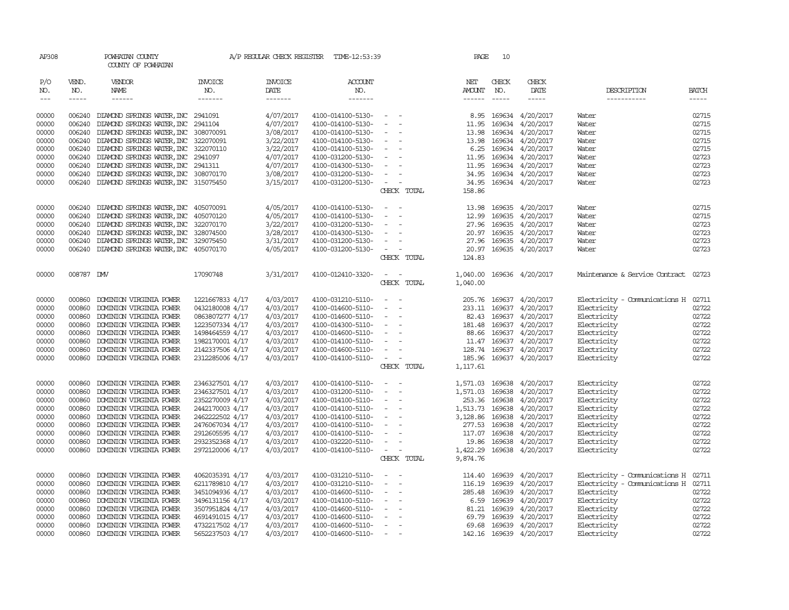|              |                      | COUNTY OF POWHATAN                          |                 |                 |                   |                                             |             |                                                                                                                        |        |                         |             |                                      |                       |
|--------------|----------------------|---------------------------------------------|-----------------|-----------------|-------------------|---------------------------------------------|-------------|------------------------------------------------------------------------------------------------------------------------|--------|-------------------------|-------------|--------------------------------------|-----------------------|
| P/O          | VEND.                | <b>VENDOR</b>                               | <b>INVOICE</b>  | <b>INVOICE</b>  | <b>ACCOUNT</b>    |                                             |             | NET                                                                                                                    | CHECK  | CHECK                   |             |                                      |                       |
| NO.<br>$---$ | NO.<br>$\frac{1}{2}$ | NAME                                        | NO.<br>-------  | DATE<br>------- | NO.<br>-------    |                                             |             | AMOUNT<br>$\begin{array}{cccccc} - & - & - & - & - & - & - \\ & - & - & - & - & - \\ & & - & - & - & - \\ \end{array}$ | NO.    | DATE<br>$\frac{1}{2}$   |             | DESCRIPTION<br>-----------           | <b>BATCH</b><br>----- |
| 00000        | 006240               | DIAMOND SPRINGS WATER, INC 2941091          |                 | 4/07/2017       | 4100-014100-5130- | $\sim$ 100 $\mu$                            |             | 8.95                                                                                                                   |        | 169634 4/20/2017        | Water       |                                      | 02715                 |
| 00000        | 006240               | DIAMOND SPRINGS WATER, INC 2941104          |                 | 4/07/2017       | 4100-014100-5130- | $\sim$<br>$\overline{\phantom{a}}$          |             | 11.95                                                                                                                  |        | 169634 4/20/2017        | Water       |                                      | 02715                 |
| 00000        | 006240               | DIAMOND SPRINGS WATER, INC 308070091        |                 | 3/08/2017       | 4100-014100-5130- | $\sim$                                      |             | 13.98                                                                                                                  |        | 169634 4/20/2017        | Water       |                                      | 02715                 |
| 00000        | 006240               | DIAMOND SPRINGS WATER, INC 322070091        |                 | 3/22/2017       | 4100-014100-5130- | $\overline{\phantom{a}}$                    |             | 13.98                                                                                                                  |        | 169634 4/20/2017        | Water       |                                      | 02715                 |
| 00000        | 006240               | DIAMOND SPRINGS WATER, INC 322070110        |                 | 3/22/2017       | 4100-014100-5130- | $\sim$<br>$\overline{a}$                    |             | 6.25                                                                                                                   |        | 169634 4/20/2017        | Water       |                                      | 02715                 |
| 00000        | 006240               | DIAMOND SPRINGS WATER, INC 2941097          |                 | 4/07/2017       | 4100-031200-5130- | $\overline{\phantom{0}}$                    |             | 11.95                                                                                                                  |        | 169634 4/20/2017        | Water       |                                      | 02723                 |
| 00000        | 006240               | DIAMOND SPRINGS WATER, INC 2941311          |                 | 4/07/2017       | 4100-014300-5130- | $\overline{\phantom{a}}$                    |             | 11.95                                                                                                                  |        | 169634 4/20/2017        | Water       |                                      | 02723                 |
| 00000        | 006240               | DIAMOND SPRINGS WATER, INC 308070170        |                 | 3/08/2017       | 4100-031200-5130- | $\sim$                                      |             | 34.95                                                                                                                  |        | 169634 4/20/2017        | Water       |                                      | 02723                 |
| 00000        | 006240               | DIAMOND SPRINGS WATER, INC 315075450        |                 | 3/15/2017       | 4100-031200-5130- | $\sim$                                      |             | 34.95                                                                                                                  |        | 169634 4/20/2017        | Water       |                                      | 02723                 |
|              |                      |                                             |                 |                 |                   |                                             | CHECK TOTAL | 158.86                                                                                                                 |        |                         |             |                                      |                       |
| 00000        | 006240               | DIAMOND SPRINGS WATER, INC 405070091        |                 | 4/05/2017       | 4100-014100-5130- |                                             |             | 13.98                                                                                                                  |        | 169635 4/20/2017        | Water       |                                      | 02715                 |
| 00000        | 006240               | DIAMOND SPRINGS WATER, INC 405070120        |                 | 4/05/2017       | 4100-014100-5130- | $\sim$                                      |             | 12.99                                                                                                                  |        | 169635 4/20/2017        | Water       |                                      | 02715                 |
| 00000        | 006240               | DIAMOND SPRINGS WATER, INC                  | 322070170       | 3/22/2017       | 4100-031200-5130- | $\overline{\phantom{a}}$                    |             | 27.96                                                                                                                  |        | 169635 4/20/2017        | Water       |                                      | 02723                 |
| 00000        | 006240               | DIAMOND SPRINGS WATER, INC 328074500        |                 | 3/28/2017       | 4100-014300-5130- | $\overline{\phantom{a}}$                    |             |                                                                                                                        |        | 20.97 169635 4/20/2017  | Water       |                                      | 02723                 |
| 00000        | 006240               | DIAMOND SPRINGS WATER, INC 329075450        |                 | 3/31/2017       | 4100-031200-5130- | $\sim$                                      |             | 27.96                                                                                                                  |        | 169635 4/20/2017        | Water       |                                      | 02723                 |
| 00000        |                      | 006240 DIAMOND SPRINGS WATER, INC 405070170 |                 | 4/05/2017       | 4100-031200-5130- | $\sim$ $ -$                                 |             |                                                                                                                        |        | 20.97 169635 4/20/2017  | Water       |                                      | 02723                 |
|              |                      |                                             |                 |                 |                   |                                             | CHECK TOTAL | 124.83                                                                                                                 |        |                         |             |                                      |                       |
| 00000        | 008787 DW            |                                             | 17090748        | 3/31/2017       | 4100-012410-3320- | $\omega_{\rm{max}}$ and $\omega_{\rm{max}}$ |             | 1,040.00                                                                                                               |        | 169636 4/20/2017        |             | Maintenance & Service Contract 02723 |                       |
|              |                      |                                             |                 |                 |                   | CHECK TOTAL                                 |             | 1,040.00                                                                                                               |        |                         |             |                                      |                       |
| 00000        | 000860               | DOMINION VIRGINIA POWER                     | 1221667833 4/17 | 4/03/2017       | 4100-031210-5110- | $\sim$                                      |             |                                                                                                                        |        | 205.76 169637 4/20/2017 |             | Electricity - Comunications H        | 02711                 |
| 00000        | 000860               | DOMINION VIRGINIA POWER                     | 0432180008 4/17 | 4/03/2017       | 4100-014600-5110- | $\sim$<br>$\sim$                            |             |                                                                                                                        |        | 233.11 169637 4/20/2017 | Electricity |                                      | 02722                 |
| 00000        | 000860               | DOMINION VIRGINIA POWER                     | 0863807277 4/17 | 4/03/2017       | 4100-014600-5110- | $\sim 100$ m $^{-1}$                        |             | 82.43                                                                                                                  |        | 169637 4/20/2017        | Electricity |                                      | 02722                 |
| 00000        | 000860               | DOMINION VIRGINIA POWER                     | 1223507334 4/17 | 4/03/2017       | 4100-014300-5110- | $\sim$ $-$                                  |             | 181.48                                                                                                                 |        | 169637 4/20/2017        | Electricity |                                      | 02722                 |
| 00000        | 000860               | DOMINION VIRGINIA POWER                     | 1498464559 4/17 | 4/03/2017       | 4100-014600-5110- | $\sim$ $ \sim$ $ -$                         |             |                                                                                                                        |        | 88.66 169637 4/20/2017  | Electricity |                                      | 02722                 |
| 00000        | 000860               | DOMINION VIRGINIA POWER                     | 1982170001 4/17 | 4/03/2017       | 4100-014100-5110- | $\sim$                                      |             |                                                                                                                        |        | 11.47 169637 4/20/2017  | Electricity |                                      | 02722                 |
| 00000        | 000860               | DOMINION VIRGINIA POWER                     | 2142337506 4/17 | 4/03/2017       | 4100-014600-5110- | $\sim$                                      |             | 128.74                                                                                                                 |        | 169637 4/20/2017        | Electricity |                                      | 02722                 |
| 00000        | 000860               | DOMINION VIRGINIA POWER                     | 2312285006 4/17 | 4/03/2017       | 4100-014100-5110- | $\sim$ $ -$                                 |             |                                                                                                                        |        | 185.96 169637 4/20/2017 | Electricity |                                      | 02722                 |
|              |                      |                                             |                 |                 |                   |                                             | CHECK TOTAL | 1,117.61                                                                                                               |        |                         |             |                                      |                       |
| 00000        | 000860               | DOMINION VIRGINIA POWER                     | 2346327501 4/17 | 4/03/2017       | 4100-014100-5110- | $\sim$                                      |             | 1,571.03                                                                                                               |        | 169638 4/20/2017        | Electricity |                                      | 02722                 |
| 00000        | 000860               | DOMINION VIRGINIA POWER                     | 2346327501 4/17 | 4/03/2017       | 4100-031200-5110- | $\sim$ $ \sim$                              |             | 1,571.03                                                                                                               |        | 169638 4/20/2017        | Electricity |                                      | 02722                 |
| 00000        | 000860               | DOMINION VIRGINIA POWER                     | 2352270009 4/17 | 4/03/2017       | 4100-014100-5110- | $\sim 100$ m $^{-1}$                        |             | 253.36 169638                                                                                                          |        | 4/20/2017               | Electricity |                                      | 02722                 |
| 00000        | 000860               | DOMINION VIRGINIA POWER                     | 2442170003 4/17 | 4/03/2017       | 4100-014100-5110- |                                             |             | 1,513.73                                                                                                               |        | 169638 4/20/2017        | Electricity |                                      | 02722                 |
| 00000        | 000860               | DOMINION VIRGINIA POWER                     | 2462222502 4/17 | 4/03/2017       | 4100-014100-5110- | $\overline{\phantom{a}}$                    |             | 3,128.86                                                                                                               | 169638 | 4/20/2017               | Electricity |                                      | 02722                 |
| 00000        | 000860               | DOMINION VIRGINIA POWER                     | 2476067034 4/17 | 4/03/2017       | 4100-014100-5110- | $\sim 100$ m $^{-1}$                        |             |                                                                                                                        |        | 277.53 169638 4/20/2017 | Electricity |                                      | 02722                 |
| 00000        | 000860               | DOMINION VIRGINIA POWER                     | 2912605595 4/17 | 4/03/2017       | 4100-014100-5110- | $\sim$ $ \sim$ $ -$                         |             | 117.07                                                                                                                 |        | 169638 4/20/2017        | Electricity |                                      | 02722                 |
| 00000        | 000860               | DOMINION VIRGINIA POWER                     | 2932352368 4/17 | 4/03/2017       | 4100-032220-5110- | $\sim$ $-$                                  |             | 19.86                                                                                                                  |        | 169638 4/20/2017        | Electricity |                                      | 02722                 |
| 00000        | 000860               | DOMINION VIRGINIA POWER                     | 2972120006 4/17 | 4/03/2017       | 4100-014100-5110- | $\sim$ $  -$<br>CHECK TOTAL                 |             | 1,422.29<br>9,874.76                                                                                                   |        | 169638 4/20/2017        | Electricity |                                      | 02722                 |
|              |                      |                                             |                 |                 |                   |                                             |             |                                                                                                                        |        |                         |             |                                      |                       |
| 00000        | 000860               | DOMINION VIRGINIA POWER                     | 4062035391 4/17 | 4/03/2017       | 4100-031210-5110- | $\overline{\phantom{a}}$                    |             | 114.40                                                                                                                 |        | 169639 4/20/2017        |             | Electricity - Comunications H        | 02711                 |
| 00000        | 000860               | DOMINION VIRGINIA POWER                     | 6211789810 4/17 | 4/03/2017       | 4100-031210-5110- |                                             |             | 116.19                                                                                                                 | 169639 | 4/20/2017               |             | Electricity - Comunications H        | 02711                 |
| 00000        | 000860               | DOMINION VIRGINIA POWER                     | 3451094936 4/17 | 4/03/2017       | 4100-014600-5110- | $\sim$<br>$\overline{\phantom{a}}$          |             | 285.48                                                                                                                 |        | 169639 4/20/2017        | Electricity |                                      | 02722                 |
| 00000        | 000860               | DOMINION VIRGINIA POWER                     | 3496131156 4/17 | 4/03/2017       | 4100-014100-5110- | $\sim$ $ \sim$                              |             | 6.59                                                                                                                   | 169639 | 4/20/2017               | Electricity |                                      | 02722                 |
| 00000        | 000860               | DOMINION VIRGINIA POWER                     | 3507951824 4/17 | 4/03/2017       | 4100-014600-5110- | $\sim$                                      |             | 81.21                                                                                                                  | 169639 | 4/20/2017               | Electricity |                                      | 02722                 |
| 00000        | 000860               | DOMINION VIRGINIA POWER                     | 4691491015 4/17 | 4/03/2017       | 4100-014600-5110- | $\sim$                                      |             | 69.79                                                                                                                  |        | 169639 4/20/2017        | Electricity |                                      | 02722                 |
| 00000        | 000860               | DOMINION VIRGINIA POWER                     | 4732217502 4/17 | 4/03/2017       | 4100-014600-5110- | $\sim$                                      |             | 69.68                                                                                                                  |        | 169639 4/20/2017        | Electricity |                                      | 02722                 |
| 00000        | 000860               | DOMINION VIRGINIA POWER                     | 5652237503 4/17 | 4/03/2017       | 4100-014600-5110- | $\sim 100$ m $^{-1}$                        |             |                                                                                                                        |        | 142.16 169639 4/20/2017 | Electricity |                                      | 02722                 |

AP308 POWHATAN COUNTY A/P REGULAR CHECK REGISTER TIME-12:53:39 PAGE 10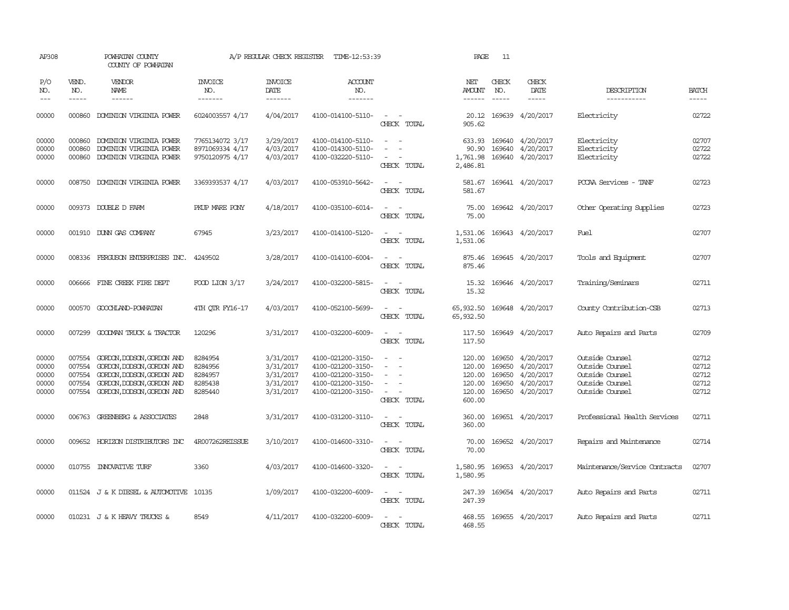| AP308                                     | POWHATAN COUNTY<br>COUNTY OF POWHATAN |                                                                                                                                                           |                                                       | A/P REGULAR CHECK REGISTER                                    | TIME-12:53:39                                                                                         |                                                                                                                             | PAGE                                                     | 11                                   |                                                                      |                                                                                             |                                           |
|-------------------------------------------|---------------------------------------|-----------------------------------------------------------------------------------------------------------------------------------------------------------|-------------------------------------------------------|---------------------------------------------------------------|-------------------------------------------------------------------------------------------------------|-----------------------------------------------------------------------------------------------------------------------------|----------------------------------------------------------|--------------------------------------|----------------------------------------------------------------------|---------------------------------------------------------------------------------------------|-------------------------------------------|
| P/O<br>NO.<br>$---$                       | VEND.<br>NO.<br>$- - - - -$           | VENDOR<br>NAME<br>------                                                                                                                                  | <b>INVOICE</b><br>NO.<br>-------                      | <b>INVOICE</b><br>DATE<br>-------                             | <b>ACCOUNT</b><br>NO.<br>-------                                                                      |                                                                                                                             | NET<br>AMOUNT<br>$- - - - - -$                           | CHECK<br>NO.<br>$- - - - -$          | CHECK<br>DATE<br>-----                                               | DESCRIPTION<br>-----------                                                                  | <b>BATCH</b><br>$- - - - -$               |
| 00000                                     | 000860                                | DOMINION VIRGINIA POWER                                                                                                                                   | 6024003557 4/17                                       | 4/04/2017                                                     | 4100-014100-5110-                                                                                     | CHECK TOTAL                                                                                                                 | 20.12<br>905.62                                          |                                      | 169639 4/20/2017                                                     | Electricity                                                                                 | 02722                                     |
| 00000<br>00000<br>00000                   | 000860<br>000860<br>000860            | DOMINION VIRGINIA POWER<br>DOMINION VIRGINIA POWER<br>DOMINION VIRGINIA POWER                                                                             | 7765134072 3/17<br>8971069334 4/17<br>9750120975 4/17 | 3/29/2017<br>4/03/2017<br>4/03/2017                           | 4100-014100-5110-<br>4100-014300-5110-<br>4100-032220-5110-                                           | $\sim$<br>$\sim$<br>$\overline{\phantom{a}}$<br>CHECK TOTAL                                                                 | 633.93<br>90.90<br>1,761.98<br>2,486.81                  | 169640                               | 169640 4/20/2017<br>4/20/2017<br>169640 4/20/2017                    | Electricity<br>Electricity<br>Electricity                                                   | 02707<br>02722<br>02722                   |
| 00000                                     | 008750                                | DOMINION VIRGINIA POWER                                                                                                                                   | 3369393537 4/17                                       | 4/03/2017                                                     | 4100-053910-5642-                                                                                     | $\overline{\phantom{a}}$<br>CHECK TOTAL                                                                                     | 581.67<br>581.67                                         |                                      | 169641 4/20/2017                                                     | PCCAA Services - TANF                                                                       | 02723                                     |
| 00000                                     |                                       | 009373 DOUBLE D FARM                                                                                                                                      | PKUP MARE PONY                                        | 4/18/2017                                                     | 4100-035100-6014-                                                                                     | $\frac{1}{2} \left( \frac{1}{2} \right) \left( \frac{1}{2} \right) = \frac{1}{2} \left( \frac{1}{2} \right)$<br>CHECK TOTAL | 75.00<br>75.00                                           |                                      | 169642 4/20/2017                                                     | Other Operating Supplies                                                                    | 02723                                     |
| 00000                                     |                                       | 001910 DUNN GAS COMPANY                                                                                                                                   | 67945                                                 | 3/23/2017                                                     | 4100-014100-5120-                                                                                     | $\frac{1}{2} \left( \frac{1}{2} \right) \left( \frac{1}{2} \right) = \frac{1}{2} \left( \frac{1}{2} \right)$<br>CHECK TOTAL | 1,531.06<br>1,531.06                                     |                                      | 169643 4/20/2017                                                     | Fuel                                                                                        | 02707                                     |
| 00000                                     |                                       | 008336 FERGUSON ENTERPRISES INC.                                                                                                                          | 4249502                                               | 3/28/2017                                                     | 4100-014100-6004-                                                                                     | CHECK TOTAL                                                                                                                 | 875.46<br>875.46                                         |                                      | 169645 4/20/2017                                                     | Tools and Equipment                                                                         | 02707                                     |
| 00000                                     | 006666                                | FINE CREEK FIRE DEPT                                                                                                                                      | FOOD LION 3/17                                        | 3/24/2017                                                     | 4100-032200-5815-                                                                                     | $\overline{\phantom{a}}$<br>CHECK TOTAL                                                                                     | 15.32<br>15.32                                           |                                      | 169646 4/20/2017                                                     | Training/Seminars                                                                           | 02711                                     |
| 00000                                     | 000570                                | GOOCHLAND-POWHATAN                                                                                                                                        | 4TH OTR FY16-17                                       | 4/03/2017                                                     | 4100-052100-5699-                                                                                     | CHECK TOTAL                                                                                                                 | 65,932.50<br>65,932.50                                   |                                      | 169648 4/20/2017                                                     | County Contribution-CSB                                                                     | 02713                                     |
| 00000                                     | 007299                                | GOODMAN TRUCK & TRACTOR                                                                                                                                   | 120296                                                | 3/31/2017                                                     | 4100-032200-6009-                                                                                     | <b>.</b><br>CHECK TOTAL                                                                                                     | 117.50<br>117.50                                         |                                      | 169649 4/20/2017                                                     | Auto Repairs and Parts                                                                      | 02709                                     |
| 00000<br>00000<br>00000<br>00000<br>00000 | 007554<br>007554<br>007554<br>007554  | GORDON, DODSON, GORDON AND<br>GORDON, DODSON, GORDON AND<br>GORDON, DODSON, GORDON AND<br>GORDON, DODSON, GORDON AND<br>007554 GORDON, DODSON, GORDON AND | 8284954<br>8284956<br>8284957<br>8285438<br>8285440   | 3/31/2017<br>3/31/2017<br>3/31/2017<br>3/31/2017<br>3/31/2017 | 4100-021200-3150-<br>4100-021200-3150-<br>4100-021200-3150-<br>4100-021200-3150-<br>4100-021200-3150- | $\overline{\phantom{a}}$<br>CHECK TOTAL                                                                                     | 120.00<br>120.00<br>120.00<br>120.00<br>120.00<br>600.00 | 169650<br>169650<br>169650<br>169650 | 4/20/2017<br>4/20/2017<br>4/20/2017<br>4/20/2017<br>169650 4/20/2017 | Outside Counsel<br>Outside Counsel<br>Outside Counsel<br>Outside Counsel<br>Outside Counsel | 02712<br>02712<br>02712<br>02712<br>02712 |
| 00000                                     |                                       | 006763 GREENBERG & ASSOCIATES                                                                                                                             | 2848                                                  | 3/31/2017                                                     | 4100-031200-3110-                                                                                     | $\sim$<br>CHECK TOTAL                                                                                                       | 360.00<br>360.00                                         |                                      | 169651 4/20/2017                                                     | Professional Health Services                                                                | 02711                                     |
| 00000                                     |                                       | 009652 HORIZON DISTRIBUTORS INC                                                                                                                           | 4R007262REISSUE                                       | 3/10/2017                                                     | 4100-014600-3310-                                                                                     | $\sim$<br>$\sim$<br>CHECK TOTAL                                                                                             | 70.00<br>70.00                                           |                                      | 169652 4/20/2017                                                     | Repairs and Maintenance                                                                     | 02714                                     |
| 00000                                     |                                       | 010755 INNOVATIVE TURF                                                                                                                                    | 3360                                                  | 4/03/2017                                                     | 4100-014600-3320-                                                                                     | $\sim$<br>CHECK TOTAL                                                                                                       | 1,580.95<br>1,580.95                                     |                                      | 169653 4/20/2017                                                     | Maintenance/Service Contracts                                                               | 02707                                     |
| 00000                                     |                                       | 011524 J & K DIESEL & AUTOMOTIVE 10135                                                                                                                    |                                                       | 1/09/2017                                                     | 4100-032200-6009-                                                                                     | $\overline{\phantom{a}}$<br>CHECK TOTAL                                                                                     | 247.39                                                   |                                      | 247.39 169654 4/20/2017                                              | Auto Repairs and Parts                                                                      | 02711                                     |
| 00000                                     |                                       | 010231 J & K HEAVY TRUCKS &                                                                                                                               | 8549                                                  | 4/11/2017                                                     | 4100-032200-6009-                                                                                     | CHECK TOTAL                                                                                                                 | 468.55<br>468.55                                         |                                      | 169655 4/20/2017                                                     | Auto Repairs and Parts                                                                      | 02711                                     |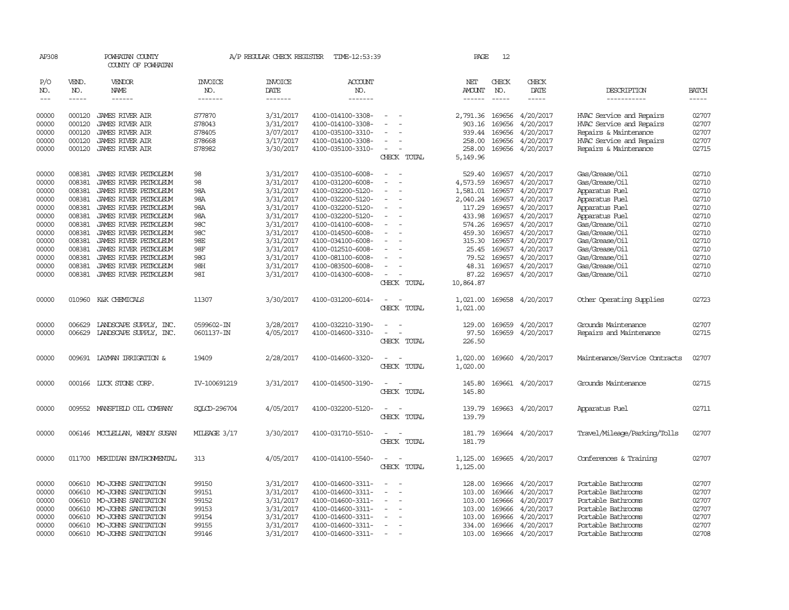| AP308             |                  | POWHATAN COUNTY<br>COUNTY OF POWHATAN            |                       | A/P REGULAR CHECK REGISTER | TIME-12:53:39                          |                                      | PAGE                 | 12               |                        |                                                      |                |
|-------------------|------------------|--------------------------------------------------|-----------------------|----------------------------|----------------------------------------|--------------------------------------|----------------------|------------------|------------------------|------------------------------------------------------|----------------|
| P/O<br>NO.        | VEND.<br>NO.     | VENDOR<br>NAME                                   | <b>INVOICE</b><br>NO. | <b>INVOICE</b><br>DATE     | <b>ACCOUNT</b><br>NO.                  |                                      | NET<br>AMOUNT        | CHECK<br>NO.     | CHECK<br>DATE          | DESCRIPTION                                          | <b>BATCH</b>   |
| $\qquad \qquad -$ | -----            | ------                                           | -------               | -------                    | -------                                |                                      |                      | $- - - - -$      | -----                  | -----------                                          | $- - - - -$    |
| 00000<br>00000    | 000120<br>000120 | <b>JAMES RIVER AIR</b><br><b>JAMES RIVER AIR</b> | S77870<br>S78043      | 3/31/2017<br>3/31/2017     | 4100-014100-3308-<br>4100-014100-3308- |                                      | 2,791.36<br>903.16   | 169656<br>169656 | 4/20/2017<br>4/20/2017 | HVAC Service and Repairs<br>HVAC Service and Repairs | 02707<br>02707 |
| 00000             | 000120           | <b>JAMES RIVER AIR</b>                           | S78405                | 3/07/2017                  | 4100-035100-3310-                      |                                      | 939.44               | 169656           | 4/20/2017              | Repairs & Maintenance                                | 02707          |
| 00000             | 000120           | <b>JAMES RIVER AIR</b>                           | S78668                | 3/17/2017                  | 4100-014100-3308-                      |                                      | 258.00               | 169656           | 4/20/2017              | HVAC Service and Repairs                             | 02707          |
| 00000             | 000120           | <b>JAMES RIVER AIR</b>                           | S78982                | 3/30/2017                  | 4100-035100-3310-                      | $\equiv$<br>CHECK TOTAL              | 258.00<br>5,149.96   | 169656           | 4/20/2017              | Repairs & Maintenance                                | 02715          |
| 00000             | 008381           | JAMES RIVER PEIROLEUM                            | 98                    | 3/31/2017                  | 4100-035100-6008-                      | $\equiv$                             | 529.40               | 169657           | 4/20/2017              | Gas/Grease/Oil                                       | 02710          |
| 00000             | 008381           | JAMES RIVER PEIROLEUM                            | 98                    | 3/31/2017                  | 4100-031200-6008-                      |                                      | 4,573.59             | 169657           | 4/20/2017              | Gas/Grease/Oil                                       | 02710          |
| 00000<br>00000    | 008381<br>008381 | JAMES RIVER PEIROLEUM<br>JAMES RIVER PETROLEUM   | 98A<br>98A            | 3/31/2017                  | 4100-032200-5120-<br>4100-032200-5120- |                                      | 1,581.01             | 169657<br>169657 | 4/20/2017<br>4/20/2017 | Apparatus Fuel                                       | 02710<br>02710 |
| 00000             | 008381           | JAMES RIVER PETROLEUM                            | 98A                   | 3/31/2017<br>3/31/2017     | 4100-032200-5120-                      |                                      | 2,040.24<br>117.29   | 169657           | 4/20/2017              | Apparatus Fuel<br>Apparatus Fuel                     | 02710          |
| 00000             | 008381           | JAMES RIVER PEIROLEUM                            | 98A                   | 3/31/2017                  | 4100-032200-5120-                      |                                      | 433.98               | 169657           | 4/20/2017              | Apparatus Fuel                                       | 02710          |
| 00000             | 008381           | JAMES RIVER PEIROLEUM                            | 98C                   | 3/31/2017                  | 4100-014100-6008-                      |                                      | 574.26               | 169657           | 4/20/2017              | Gas/Grease/Oil                                       | 02710          |
| 00000             | 008381           | JAMES RIVER PETROLEUM                            | 98C                   | 3/31/2017                  | 4100-014500-6008-                      |                                      | 459.30               | 169657           | 4/20/2017              | Gas/Grease/Oil                                       | 02710          |
| 00000             | 008381           | JAMES RIVER PEIROLEUM                            | 98E                   | 3/31/2017                  | 4100-034100-6008-                      |                                      | 315.30               | 169657           | 4/20/2017              | Gas/Grease/Oil                                       | 02710          |
| 00000             | 008381           | JAMES RIVER PETROLEUM                            | 98F                   | 3/31/2017                  | 4100-012510-6008-                      |                                      | 25.45                | 169657           | 4/20/2017              | Gas/Grease/Oil                                       | 02710          |
| 00000             | 008381           | JAMES RIVER PEIROLEUM                            | 98G                   | 3/31/2017                  | 4100-081100-6008-                      |                                      | 79.52                | 169657           | 4/20/2017              | Gas/Grease/Oil                                       | 02710          |
| 00000             | 008381           | JAMES RIVER PEIROLEUM                            | 98H                   | 3/31/2017                  | 4100-083500-6008-                      |                                      | 48.31                | 169657           | 4/20/2017              | Gas/Grease/Oil                                       | 02710          |
| 00000             | 008381           | JAMES RIVER PEIROLEUM                            | 98I                   | 3/31/2017                  | 4100-014300-6008-                      |                                      | 87.22                | 169657           | 4/20/2017              | Gas/Grease/Oil                                       | 02710          |
|                   |                  |                                                  |                       |                            |                                        | CHECK TOTAL                          | 10,864.87            |                  |                        |                                                      |                |
| 00000             | 010960           | K&K CHEMICALS                                    | 11307                 | 3/30/2017                  | 4100-031200-6014-                      | CHECK TOTAL                          | 1,021.00<br>1,021.00 | 169658           | 4/20/2017              | Other Operating Supplies                             | 02723          |
| 00000             | 006629           | LANDSCAPE SUPPLY, INC.                           | 0599602-IN            | 3/28/2017                  | 4100-032210-3190-                      |                                      | 129.00               | 169659           | 4/20/2017              | Grounds Maintenance                                  | 02707          |
| 00000             | 006629           | LANDSCAPE SUPPLY, INC.                           | 0601137-IN            | 4/05/2017                  | 4100-014600-3310-                      |                                      | 97.50                | 169659           | 4/20/2017              | Repairs and Maintenance                              | 02715          |
|                   |                  |                                                  |                       |                            |                                        | CHECK TOTAL                          | 226.50               |                  |                        |                                                      |                |
| 00000             |                  | 009691 LAYMAN IRRIGATION &                       | 19409                 | 2/28/2017                  | 4100-014600-3320-                      |                                      | 1,020.00             | 169660           | 4/20/2017              | Maintenance/Service Contracts                        | 02707          |
|                   |                  |                                                  |                       |                            |                                        | CHECK TOTAL                          | 1,020.00             |                  |                        |                                                      |                |
| 00000             |                  | 000166 LUCK STONE CORP.                          | IV-100691219          | 3/31/2017                  | 4100-014500-3190-                      | CHECK TOTAL                          | 145.80<br>145.80     |                  | 169661 4/20/2017       | Grounds Maintenance                                  | 02715          |
|                   |                  | 009552 MANSFIELD OIL COMPANY                     |                       |                            | 4100-032200-5120-                      |                                      |                      |                  |                        |                                                      | 02711          |
| 00000             |                  |                                                  | SOLCD-296704          | 4/05/2017                  |                                        | CHECK TOTAL                          | 139.79<br>139.79     |                  | 169663 4/20/2017       | Apparatus Fuel                                       |                |
| 00000             |                  | 006146 MCCLELLAN, WENDY SUSAN                    | MILEAGE 3/17          | 3/30/2017                  | 4100-031710-5510-                      |                                      | 181.79               |                  | 169664 4/20/2017       | Travel/Mileage/Parking/Tolls                         | 02707          |
|                   |                  |                                                  |                       |                            |                                        | CHECK TOTAL                          | 181.79               |                  |                        |                                                      |                |
| 00000             |                  | 011700 MERIDIAN ENVIRONMENTAL                    | 313                   | 4/05/2017                  | 4100-014100-5540-                      | CHECK TOTAL                          | 1,125.00<br>1,125.00 |                  | 169665 4/20/2017       | Conferences & Training                               | 02707          |
| 00000             | 006610           | MO-JOHNS SANITATION                              | 99150                 | 3/31/2017                  | 4100-014600-3311-                      |                                      | 128.00               | 169666           | 4/20/2017              | Portable Bathrooms                                   | 02707          |
| 00000             | 006610           | MO-JOHNS SANITATION                              | 99151                 | 3/31/2017                  | 4100-014600-3311-                      | $\equiv$<br>$\overline{\phantom{a}}$ | 103.00               | 169666           | 4/20/2017              | Portable Bathrooms                                   | 02707          |
| 00000             | 006610           | MO-JOHNS SANITATION                              | 99152                 | 3/31/2017                  | 4100-014600-3311-                      |                                      | 103.00               | 169666           | 4/20/2017              | Portable Bathrooms                                   | 02707          |
| 00000             | 006610           | MO-JOHNS SANITATION                              | 99153                 | 3/31/2017                  | 4100-014600-3311-                      |                                      | 103.00               | 169666           | 4/20/2017              | Portable Bathrooms                                   | 02707          |
| 00000             | 006610           | MO-JOHNS SANITATION                              | 99154                 | 3/31/2017                  | 4100-014600-3311-                      |                                      | 103.00               | 169666           | 4/20/2017              | Portable Bathrooms                                   | 02707          |
| 00000             |                  | 006610 MO-JOHNS SANITATION                       | 99155                 | 3/31/2017                  | 4100-014600-3311-                      |                                      | 334.00               | 169666           | 4/20/2017              | Portable Bathrooms                                   | 02707          |
| 00000             |                  | 006610 MO-JOHNS SANITATION                       | 99146                 | 3/31/2017                  | 4100-014600-3311-                      | $\sim$                               | 103.00               | 169666           | 4/20/2017              | Portable Bathrooms                                   | 02708          |
|                   |                  |                                                  |                       |                            |                                        |                                      |                      |                  |                        |                                                      |                |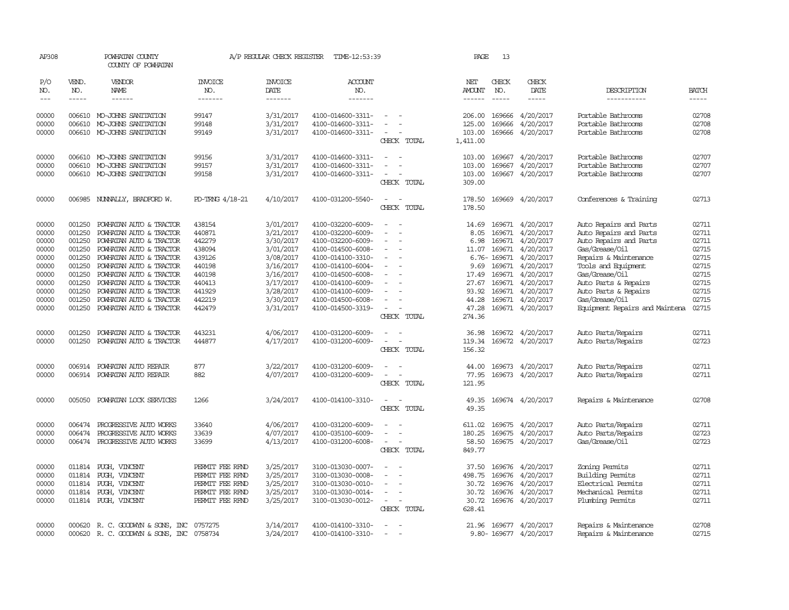| AP308          |                  | POWHATAN COUNTY<br>COUNTY OF POWHATAN              |                       | A/P REGULAR CHECK REGISTER | TIME-12:53:39                          |                          | PAGE           | 13            |                                      |                                        |                |
|----------------|------------------|----------------------------------------------------|-----------------------|----------------------------|----------------------------------------|--------------------------|----------------|---------------|--------------------------------------|----------------------------------------|----------------|
| P/O<br>NO.     | VEND.<br>NO.     | <b>VENDOR</b><br>NAME                              | <b>INVOICE</b><br>NO. | <b>INVOICE</b><br>DATE     | <b>ACCOUNT</b><br>NO.                  |                          | NET<br>AMOUNT  | CHECK<br>NO.  | CHECK<br>DATE                        | DESCRIPTION                            | <b>BATCH</b>   |
| $\frac{1}{2}$  | -----            | ------                                             | -------               | $- - - - - - -$            | -------                                |                          |                | $\frac{1}{2}$ | -----                                | -----------                            | $- - - - -$    |
| 00000          |                  | 006610 MO-JOHNS SANITATION                         | 99147                 | 3/31/2017                  | 4100-014600-3311-                      | $\overline{\phantom{a}}$ | 206.00         | 169666        | 4/20/2017                            | Portable Bathrooms                     | 02708          |
| 00000          | 006610           | MO-JOHNS SANITATION                                | 99148                 | 3/31/2017                  | 4100-014600-3311-                      |                          | 125.00         | 169666        | 4/20/2017                            | Portable Bathrooms                     | 02708          |
| 00000          |                  | 006610 MO-JOHNS SANITATION                         | 99149                 | 3/31/2017                  | 4100-014600-3311-                      |                          | 103.00         |               | 169666 4/20/2017                     | Portable Bathrooms                     | 02708          |
|                |                  |                                                    |                       |                            |                                        | CHECK TOTAL              | 1,411.00       |               |                                      |                                        |                |
| 00000          |                  | 006610 MO-JOHNS SANITATION                         | 99156                 | 3/31/2017                  | 4100-014600-3311-                      |                          | 103.00         | 169667        | 4/20/2017                            | Portable Bathrooms                     | 02707          |
| 00000          | 006610           | MO-JOHNS SANITATION                                | 99157                 | 3/31/2017                  | 4100-014600-3311-                      |                          | 103.00         | 169667        | 4/20/2017                            | Portable Bathrooms                     | 02707          |
| 00000          |                  | 006610 MO-JOHNS SANITATION                         | 99158                 | 3/31/2017                  | 4100-014600-3311-                      |                          | 103.00         |               | 169667 4/20/2017                     | Portable Bathrooms                     | 02707          |
|                |                  |                                                    |                       |                            |                                        | CHECK TOTAL              | 309.00         |               |                                      |                                        |                |
| 00000          | 006985           | NUNNALLY, BRADFORD W.                              | PD-TRNG 4/18-21       | 4/10/2017                  | 4100-031200-5540-                      |                          | 178.50         |               | 169669 4/20/2017                     | Conferences & Training                 | 02713          |
|                |                  |                                                    |                       |                            |                                        | CHECK TOTAL              | 178.50         |               |                                      |                                        |                |
| 00000          | 001250           | POWHATAN AUTO & TRACTOR                            | 438154                | 3/01/2017                  | 4100-032200-6009-                      |                          | 14.69          |               | 169671 4/20/2017                     | Auto Repairs and Parts                 | 02711          |
| 00000          | 001250           | POWHATAN AUTO & TRACTOR                            | 440871                | 3/21/2017                  | 4100-032200-6009-                      | $\sim$                   | 8.05           |               | 169671 4/20/2017                     | Auto Repairs and Parts                 | 02711          |
| 00000          | 001250           | POWHATAN AUTO & TRACTOR                            | 442279                | 3/30/2017                  | 4100-032200-6009-                      | $\equiv$                 | 6.98           |               | 169671 4/20/2017                     | Auto Repairs and Parts                 | 02711          |
| 00000          | 001250           | POWHATAN AUTO & TRACTOR                            | 438094                | 3/01/2017                  | 4100-014500-6008-                      |                          | 11.07          |               | 169671 4/20/2017                     | Gas/Grease/Oil                         | 02715          |
| 00000          | 001250           | POWHATAN AUTO & TRACTOR                            | 439126                | 3/08/2017                  | 4100-014100-3310-                      | $\equiv$                 |                |               | 6.76-169671 4/20/2017                | Repairs & Maintenance                  | 02715          |
| 00000          | 001250           | POWHATAN AUTO & TRACTOR                            | 440198                | 3/16/2017                  | 4100-014100-6004-                      |                          | 9.69           |               | 169671 4/20/2017                     | Tools and Equipment                    | 02715          |
| 00000          | 001250           | POWHATAN AUTO & TRACTOR                            | 440198                | 3/16/2017                  | 4100-014500-6008-                      |                          | 17.49          |               | 169671 4/20/2017                     | Gas/Grease/Oil                         | 02715          |
| 00000<br>00000 | 001250<br>001250 | POWHATAN AUTO & TRACTOR                            | 440413<br>441929      | 3/17/2017                  | 4100-014100-6009-                      | $\equiv$                 | 27.67<br>93.92 |               | 169671 4/20/2017                     | Auto Parts & Repairs                   | 02715<br>02715 |
| 00000          | 001250           | POWHATAN AUTO & TRACTOR<br>POWHATAN AUTO & TRACTOR | 442219                | 3/28/2017<br>3/30/2017     | 4100-014100-6009-<br>4100-014500-6008- |                          | 44.28          |               | 169671 4/20/2017<br>169671 4/20/2017 | Auto Parts & Repairs<br>Gas/Grease/0il | 02715          |
| 00000          | 001250           | POWHATAN AUTO & TRACTOR                            | 442479                | 3/31/2017                  | 4100-014500-3319-                      | $\overline{\phantom{a}}$ | 47.28          |               | 169671 4/20/2017                     | Equipment Repairs and Maintena         | 02715          |
|                |                  |                                                    |                       |                            |                                        | CHECK TOTAL              | 274.36         |               |                                      |                                        |                |
| 00000          | 001250           | POWHATAN AUTO & TRACTOR                            | 443231                | 4/06/2017                  | 4100-031200-6009-                      |                          | 36.98          |               | 169672 4/20/2017                     | Auto Parts/Repairs                     | 02711          |
| 00000          | 001250           | POWHATAN AUTO & TRACTOR                            | 444877                | 4/17/2017                  | 4100-031200-6009-                      |                          | 119.34         |               | 169672 4/20/2017                     | Auto Parts/Repairs                     | 02723          |
|                |                  |                                                    |                       |                            |                                        | CHECK TOTAL              | 156.32         |               |                                      |                                        |                |
| 00000          | 006914           | POWHATAN AUTO REPAIR                               | 877                   | 3/22/2017                  | 4100-031200-6009-                      |                          | 44.00          |               | 169673 4/20/2017                     | Auto Parts/Repairs                     | 02711          |
| 00000          | 006914           | POWHATAN AUTO REPAIR                               | 882                   | 4/07/2017                  | 4100-031200-6009-                      |                          | 77.95          |               | 169673 4/20/2017                     | Auto Parts/Repairs                     | 02711          |
|                |                  |                                                    |                       |                            |                                        | CHECK TOTAL              | 121.95         |               |                                      |                                        |                |
| 00000          | 005050           | POWHATAN LOCK SERVICES                             | 1266                  | 3/24/2017                  | 4100-014100-3310-                      | $\overline{\phantom{a}}$ | 49.35          |               | 169674 4/20/2017                     | Repairs & Maintenance                  | 02708          |
|                |                  |                                                    |                       |                            |                                        | CHECK TOTAL              | 49.35          |               |                                      |                                        |                |
| 00000          | 006474           | PROGRESSIVE AUTO WORKS                             | 33640                 | 4/06/2017                  | 4100-031200-6009-                      |                          | 611.02         |               | 169675 4/20/2017                     | Auto Parts/Repairs                     | 02711          |
| 00000          | 006474           | PROGRESSIVE AUTO WORKS                             | 33639                 | 4/07/2017                  | 4100-035100-6009-                      |                          | 180.25         |               | 169675 4/20/2017                     | Auto Parts/Repairs                     | 02723          |
| 00000          |                  | 006474 PROGRESSIVE AUTO WORKS                      | 33699                 | 4/13/2017                  | 4100-031200-6008-                      | $\sim$                   | 58.50          |               | 169675 4/20/2017                     | Gas/Grease/Oil                         | 02723          |
|                |                  |                                                    |                       |                            |                                        | CHECK TOTAL              | 849.77         |               |                                      |                                        |                |
| 00000          | 011814           | PUGH, VINCENT                                      | PERMIT FEE REND       | 3/25/2017                  | 3100-013030-0007-                      |                          | 37.50          |               | 169676 4/20/2017                     | Zoning Permits                         | 02711          |
| 00000          | 011814           | PUGH, VINCENT                                      | PERMIT FEE REND       | 3/25/2017                  | 3100-013030-0008-                      |                          | 498.75         |               | 169676 4/20/2017                     | <b>Building Permits</b>                | 02711          |
| 00000          | 011814           | PUGH, VINCENT                                      | PERMIT FEE REND       | 3/25/2017                  | 3100-013030-0010-                      | $\equiv$                 | 30.72          | 169676        | 4/20/2017                            | Electrical Permits                     | 02711          |
| 00000          | 011814           | PUGH, VINCENT                                      | PERMIT FEE REND       | 3/25/2017                  | 3100-013030-0014-                      | $\equiv$                 | 30.72          | 169676        | 4/20/2017                            | Mechanical Permits                     | 02711          |
| 00000          |                  | 011814 PUCH, VINCENT                               | PERMIT FEE REND       | 3/25/2017                  | 3100-013030-0012-                      | $\equiv$                 | 30.72          |               | 169676 4/20/2017                     | Plumbing Permits                       | 02711          |
|                |                  |                                                    |                       |                            |                                        | CHECK TOTAL              | 628.41         |               |                                      |                                        |                |
| 00000          |                  | 000620 R. C. GOODWYN & SONS, INC 0757275           |                       | 3/14/2017                  | 4100-014100-3310-                      | $\sim$                   |                |               | 21.96 169677 4/20/2017               | Repairs & Maintenance                  | 02708          |
| 00000          | 000620           | R. C. GOODWYN & SONS, INC                          | 0758734               | 3/24/2017                  | 4100-014100-3310-                      |                          |                |               | 9.80-169677 4/20/2017                | Repairs & Maintenance                  | 02715          |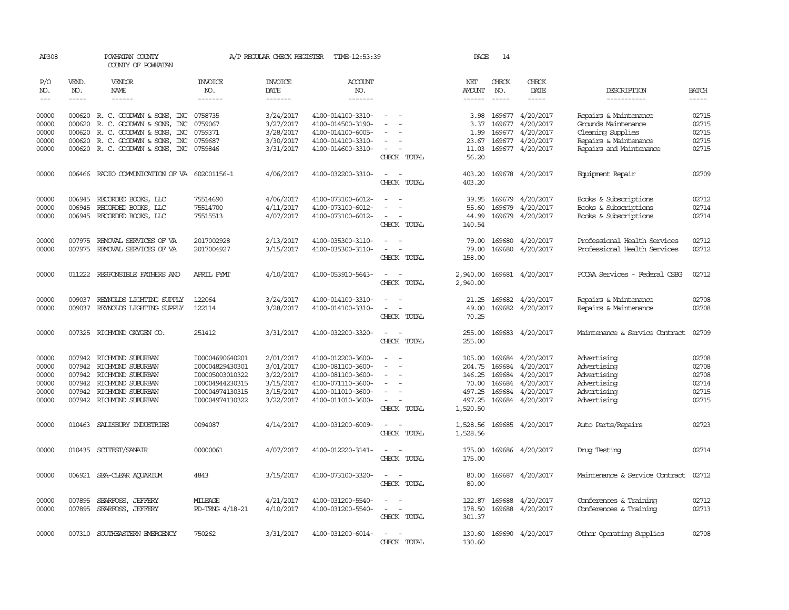| AP308               |                             | POWHATAN COUNTY<br>COUNTY OF POWHATAN                                |                                    | A/P REGULAR CHECK REGISTER        | TIME-12:53:39                          |                                                                          | PAGE                                  | 14                          |                               |                                                              |                             |
|---------------------|-----------------------------|----------------------------------------------------------------------|------------------------------------|-----------------------------------|----------------------------------------|--------------------------------------------------------------------------|---------------------------------------|-----------------------------|-------------------------------|--------------------------------------------------------------|-----------------------------|
| P/O<br>NO.<br>$---$ | VEND.<br>NO.<br>$- - - - -$ | VENDOR<br><b>NAME</b><br>$- - - - - -$                               | INVOICE<br>NO.<br>-------          | <b>INVOICE</b><br>DATE<br>------- | <b>ACCOUNT</b><br>NO.<br>-------       |                                                                          | NET<br><b>AMOUNT</b><br>$- - - - - -$ | CHECK<br>NO.<br>$- - - - -$ | CHECK<br>DATE<br>-----        | DESCRIPTION<br>-----------                                   | <b>BATCH</b><br>$- - - - -$ |
| 00000               |                             | 000620 R. C. GOODWYN & SONS, INC 0758735                             |                                    | 3/24/2017                         | 4100-014100-3310-                      |                                                                          | 3.98                                  |                             | 169677 4/20/2017              | Repairs & Maintenance                                        | 02715                       |
| 00000<br>00000      |                             | 000620 R. C. GOODWYN & SONS, INC<br>000620 R. C. GOODWYN & SONS, INC | 0759067<br>0759371                 | 3/27/2017<br>3/28/2017            | 4100-014500-3190-<br>4100-014100-6005- |                                                                          | 3.37<br>1.99                          | 169677                      | 4/20/2017<br>169677 4/20/2017 | Grounds Maintenance<br>Cleaning Supplies                     | 02715<br>02715              |
| 00000               |                             | 000620 R. C. GOODWYN & SONS, INC                                     | 0759687                            | 3/30/2017                         | 4100-014100-3310-                      | $\equiv$                                                                 | 23.67                                 |                             | 169677 4/20/2017              | Repairs & Maintenance                                        | 02715                       |
| 00000               |                             | 000620 R. C. GOODWYN & SONS, INC 0759846                             |                                    | 3/31/2017                         | 4100-014600-3310-                      | $\sim$<br>CHECK TOTAL                                                    | 11.03<br>56.20                        |                             | 169677 4/20/2017              | Repairs and Maintenance                                      | 02715                       |
| 00000               |                             | 006466 RADIO COMMUNICATION OF VA 602001156-1                         |                                    | 4/06/2017                         | 4100-032200-3310-                      | CHECK TOTAL                                                              | 403.20<br>403.20                      |                             | 169678 4/20/2017              | Equipment Repair                                             | 02709                       |
| 00000<br>00000      | 006945<br>006945            | RECORDED BOOKS, LLC<br>RECORDED BOOKS, LLC                           | 75514690<br>75514700               | 4/06/2017<br>4/11/2017            | 4100-073100-6012-<br>4100-073100-6012- | $\overline{\phantom{a}}$<br>$\overline{\phantom{a}}$                     | 39.95<br>55.60                        | 169679<br>169679            | 4/20/2017<br>4/20/2017        | Books & Subscriptions<br>Books & Subscriptions               | 02712<br>02714              |
| 00000               |                             | 006945 RECORDED BOOKS, LLC                                           | 75515513                           | 4/07/2017                         | 4100-073100-6012-                      | $\sim$                                                                   | 44.99                                 | 169679                      | 4/20/2017                     | Books & Subscriptions                                        | 02714                       |
|                     |                             |                                                                      |                                    |                                   |                                        | CHECK TOTAL                                                              | 140.54                                |                             |                               |                                                              |                             |
| 00000<br>00000      | 007975<br>007975            | REMOVAL SERVICES OF VA<br>REMOVAL SERVICES OF VA                     | 2017002928<br>2017004927           | 2/13/2017<br>3/15/2017            | 4100-035300-3110-<br>4100-035300-3110- | $\overline{\phantom{a}}$<br>$\sim$<br>$\sim$<br>$\overline{\phantom{a}}$ | 79.00<br>79.00                        | 169680<br>169680            | 4/20/2017<br>4/20/2017        | Professional Health Services<br>Professional Health Services | 02712<br>02712              |
|                     |                             |                                                                      |                                    |                                   |                                        | CHECK TOTAL                                                              | 158.00                                |                             |                               |                                                              |                             |
| 00000               |                             | 011222 RESPONSIBLE FATHERS AND                                       | APRIL PYMT                         | 4/10/2017                         | 4100-053910-5643-                      | $\overline{\phantom{a}}$<br>CHECK TOTAL                                  | 2,940.00<br>2,940.00                  |                             | 169681 4/20/2017              | PCCAA Services - Federal CSBG                                | 02712                       |
| 00000               | 009037                      | REYNOLDS LIGHTING SUPPLY                                             | 122064                             | 3/24/2017                         | 4100-014100-3310-                      | $\equiv$<br>- 11                                                         |                                       | 21.25 169682                | 4/20/2017                     | Repairs & Maintenance                                        | 02708                       |
| 00000               | 009037                      | REYNOLDS LIGHTING SUPPLY                                             | 122114                             | 3/28/2017                         | 4100-014100-3310-                      | $\sim$<br>$\overline{\phantom{a}}$<br>CHECK TOTAL                        | 49.00<br>70.25                        | 169682                      | 4/20/2017                     | Repairs & Maintenance                                        | 02708                       |
| 00000               |                             | 007325 RICHMOND OXYGEN CO.                                           | 251412                             | 3/31/2017                         | 4100-032200-3320-                      | $\sim$<br>$\sim$<br>CHECK TOTAL                                          | 255.00<br>255.00                      | 169683                      | 4/20/2017                     | Maintenance & Service Contract                               | 02709                       |
| 00000               |                             | 007942 RICHMOND SUBURBAN                                             | I00004690640201                    | 2/01/2017                         | 4100-012200-3600-                      | $\sim$<br>$\overline{\phantom{a}}$                                       | 105.00                                | 169684                      | 4/20/2017                     | Advertising                                                  | 02708                       |
| 00000<br>00000      |                             | 007942 RICHMOND SUBURBAN<br>007942 RICHMOND SUBURBAN                 | I00004829430301<br>I00005003010322 | 3/01/2017<br>3/22/2017            | 4100-081100-3600-<br>4100-081100-3600- | $\sim$                                                                   | 204.75<br>146.25                      | 169684<br>169684            | 4/20/2017<br>4/20/2017        | Advertising<br>Advertising                                   | 02708<br>02708              |
| 00000               |                             | 007942 RICHMOND SUBURBAN                                             | I00004944230315                    | 3/15/2017                         | 4100-071110-3600-                      |                                                                          | 70.00                                 | 169684                      | 4/20/2017                     | Advertising                                                  | 02714                       |
| 00000               |                             | 007942 RICHMOND SUBURBAN                                             | I00004974130315                    | 3/15/2017                         | 4100-011010-3600-                      | $\sim$                                                                   | 497.25                                | 169684                      | 4/20/2017                     | Advertising                                                  | 02715                       |
| 00000               |                             | 007942 RICHMOND SUBURBAN                                             | I00004974130322                    | 3/22/2017                         | 4100-011010-3600-                      | $\sim$<br>CHECK TOTAL                                                    | 497.25<br>1,520.50                    | 169684                      | 4/20/2017                     | Advertising                                                  | 02715                       |
| 00000               | 010463                      | SALISBURY INDUSTRIES                                                 | 0094087                            | 4/14/2017                         | 4100-031200-6009-                      | $\overline{\phantom{a}}$<br>CHECK TOTAL                                  | 1,528.56<br>1,528.56                  | 169685                      | 4/20/2017                     | Auto Parts/Repairs                                           | 02723                       |
| 00000               |                             | 010435 SCITEST/SANAIR                                                | 00000061                           | 4/07/2017                         | 4100-012220-3141-                      | CHECK TOTAL                                                              | 175.00<br>175.00                      |                             | 169686 4/20/2017              | Drug Testing                                                 | 02714                       |
| 00000               |                             | 006921 SEA-CLEAR AQUARIUM                                            | 4843                               | 3/15/2017                         | 4100-073100-3320-                      | CHECK TOTAL                                                              | 80.00<br>80.00                        |                             | 169687 4/20/2017              | Maintenance & Service Contract                               | 02712                       |
| 00000               | 007895                      | SEARFOSS, JEFFERY                                                    | MILEAGE                            | 4/21/2017                         | 4100-031200-5540-                      |                                                                          | 122.87 169688                         |                             | 4/20/2017                     | Conferences & Training                                       | 02712                       |
| 00000               | 007895                      | SEARFOSS, JEFFERY                                                    | PD-TRNG 4/18-21                    | 4/10/2017                         | 4100-031200-5540-                      | $\sim$<br>$\sim$<br>CHECK TOTAL                                          | 178.50<br>301.37                      | 169688                      | 4/20/2017                     | Conferences & Training                                       | 02713                       |
| 00000               |                             | 007310 SOUTHEASTERN EMERGENCY                                        | 750262                             | 3/31/2017                         | 4100-031200-6014-                      | CHECK TOTAL                                                              | 130.60<br>130.60                      |                             | 169690 4/20/2017              | Other Operating Supplies                                     | 02708                       |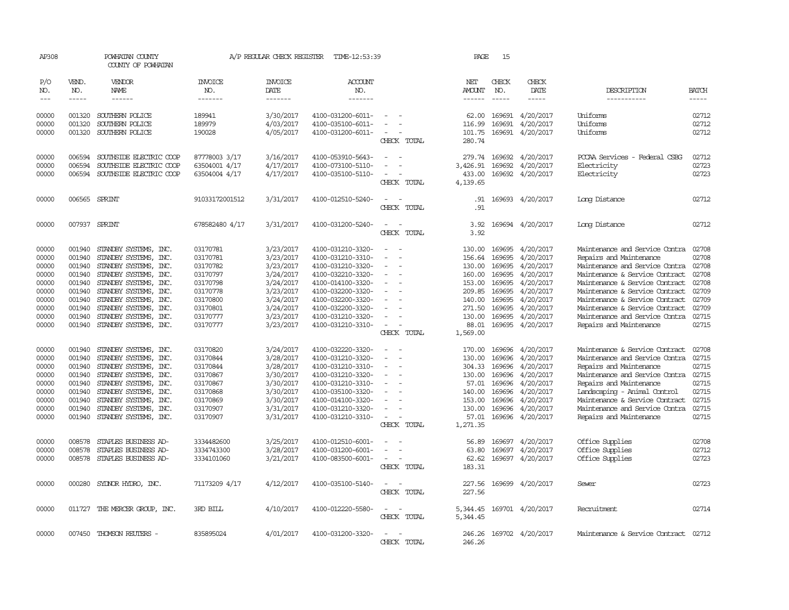| AP308                                                                                                                                                 |                                                                                                                                                    | POWHATAN COUNTY<br>COUNTY OF POWHATAN                                                                                                                                                                                                                                                                                                                                                                                                               |                                                                                                                                                                                                          | A/P REGULAR CHECK REGISTER                                                                                                                                                                                                | TIME-12:53:39                                                                                                                                                                                                                                                                                                                                                     |                       | PAGE                                                                                                                                                                             | 15                                                                                                                                                           |                                                                                                                                                                                                                                  |                                                                                                                                                                                                                                                                                                                                                                                                                                                                                                                                                                  |                                                                                                                                                       |
|-------------------------------------------------------------------------------------------------------------------------------------------------------|----------------------------------------------------------------------------------------------------------------------------------------------------|-----------------------------------------------------------------------------------------------------------------------------------------------------------------------------------------------------------------------------------------------------------------------------------------------------------------------------------------------------------------------------------------------------------------------------------------------------|----------------------------------------------------------------------------------------------------------------------------------------------------------------------------------------------------------|---------------------------------------------------------------------------------------------------------------------------------------------------------------------------------------------------------------------------|-------------------------------------------------------------------------------------------------------------------------------------------------------------------------------------------------------------------------------------------------------------------------------------------------------------------------------------------------------------------|-----------------------|----------------------------------------------------------------------------------------------------------------------------------------------------------------------------------|--------------------------------------------------------------------------------------------------------------------------------------------------------------|----------------------------------------------------------------------------------------------------------------------------------------------------------------------------------------------------------------------------------|------------------------------------------------------------------------------------------------------------------------------------------------------------------------------------------------------------------------------------------------------------------------------------------------------------------------------------------------------------------------------------------------------------------------------------------------------------------------------------------------------------------------------------------------------------------|-------------------------------------------------------------------------------------------------------------------------------------------------------|
| P/O<br>NO.<br>$---$                                                                                                                                   | VEND.<br>NO.<br>$- - - - -$                                                                                                                        | VENDOR<br>NAME<br>$- - - - - -$                                                                                                                                                                                                                                                                                                                                                                                                                     | <b>INVOICE</b><br>NO.<br>-------                                                                                                                                                                         | <b>INVOICE</b><br>DATE<br>-------                                                                                                                                                                                         | ACCOUNT<br>NO.<br>-------                                                                                                                                                                                                                                                                                                                                         |                       | NET<br><b>AMOUNT</b><br>$- - - - - -$                                                                                                                                            | CHECK<br>NO.<br>-----                                                                                                                                        | CHECK<br>DATE<br>-----                                                                                                                                                                                                           | DESCRIPTION<br>-----------                                                                                                                                                                                                                                                                                                                                                                                                                                                                                                                                       | <b>BATCH</b><br>-----                                                                                                                                 |
| 00000<br>00000<br>00000                                                                                                                               | 001320<br>001320<br>001320                                                                                                                         | SOUTHERN POLICE<br>SOUTHERN POLICE<br>SOUTHERN POLICE                                                                                                                                                                                                                                                                                                                                                                                               | 189941<br>189979<br>190028                                                                                                                                                                               | 3/30/2017<br>4/03/2017<br>4/05/2017                                                                                                                                                                                       | 4100-031200-6011-<br>4100-035100-6011-<br>4100-031200-6011-                                                                                                                                                                                                                                                                                                       | CHECK TOTAL           | 62.00<br>116.99<br>101.75<br>280.74                                                                                                                                              | 169691<br>169691                                                                                                                                             | 4/20/2017<br>4/20/2017<br>169691 4/20/2017                                                                                                                                                                                       | Uniforms<br>Uniforms<br>Uniforms                                                                                                                                                                                                                                                                                                                                                                                                                                                                                                                                 | 02712<br>02712<br>02712                                                                                                                               |
| 00000<br>00000<br>00000                                                                                                                               | 006594<br>006594<br>006594                                                                                                                         | SOUTHSIDE ELECTRIC COOP<br>SOUTHSIDE ELECTRIC COOP<br>SOUTHSIDE ELECTRIC COOP                                                                                                                                                                                                                                                                                                                                                                       | 87778003 3/17<br>63504001 4/17<br>63504004 4/17                                                                                                                                                          | 3/16/2017<br>4/17/2017<br>4/17/2017                                                                                                                                                                                       | 4100-053910-5643-<br>4100-073100-5110-<br>4100-035100-5110-                                                                                                                                                                                                                                                                                                       | CHECK TOTAL           | 279.74<br>3,426.91<br>433.00<br>4,139.65                                                                                                                                         | 169692                                                                                                                                                       | 169692 4/20/2017<br>4/20/2017<br>169692 4/20/2017                                                                                                                                                                                | PCCAA Services - Federal CSBG<br>Electricity<br>Electricity                                                                                                                                                                                                                                                                                                                                                                                                                                                                                                      | 02712<br>02723<br>02723                                                                                                                               |
| 00000                                                                                                                                                 |                                                                                                                                                    | 006565 SPRINT                                                                                                                                                                                                                                                                                                                                                                                                                                       | 91033172001512                                                                                                                                                                                           | 3/31/2017                                                                                                                                                                                                                 | 4100-012510-5240-                                                                                                                                                                                                                                                                                                                                                 | CHECK TOTAL           | .91<br>.91                                                                                                                                                                       |                                                                                                                                                              | 169693 4/20/2017                                                                                                                                                                                                                 | Long Distance                                                                                                                                                                                                                                                                                                                                                                                                                                                                                                                                                    | 02712                                                                                                                                                 |
| 00000                                                                                                                                                 |                                                                                                                                                    | 007937 SPRINT                                                                                                                                                                                                                                                                                                                                                                                                                                       | 678582480 4/17                                                                                                                                                                                           | 3/31/2017                                                                                                                                                                                                                 | 4100-031200-5240-                                                                                                                                                                                                                                                                                                                                                 | CHECK TOTAL           | 3.92<br>3.92                                                                                                                                                                     |                                                                                                                                                              | 169694 4/20/2017                                                                                                                                                                                                                 | Long Distance                                                                                                                                                                                                                                                                                                                                                                                                                                                                                                                                                    | 02712                                                                                                                                                 |
| 00000<br>00000<br>00000<br>00000<br>00000<br>00000<br>00000<br>00000<br>00000<br>00000<br>00000<br>00000<br>00000<br>00000<br>00000<br>00000<br>00000 | 001940<br>001940<br>001940<br>001940<br>001940<br>001940<br>001940<br>001940<br>001940<br>001940<br>001940<br>001940<br>001940<br>001940<br>001940 | 001940 STANDBY SYSTEMS, INC.<br>STANDBY SYSTEMS, INC.<br>STANDBY SYSTEMS, INC.<br>STANDBY SYSTEMS, INC.<br>STANDBY SYSTEMS, INC.<br>STANDBY SYSTEMS, INC.<br>STANDBY SYSTEMS, INC.<br>STANDBY SYSTEMS, INC.<br>STANDBY SYSTEMS, INC.<br>001940 STANDBY SYSTEMS, INC.<br>STANDBY SYSTEMS, INC.<br>STANDBY SYSTEMS, INC.<br>STANDBY SYSTEMS, INC.<br>STANDBY SYSTEMS, INC.<br>STANDBY SYSTEMS, INC.<br>STANDBY SYSTEMS, INC.<br>STANDBY SYSTEMS, INC. | 03170781<br>03170781<br>03170782<br>03170797<br>03170798<br>03170778<br>03170800<br>03170801<br>03170777<br>03170777<br>03170820<br>03170844<br>03170844<br>03170867<br>03170867<br>03170868<br>03170869 | 3/23/2017<br>3/23/2017<br>3/23/2017<br>3/24/2017<br>3/24/2017<br>3/23/2017<br>3/24/2017<br>3/24/2017<br>3/23/2017<br>3/23/2017<br>3/24/2017<br>3/28/2017<br>3/28/2017<br>3/30/2017<br>3/30/2017<br>3/30/2017<br>3/30/2017 | 4100-031210-3320-<br>4100-031210-3310-<br>4100-031210-3320-<br>4100-032210-3320-<br>4100-014100-3320-<br>4100-032200-3320-<br>4100-032200-3320-<br>4100-032200-3320-<br>4100-031210-3320-<br>4100-031210-3310-<br>4100-032220-3320-<br>4100-031210-3320-<br>4100-031210-3310-<br>4100-031210-3320-<br>4100-031210-3310-<br>4100-035100-3320-<br>4100-014100-3320- | CHECK TOTAL           | 130.00<br>156.64<br>130.00<br>160.00<br>153.00<br>209.85<br>140.00<br>271.50<br>130.00<br>88.01<br>1,569.00<br>170.00<br>130.00<br>304.33<br>130.00<br>57.01<br>140.00<br>153.00 | 169695<br>169695<br>169695<br>169695<br>169695<br>169695<br>169695<br>169695<br>169695<br>169696<br>169696<br>169696<br>169696<br>169696<br>169696<br>169696 | 4/20/2017<br>4/20/2017<br>4/20/2017<br>4/20/2017<br>4/20/2017<br>4/20/2017<br>4/20/2017<br>4/20/2017<br>4/20/2017<br>169695 4/20/2017<br>4/20/2017<br>4/20/2017<br>4/20/2017<br>4/20/2017<br>4/20/2017<br>4/20/2017<br>4/20/2017 | Maintenance and Service Contra<br>Repairs and Maintenance<br>Maintenance and Service Contra<br>Maintenance & Service Contract<br>Maintenance & Service Contract<br>Maintenance & Service Contract<br>Maintenance & Service Contract<br>Maintenance & Service Contract<br>Maintenance and Service Contra<br>Repairs and Maintenance<br>Maintenance & Service Contract<br>Maintenance and Service Contra<br>Repairs and Maintenance<br>Maintenance and Service Contra<br>Repairs and Maintenance<br>Landscaping - Animal Control<br>Maintenance & Service Contract | 02708<br>02708<br>02708<br>02708<br>02708<br>02709<br>02709<br>02709<br>02715<br>02715<br>02708<br>02715<br>02715<br>02715<br>02715<br>02715<br>02715 |
| 00000<br>00000                                                                                                                                        | 001940                                                                                                                                             | STANDBY SYSTEMS, INC.<br>001940 STANDBY SYSTEMS, INC.                                                                                                                                                                                                                                                                                                                                                                                               | 03170907<br>03170907                                                                                                                                                                                     | 3/31/2017<br>3/31/2017                                                                                                                                                                                                    | 4100-031210-3320-<br>4100-031210-3310-                                                                                                                                                                                                                                                                                                                            | CHECK TOTAL           | 130.00<br>57.01<br>1,271.35                                                                                                                                                      | 169696                                                                                                                                                       | 4/20/2017<br>169696 4/20/2017                                                                                                                                                                                                    | Maintenance and Service Contra<br>Repairs and Maintenance                                                                                                                                                                                                                                                                                                                                                                                                                                                                                                        | 02715<br>02715                                                                                                                                        |
| 00000<br>00000<br>00000                                                                                                                               | 008578<br>008578                                                                                                                                   | STAPLES BUSINESS AD-<br>STAPLES BUSINESS AD-<br>008578 STAPLES BUSINESS AD-                                                                                                                                                                                                                                                                                                                                                                         | 3334482600<br>3334743300<br>3334101060                                                                                                                                                                   | 3/25/2017<br>3/28/2017<br>3/21/2017                                                                                                                                                                                       | 4100-012510-6001-<br>4100-031200-6001-<br>4100-083500-6001-                                                                                                                                                                                                                                                                                                       | CHECK TOTAL           | 56.89<br>63.80<br>62.62<br>183.31                                                                                                                                                | 169697<br>169697                                                                                                                                             | 4/20/2017<br>4/20/2017<br>169697 4/20/2017                                                                                                                                                                                       | Office Supplies<br>Office Supplies<br>Office Supplies                                                                                                                                                                                                                                                                                                                                                                                                                                                                                                            | 02708<br>02712<br>02723                                                                                                                               |
| 00000                                                                                                                                                 |                                                                                                                                                    | 000280 SYDNOR HYDRO, INC.                                                                                                                                                                                                                                                                                                                                                                                                                           | 71173209 4/17                                                                                                                                                                                            | 4/12/2017                                                                                                                                                                                                                 | 4100-035100-5140-                                                                                                                                                                                                                                                                                                                                                 | $\sim$<br>CHECK TOTAL | 227.56<br>227.56                                                                                                                                                                 |                                                                                                                                                              | 169699 4/20/2017                                                                                                                                                                                                                 | Sewer                                                                                                                                                                                                                                                                                                                                                                                                                                                                                                                                                            | 02723                                                                                                                                                 |
| 00000                                                                                                                                                 |                                                                                                                                                    | 011727 THE MERCER GROUP, INC.                                                                                                                                                                                                                                                                                                                                                                                                                       | 3RD BILL                                                                                                                                                                                                 | 4/10/2017                                                                                                                                                                                                                 | 4100-012220-5580-                                                                                                                                                                                                                                                                                                                                                 | CHECK TOTAL           | 5,344.45<br>5,344.45                                                                                                                                                             |                                                                                                                                                              | 169701 4/20/2017                                                                                                                                                                                                                 | Recruitment                                                                                                                                                                                                                                                                                                                                                                                                                                                                                                                                                      | 02714                                                                                                                                                 |
| 00000                                                                                                                                                 |                                                                                                                                                    | 007450 THOMSON REUTERS -                                                                                                                                                                                                                                                                                                                                                                                                                            | 835895024                                                                                                                                                                                                | 4/01/2017                                                                                                                                                                                                                 | 4100-031200-3320-                                                                                                                                                                                                                                                                                                                                                 | CHECK TOTAL           | 246.26<br>246.26                                                                                                                                                                 |                                                                                                                                                              | 169702 4/20/2017                                                                                                                                                                                                                 | Maintenance & Service Contract 02712                                                                                                                                                                                                                                                                                                                                                                                                                                                                                                                             |                                                                                                                                                       |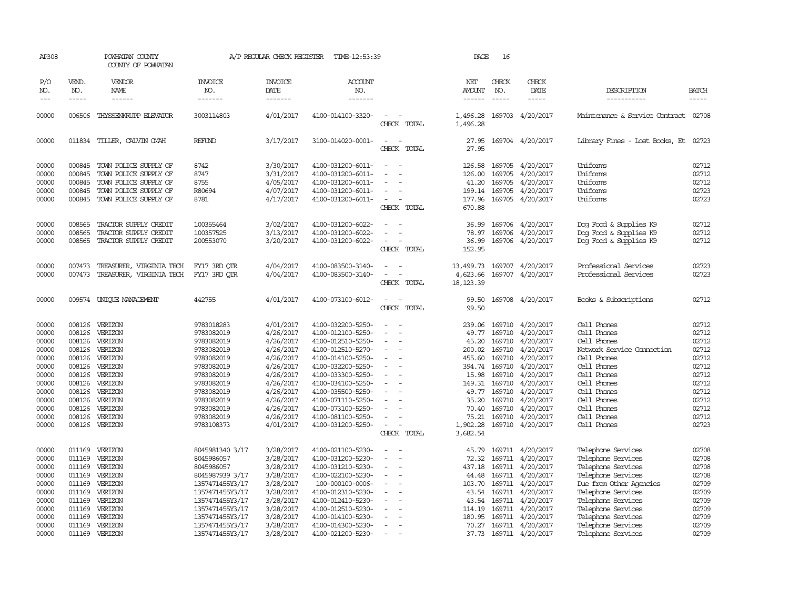| AP308                                                                                                             |                                                                                                                                | POWHATAN COUNTY<br>COUNTY OF POWHATAN                                                                                                       |                                                                                                                                                                                                     | A/P REGULAR CHECK REGISTER                                                                                                                                            | TIME-12:53:39                                                                                                                                                                                                                                                                 |                                                                                                                        | PAGE                                                                                                                        | 16                                                                                                                          |                                                                                                                                                                                                                   |                                                                                                                                                                                                                                                     |                                                                                                                   |
|-------------------------------------------------------------------------------------------------------------------|--------------------------------------------------------------------------------------------------------------------------------|---------------------------------------------------------------------------------------------------------------------------------------------|-----------------------------------------------------------------------------------------------------------------------------------------------------------------------------------------------------|-----------------------------------------------------------------------------------------------------------------------------------------------------------------------|-------------------------------------------------------------------------------------------------------------------------------------------------------------------------------------------------------------------------------------------------------------------------------|------------------------------------------------------------------------------------------------------------------------|-----------------------------------------------------------------------------------------------------------------------------|-----------------------------------------------------------------------------------------------------------------------------|-------------------------------------------------------------------------------------------------------------------------------------------------------------------------------------------------------------------|-----------------------------------------------------------------------------------------------------------------------------------------------------------------------------------------------------------------------------------------------------|-------------------------------------------------------------------------------------------------------------------|
| P/O<br>NO.<br>$---$                                                                                               | VEND.<br>NO.<br>-----                                                                                                          | VENDOR<br>NAME<br>------                                                                                                                    | <b>INVOICE</b><br>NO.<br>-------                                                                                                                                                                    | <b>INVOICE</b><br>DATE<br>-------                                                                                                                                     | <b>ACCOUNT</b><br>NO.<br>-------                                                                                                                                                                                                                                              |                                                                                                                        | NET<br><b>AMOUNT</b>                                                                                                        | CHECK<br>NO.<br>$\frac{1}{2}$                                                                                               | CHECK<br><b>DATE</b><br>-----                                                                                                                                                                                     | DESCRIPTION<br>-----------                                                                                                                                                                                                                          | <b>BATCH</b><br>-----                                                                                             |
| 00000                                                                                                             | 006506                                                                                                                         | THYSSENKRUPP ELEVATOR                                                                                                                       | 3003114803                                                                                                                                                                                          | 4/01/2017                                                                                                                                                             | 4100-014100-3320-                                                                                                                                                                                                                                                             | CHECK TOTAL                                                                                                            | 1,496.28<br>1,496.28                                                                                                        |                                                                                                                             | 169703 4/20/2017                                                                                                                                                                                                  | Maintenance & Service Contract 02708                                                                                                                                                                                                                |                                                                                                                   |
| 00000                                                                                                             |                                                                                                                                | 011834 TILLER, CALVIN OMAH                                                                                                                  | REFUND                                                                                                                                                                                              | 3/17/2017                                                                                                                                                             | 3100-014020-0001-                                                                                                                                                                                                                                                             | $\sim$<br>$\sim$<br>CHECK<br>TOTAL                                                                                     | 27.95<br>27.95                                                                                                              |                                                                                                                             | 169704 4/20/2017                                                                                                                                                                                                  | Library Fines - Lost Books, Et                                                                                                                                                                                                                      | 02723                                                                                                             |
| 00000<br>00000<br>00000<br>00000<br>00000                                                                         | 000845<br>000845<br>000845<br>000845<br>000845                                                                                 | TOWN POLICE SUPPLY OF<br>TOWN POLICE SUPPLY OF<br>TOWN POLICE SUPPLY OF<br>TOWN POLICE SUPPLY OF<br>TOWN POLICE SUPPLY OF                   | 8742<br>8747<br>8755<br>R80694<br>8781                                                                                                                                                              | 3/30/2017<br>3/31/2017<br>4/05/2017<br>4/07/2017<br>4/17/2017                                                                                                         | 4100-031200-6011-<br>4100-031200-6011-<br>4100-031200-6011-<br>4100-031200-6011-<br>4100-031200-6011-                                                                                                                                                                         | $\sim$<br>$\overline{\phantom{a}}$<br>$\overline{\phantom{a}}$<br>CHECK TOTAL                                          | 126.58<br>126.00<br>41.20<br>199.14<br>177.96<br>670.88                                                                     | 169705<br>169705                                                                                                            | 169705 4/20/2017<br>4/20/2017<br>4/20/2017<br>169705 4/20/2017<br>169705 4/20/2017                                                                                                                                | Uniforms<br>Uniforms<br>Uniforms<br>Uniforms<br>Uniforms                                                                                                                                                                                            | 02712<br>02712<br>02712<br>02723<br>02723                                                                         |
| 00000<br>00000<br>00000                                                                                           | 008565<br>008565<br>008565                                                                                                     | TRACTOR SUPPLY CREDIT<br>TRACTOR SUPPLY CREDIT<br>TRACTOR SUPPLY CREDIT                                                                     | 100355464<br>100357525<br>200553070                                                                                                                                                                 | 3/02/2017<br>3/13/2017<br>3/20/2017                                                                                                                                   | 4100-031200-6022-<br>4100-031200-6022-<br>4100-031200-6022-                                                                                                                                                                                                                   | $\overline{\phantom{a}}$<br>CHECK TOTAL                                                                                | 36.99<br>78.97<br>36.99<br>152.95                                                                                           | 169706<br>169706                                                                                                            | 4/20/2017<br>4/20/2017<br>169706 4/20/2017                                                                                                                                                                        | Dog Food & Supplies K9<br>Dog Food & Supplies K9<br>Dog Food & Supplies K9                                                                                                                                                                          | 02712<br>02712<br>02712                                                                                           |
| 00000<br>00000                                                                                                    | 007473<br>007473                                                                                                               | TREASURER, VIRGINIA TECH<br>TREASURER, VIRGINIA TECH                                                                                        | FY17 3RD QTR<br>FY17 3RD OTR                                                                                                                                                                        | 4/04/2017<br>4/04/2017                                                                                                                                                | 4100-083500-3140-<br>4100-083500-3140-                                                                                                                                                                                                                                        | CHECK TOTAL                                                                                                            | 13,499.73<br>4,623.66<br>18, 123.39                                                                                         |                                                                                                                             | 169707 4/20/2017<br>169707 4/20/2017                                                                                                                                                                              | Professional Services<br>Professional Services                                                                                                                                                                                                      | 02723<br>02723                                                                                                    |
| 00000                                                                                                             |                                                                                                                                | 009574 UNIQUE MANAGEMENT                                                                                                                    | 442755                                                                                                                                                                                              | 4/01/2017                                                                                                                                                             | 4100-073100-6012-                                                                                                                                                                                                                                                             | CHECK TOTAL                                                                                                            | 99.50<br>99.50                                                                                                              |                                                                                                                             | 169708 4/20/2017                                                                                                                                                                                                  | Books & Subscriptions                                                                                                                                                                                                                               | 02712                                                                                                             |
| 00000<br>00000<br>00000<br>00000<br>00000<br>00000<br>00000<br>00000<br>00000<br>00000<br>00000<br>00000<br>00000 | 008126<br>008126<br>008126<br>008126<br>008126<br>008126<br>008126<br>008126<br>008126<br>008126<br>008126<br>008126<br>008126 | VERIZON<br>VERIZON<br>VERIZON<br>VERIZON<br>VERIZON<br>VERIZON<br>VERIZON<br>VERIZON<br>VERIZON<br>VERIZON<br>VERIZON<br>VERIZON<br>VERIZON | 9783018283<br>9783082019<br>9783082019<br>9783082019<br>9783082019<br>9783082019<br>9783082019<br>9783082019<br>9783082019<br>9783082019<br>9783082019<br>9783082019<br>9783108373                  | 4/01/2017<br>4/26/2017<br>4/26/2017<br>4/26/2017<br>4/26/2017<br>4/26/2017<br>4/26/2017<br>4/26/2017<br>4/26/2017<br>4/26/2017<br>4/26/2017<br>4/26/2017<br>4/01/2017 | 4100-032200-5250-<br>4100-012100-5250-<br>4100-012510-5250-<br>4100-012510-5270-<br>4100-014100-5250-<br>4100-032200-5250-<br>4100-033300-5250-<br>4100-034100-5250-<br>4100-035500-5250-<br>4100-071110-5250-<br>4100-073100-5250-<br>4100-081100-5250-<br>4100-031200-5250- | $\overline{\phantom{a}}$<br>$\sim$<br>$\overline{\phantom{a}}$<br>CHECK TOTAL                                          | 239.06<br>49.77<br>45.20<br>200.02<br>455.60<br>15.98<br>149.31<br>49.77<br>35.20<br>70.40<br>75.21<br>1,902.28<br>3,682.54 | 169710<br>169710<br>169710<br>169710<br>169710<br>394.74 169710<br>169710<br>169710<br>169710<br>169710<br>169710<br>169710 | 4/20/2017<br>4/20/2017<br>4/20/2017<br>4/20/2017<br>4/20/2017<br>4/20/2017<br>4/20/2017<br>4/20/2017<br>4/20/2017<br>4/20/2017<br>4/20/2017<br>4/20/2017<br>169710 4/20/2017                                      | Cell Phones<br>Cell Phones<br>Cell Phones<br>Network Service Connection<br>Cell Phones<br>Cell Phones<br>Cell Phones<br>Cell Phones<br>Cell Phones<br>Cell Phones<br>Cell Phones<br>Cell Phones<br>Cell Phones                                      | 02712<br>02712<br>02712<br>02712<br>02712<br>02712<br>02712<br>02712<br>02712<br>02712<br>02712<br>02712<br>02723 |
| 00000<br>00000<br>00000<br>00000<br>00000<br>00000<br>00000<br>00000<br>00000<br>00000<br>00000                   | 011169<br>011169<br>011169<br>011169<br>011169<br>011169<br>011169<br>011169<br>011169<br>011169                               | VERIZON<br>VERIZON<br>VERIZON<br>VERIZON<br>011169 VERIZON<br>VERIZON<br>VERIZON<br>VERIZON<br>VERIZON<br>VERIZON<br>VERIZON                | 8045981340 3/17<br>8045986057<br>8045986057<br>8045987939 3/17<br>1357471455Y3/17<br>1357471455Y3/17<br>1357471455Y3/17<br>1357471455Y3/17<br>1357471455Y3/17<br>1357471455Y3/17<br>1357471455Y3/17 | 3/28/2017<br>3/28/2017<br>3/28/2017<br>3/28/2017<br>3/28/2017<br>3/28/2017<br>3/28/2017<br>3/28/2017<br>3/28/2017<br>3/28/2017<br>3/28/2017                           | 4100-021100-5230-<br>4100-031200-5230-<br>4100-031210-5230-<br>4100-022100-5230-<br>100-000100-0006-<br>4100-012310-5230-<br>4100-012410-5230-<br>4100-012510-5230-<br>4100-014100-5230-<br>4100-014300-5230-<br>4100-021200-5230-                                            | $\sim$<br>$\overline{\phantom{a}}$<br>$\overline{\phantom{a}}$<br>$\overline{\phantom{a}}$<br>$\overline{\phantom{a}}$ | 45.79<br>72.32<br>437.18<br>44.48<br>103.70<br>43.54<br>43.54<br>114.19<br>180.95<br>70.27<br>37.73                         | 169711                                                                                                                      | 169711 4/20/2017<br>169711 4/20/2017<br>169711 4/20/2017<br>169711 4/20/2017<br>169711 4/20/2017<br>4/20/2017<br>169711 4/20/2017<br>169711 4/20/2017<br>169711 4/20/2017<br>169711 4/20/2017<br>169711 4/20/2017 | Telephone Services<br>Telephone Services<br>Telephone Services<br>Telephone Services<br>Due from Other Agencies<br>Telephone Services<br>Telephone Services<br>Telephone Services<br>Telephone Services<br>Telephone Services<br>Telephone Services | 02708<br>02708<br>02708<br>02708<br>02709<br>02709<br>02709<br>02709<br>02709<br>02709<br>02709                   |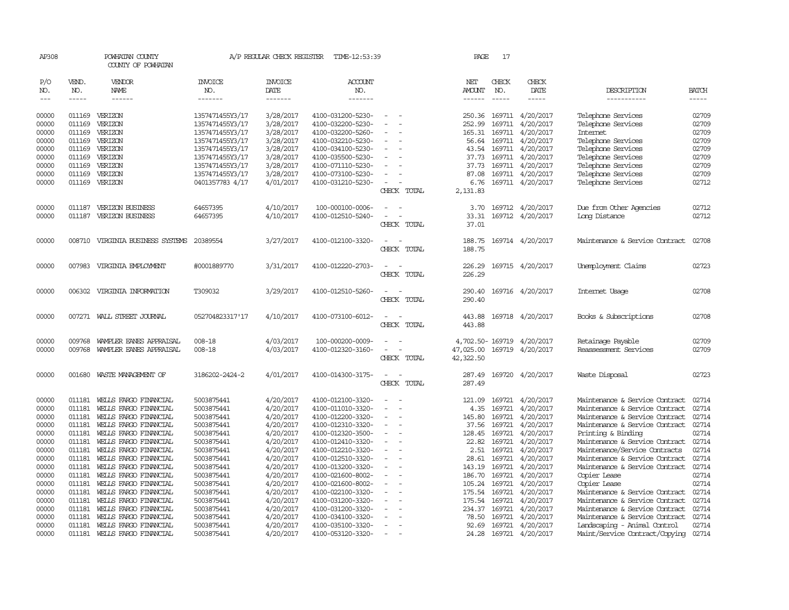| AP308          |                  | POWHATAN COUNTY<br>COUNTY OF POWHATAN          |                                    | A/P REGULAR CHECK REGISTER | TIME-12:53:39                          |                                                      | PAGE             | 17               |                                      |                                                                 |                |
|----------------|------------------|------------------------------------------------|------------------------------------|----------------------------|----------------------------------------|------------------------------------------------------|------------------|------------------|--------------------------------------|-----------------------------------------------------------------|----------------|
| P/O<br>NO.     | VEND.<br>NO.     | VENDOR<br>NAME                                 | INVOICE<br>NO.                     | <b>INVOICE</b><br>DATE     | <b>ACCOUNT</b><br>NO.                  |                                                      | NET<br>AMOUNT    | CHECK<br>NO.     | CHECK<br>DATE                        | DESCRIPTION                                                     | <b>BATCH</b>   |
| $\frac{1}{2}$  | $- - - - -$      | ------                                         | -------                            | -------                    | -------                                |                                                      | $- - - - - -$    | $- - - - -$      | -----                                | -----------                                                     | $- - - - -$    |
| 00000<br>00000 | 011169           | 011169 VERIZON<br>VERIZON                      | 1357471455Y3/17<br>1357471455Y3/17 | 3/28/2017<br>3/28/2017     | 4100-031200-5230-<br>4100-032200-5230- | $\overline{\phantom{0}}$                             | 252.99           | 169711           | 250.36 169711 4/20/2017<br>4/20/2017 | Telephone Services<br>Telephone Services                        | 02709<br>02709 |
| 00000          | 011169           | VERIZON                                        | 1357471455Y3/17                    | 3/28/2017                  | 4100-032200-5260-                      |                                                      | 165.31           |                  | 169711 4/20/2017                     | <b>Internet</b>                                                 | 02709          |
| 00000          |                  | 011169 VERIZON                                 | 1357471455Y3/17                    | 3/28/2017                  | 4100-032210-5230-                      | $\overline{\phantom{a}}$                             | 56.64            |                  | 169711 4/20/2017                     | Telephone Services                                              | 02709          |
| 00000          |                  | 011169 VERIZON                                 | 1357471455Y3/17                    | 3/28/2017                  | 4100-034100-5230-                      |                                                      |                  |                  | 43.54 169711 4/20/2017               | Telephone Services                                              | 02709          |
| 00000          | 011169           | VERIZON                                        | 1357471455Y3/17                    | 3/28/2017                  | 4100-035500-5230-                      |                                                      | 37.73            |                  | 169711 4/20/2017                     | Telephone Services                                              | 02709          |
| 00000          | 011169           | VERIZON                                        | 1357471455Y3/17                    | 3/28/2017                  | 4100-071110-5230-                      |                                                      | 37.73            |                  | 169711 4/20/2017                     | Telephone Services                                              | 02709          |
| 00000          | 011169           | VERIZON                                        | 1357471455Y3/17                    | 3/28/2017                  | 4100-073100-5230-                      |                                                      | 87.08            |                  | 169711 4/20/2017                     | Telephone Services                                              | 02709          |
| 00000          | 011169           | VERIZON                                        | 0401357783 4/17                    | 4/01/2017                  | 4100-031210-5230-                      | $\overline{\phantom{a}}$                             | 6.76             |                  | 169711 4/20/2017                     | Telephone Services                                              | 02712          |
|                |                  |                                                |                                    |                            |                                        | CHECK TOTAL                                          | 2,131.83         |                  |                                      |                                                                 |                |
| 00000          |                  | 011187 VERIZON BUSINESS                        | 64657395                           | 4/10/2017                  | 100-000100-0006-                       | $\sim$                                               | 3.70             |                  | 169712 4/20/2017                     | Due from Other Agencies                                         | 02712          |
| 00000          | 011187           | VERIZON BUSINESS                               | 64657395                           | 4/10/2017                  | 4100-012510-5240-                      | $\overline{a}$                                       | 33.31            |                  | 169712 4/20/2017                     | Long Distance                                                   | 02712          |
|                |                  |                                                |                                    |                            |                                        | CHECK TOTAL                                          | 37.01            |                  |                                      |                                                                 |                |
|                |                  |                                                |                                    |                            |                                        |                                                      |                  |                  |                                      |                                                                 |                |
| 00000          |                  | 008710 VIRGINIA BUSINESS SYSTEMS               | 20389554                           | 3/27/2017                  | 4100-012100-3320-                      | $\overline{\phantom{a}}$                             | 188.75           |                  | 169714 4/20/2017                     | Maintenance & Service Contract                                  | 02708          |
|                |                  |                                                |                                    |                            |                                        | CHECK TOTAL                                          | 188.75           |                  |                                      |                                                                 |                |
| 00000          | 007983           | VIRGINIA EMPLOYMENT                            | #0001889770                        | 3/31/2017                  | 4100-012220-2703-                      | $\overline{\phantom{a}}$                             | 226.29           |                  | 169715 4/20/2017                     | Unemployment Claims                                             | 02723          |
|                |                  |                                                |                                    |                            |                                        | CHECK TOTAL                                          | 226.29           |                  |                                      |                                                                 |                |
|                |                  |                                                |                                    |                            |                                        |                                                      |                  |                  |                                      |                                                                 |                |
| 00000          |                  | 006302 VIRGINIA INFORMATION                    | T309032                            | 3/29/2017                  | 4100-012510-5260-                      |                                                      | 290.40           |                  | 169716 4/20/2017                     | Internet Usage                                                  | 02708          |
|                |                  |                                                |                                    |                            |                                        | CHECK TOTAL                                          | 290.40           |                  |                                      |                                                                 |                |
|                |                  |                                                |                                    |                            |                                        | $\overline{\phantom{a}}$                             |                  |                  |                                      |                                                                 |                |
| 00000          |                  | 007271 WALL STREET JOURNAL                     | 052704823317'17                    | 4/10/2017                  | 4100-073100-6012-                      | CHECK TOTAL                                          | 443.88<br>443.88 |                  | 169718 4/20/2017                     | Books & Subscriptions                                           | 02708          |
|                |                  |                                                |                                    |                            |                                        |                                                      |                  |                  |                                      |                                                                 |                |
| 00000          | 009768           | WAMPLER EANES APPRAISAL                        | $008 - 18$                         | 4/03/2017                  | 100-000200-0009-                       |                                                      | 4,702.50-169719  |                  | 4/20/2017                            | Retainage Payable                                               | 02709          |
| 00000          | 009768           | WAMPLER EANES APPRAISAL                        | $008 - 18$                         | 4/03/2017                  | 4100-012320-3160-                      |                                                      | 47,025.00        | 169719           | 4/20/2017                            | Reassessment Services                                           | 02709          |
|                |                  |                                                |                                    |                            |                                        | CHECK TOTAL                                          | 42,322.50        |                  |                                      |                                                                 |                |
| 00000          | 001680           | WASTE MANAGEMENT OF                            | 3186202-2424-2                     | 4/01/2017                  | 4100-014300-3175-                      |                                                      |                  |                  | 169720 4/20/2017                     |                                                                 | 02723          |
|                |                  |                                                |                                    |                            |                                        | CHECK TOTAL                                          | 287.49<br>287.49 |                  |                                      | Waste Disposal                                                  |                |
|                |                  |                                                |                                    |                            |                                        |                                                      |                  |                  |                                      |                                                                 |                |
| 00000          | 011181           | WELLS FARGO FINANCIAL                          | 5003875441                         | 4/20/2017                  | 4100-012100-3320-                      | $\overline{\phantom{a}}$<br>$\overline{\phantom{a}}$ | 121.09           |                  | 169721 4/20/2017                     | Maintenance & Service Contract                                  | 02714          |
| 00000          | 011181           | WELLS FARGO FINANCIAL                          | 5003875441                         | 4/20/2017                  | 4100-011010-3320-                      | $\overline{\phantom{a}}$                             | 4.35             | 169721           | 4/20/2017                            | Maintenance & Service Contract                                  | 02714          |
| 00000          | 011181           | WELLS FARGO FINANCIAL                          | 5003875441                         | 4/20/2017                  | 4100-012200-3320-                      |                                                      | 145.80           | 169721           | 4/20/2017                            | Maintenance & Service Contract                                  | 02714          |
| 00000          | 011181           | WELLS FARGO FINANCIAL                          | 5003875441                         | 4/20/2017                  | 4100-012310-3320-                      | $\overline{\phantom{a}}$<br>$\overline{\phantom{a}}$ | 37.56            | 169721           | 4/20/2017                            | Maintenance & Service Contract                                  | 02714          |
| 00000          | 011181           | WELLS FARGO FINANCIAL                          | 5003875441                         | 4/20/2017                  | 4100-012320-3500-                      |                                                      | 128.45           | 169721           | 4/20/2017                            | Printing & Binding                                              | 02714          |
| 00000          | 011181           | WELLS FARGO FINANCIAL                          | 5003875441                         | 4/20/2017                  | 4100-012410-3320-                      | $\overline{\phantom{a}}$                             | 22.82            | 169721           | 4/20/2017                            | Maintenance & Service Contract                                  | 02714          |
| 00000<br>00000 | 011181<br>011181 | WELLS FARGO FINANCIAL<br>WELLS FARGO FINANCIAL | 5003875441                         | 4/20/2017<br>4/20/2017     | 4100-012210-3320-<br>4100-012510-3320- | $\overline{\phantom{a}}$                             | 2.51<br>28.61    | 169721<br>169721 | 4/20/2017<br>4/20/2017               | Maintenance/Service Contracts<br>Maintenance & Service Contract | 02714<br>02714 |
| 00000          | 011181           | WELLS FARGO FINANCIAL                          | 5003875441<br>5003875441           | 4/20/2017                  | 4100-013200-3320-                      |                                                      | 143.19           | 169721           | 4/20/2017                            | Maintenance & Service Contract                                  | 02714          |
| 00000          | 011181           | WELLS FARGO FINANCIAL                          | 5003875441                         | 4/20/2017                  | 4100-021600-8002-                      |                                                      | 186.70           | 169721           | 4/20/2017                            | Copier Lease                                                    | 02714          |
| 00000          | 011181           | WELLS FARGO FINANCIAL                          | 5003875441                         | 4/20/2017                  | 4100-021600-8002-                      | $\overline{\phantom{a}}$<br>$\overline{\phantom{a}}$ | 105.24           | 169721           | 4/20/2017                            | Copier Lease                                                    | 02714          |
| 00000          | 011181           | WELLS FARGO FINANCIAL                          | 5003875441                         | 4/20/2017                  | 4100-022100-3320-                      |                                                      | 175.54           | 169721           | 4/20/2017                            | Maintenance & Service Contract                                  | 02714          |
| 00000          | 011181           | WELLS FARGO FINANCIAL                          | 5003875441                         | 4/20/2017                  | 4100-031200-3320-                      |                                                      | 175.54           | 169721           | 4/20/2017                            | Maintenance & Service Contract                                  | 02714          |
| 00000          | 011181           | WELLS FARGO FINANCIAL                          | 5003875441                         | 4/20/2017                  | 4100-031200-3320-                      |                                                      | 234.37           | 169721           | 4/20/2017                            | Maintenance & Service Contract                                  | 02714          |
| 00000          | 011181           | WELLS FARGO FINANCIAL                          | 5003875441                         | 4/20/2017                  | 4100-034100-3320-                      |                                                      | 78.50            | 169721           | 4/20/2017                            | Maintenance & Service Contract                                  | 02714          |
| 00000          | 011181           | WELLS FARGO FINANCIAL                          | 5003875441                         | 4/20/2017                  | 4100-035100-3320-                      |                                                      | 92.69            |                  | 169721 4/20/2017                     | Landscaping - Animal Control                                    | 02714          |
| 00000          | 011181           | WELLS FARGO FINANCIAL                          | 5003875441                         | 4/20/2017                  | 4100-053120-3320-                      |                                                      |                  |                  | 24.28 169721 4/20/2017               | Maint/Service Contract/Copying                                  | 02714          |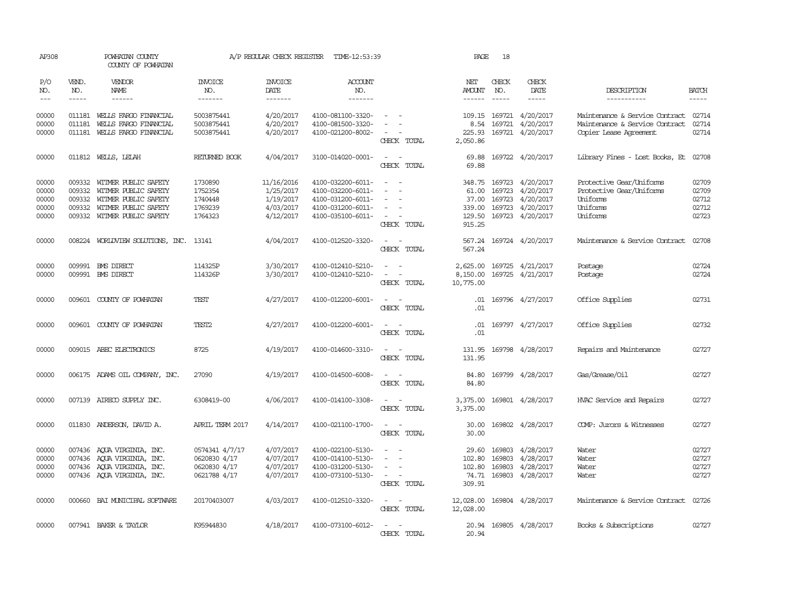| AP308                                     |                             | POWHATAN COUNTY<br>COUNTY OF POWHATAN                                                                                              |                                                                | A/P REGULAR CHECK REGISTER                                     | TIME-12:53:39                                                                                         |                                                                                                                             | PAGE                                         | 18                            |                                                                                           |                                                                                            |                                           |
|-------------------------------------------|-----------------------------|------------------------------------------------------------------------------------------------------------------------------------|----------------------------------------------------------------|----------------------------------------------------------------|-------------------------------------------------------------------------------------------------------|-----------------------------------------------------------------------------------------------------------------------------|----------------------------------------------|-------------------------------|-------------------------------------------------------------------------------------------|--------------------------------------------------------------------------------------------|-------------------------------------------|
| P/O<br>NO.<br>$\frac{1}{2}$               | VEND.<br>NO.<br>$- - - - -$ | VENDOR<br>NAME<br>$- - - - - -$                                                                                                    | <b>INVOICE</b><br>NO.<br>-------                               | <b>INVOICE</b><br>DATE<br>-------                              | <b>ACCOUNT</b><br>NO.<br>-------                                                                      |                                                                                                                             | NET<br><b>AMOUNT</b><br>------               | CHECK<br>NO.<br>$\frac{1}{2}$ | CHECK<br>DATE<br>-----                                                                    | DESCRIPTION<br>-----------                                                                 | <b>BATCH</b><br>-----                     |
| 00000<br>00000<br>00000                   | 011181<br>011181            | 011181 WELLS FARGO FINANCIAL<br>WELLS FARGO FINANCIAL<br>WELLS FARGO FINANCIAL                                                     | 5003875441<br>5003875441<br>5003875441                         | 4/20/2017<br>4/20/2017<br>4/20/2017                            | 4100-081100-3320-<br>4100-081500-3320-<br>4100-021200-8002-                                           | $\equiv$<br>CHECK TOTAL                                                                                                     | 225.93<br>2,050.86                           | 8.54 169721                   | 109.15 169721 4/20/2017<br>4/20/2017<br>169721 4/20/2017                                  | Maintenance & Service Contract<br>Maintenance & Service Contract<br>Copier Lease Agreement | 02714<br>02714<br>02714                   |
| 00000                                     |                             | 011812 WELLS, LELAH                                                                                                                | RETURNED BOOK                                                  | 4/04/2017                                                      | 3100-014020-0001-                                                                                     | $\frac{1}{2} \left( \frac{1}{2} \right) \left( \frac{1}{2} \right) = \frac{1}{2} \left( \frac{1}{2} \right)$<br>CHECK TOTAL | 69.88<br>69.88                               |                               | 169722 4/20/2017                                                                          | Library Fines - Lost Books, Et                                                             | 02708                                     |
| 00000<br>00000<br>00000<br>00000<br>00000 | 009332<br>009332<br>009332  | 009332 WITMER PUBLIC SAFETY<br>WITMER PUBLIC SAFETY<br>WITMER PUBLIC SAFETY<br>WITMER PUBLIC SAFETY<br>009332 WITMER PUBLIC SAFETY | 1730890<br>1752354<br>1740448<br>1769239<br>1764323            | 11/16/2016<br>1/25/2017<br>1/19/2017<br>4/03/2017<br>4/12/2017 | 4100-032200-6011-<br>4100-032200-6011-<br>4100-031200-6011-<br>4100-031200-6011-<br>4100-035100-6011- | $\equiv$<br>$\overline{\phantom{a}}$<br>$\overline{\phantom{a}}$<br>CHECK TOTAL                                             | 61.00<br>37.00<br>339.00<br>129.50<br>915.25 | 169723<br>169723              | 348.75 169723 4/20/2017<br>4/20/2017<br>169723 4/20/2017<br>4/20/2017<br>169723 4/20/2017 | Protective Gear/Uniforms<br>Protective Gear/Uniforms<br>Uniforms<br>Uniforms<br>Uniforms   | 02709<br>02709<br>02712<br>02712<br>02723 |
| 00000                                     |                             | 008224 WORLDVIEW SOLUTIONS, INC. 13141                                                                                             |                                                                | 4/04/2017                                                      | 4100-012520-3320-                                                                                     | $\frac{1}{2} \left( \frac{1}{2} \right) \left( \frac{1}{2} \right) = \frac{1}{2} \left( \frac{1}{2} \right)$<br>CHECK TOTAL | 567.24<br>567.24                             |                               | 169724 4/20/2017                                                                          | Maintenance & Service Contract                                                             | 02708                                     |
| 00000<br>00000                            | 009991<br>009991            | <b>EMS DIRECT</b><br><b>EMS DIRECT</b>                                                                                             | 114325P<br>114326P                                             | 3/30/2017<br>3/30/2017                                         | 4100-012410-5210-<br>4100-012410-5210-                                                                | CHECK TOTAL                                                                                                                 | 2,625.00<br>8,150.00<br>10,775.00            |                               | 169725 4/21/2017<br>169725 4/21/2017                                                      | Postage<br>Postage                                                                         | 02724<br>02724                            |
| 00000                                     |                             | 009601 COUNTY OF POWHATAN                                                                                                          | TEST                                                           | 4/27/2017                                                      | 4100-012200-6001-                                                                                     | CHECK TOTAL                                                                                                                 | .01<br>.01                                   |                               | 169796 4/27/2017                                                                          | Office Supplies                                                                            | 02731                                     |
| 00000                                     |                             | 009601 COUNTY OF POWHATAN                                                                                                          | <b>TEST2</b>                                                   | 4/27/2017                                                      | 4100-012200-6001-                                                                                     | CHECK TOTAL                                                                                                                 | .01<br>.01                                   |                               | 169797 4/27/2017                                                                          | Office Supplies                                                                            | 02732                                     |
| 00000                                     |                             | 009015 ABEC ELECTRONICS                                                                                                            | 8725                                                           | 4/19/2017                                                      | 4100-014600-3310-                                                                                     | $\equiv$<br>CHECK TOTAL                                                                                                     | 131.95<br>131.95                             |                               | 169798 4/28/2017                                                                          | Repairs and Maintenance                                                                    | 02727                                     |
| 00000                                     |                             | 006175 ADAMS OIL COMPANY, INC.                                                                                                     | 27090                                                          | 4/19/2017                                                      | 4100-014500-6008-                                                                                     | $\sim$<br>CHECK TOTAL                                                                                                       | 84.80<br>84.80                               |                               | 169799 4/28/2017                                                                          | Gas/Grease/Oil                                                                             | 02727                                     |
| 00000                                     |                             | 007139 AIRECO SUPPLY INC.                                                                                                          | 6308419-00                                                     | 4/06/2017                                                      | 4100-014100-3308-                                                                                     | $\equiv$<br>CHECK TOTAL                                                                                                     | 3,375.00<br>3,375.00                         |                               | 169801 4/28/2017                                                                          | HVAC Service and Repairs                                                                   | 02727                                     |
| 00000                                     |                             | 011830 ANDERSON, DAVID A.                                                                                                          | APRIL TERM 2017                                                | 4/14/2017                                                      | 4100-021100-1700-                                                                                     | $\frac{1}{2} \left( \frac{1}{2} \right) \left( \frac{1}{2} \right) = \frac{1}{2} \left( \frac{1}{2} \right)$<br>CHECK TOTAL | 30.00<br>30.00                               |                               | 169802 4/28/2017                                                                          | COMP: Jurors & Witnesses                                                                   | 02727                                     |
| 00000<br>00000<br>00000<br>00000          | 007436                      | 007436 AQUA VIRGINIA, INC.<br>AOUA VIRGINIA, INC.<br>007436 AQUA VIRGINIA, INC.<br>007436 AQUA VIRGINIA, INC.                      | 0574341 4/7/17<br>0620830 4/17<br>0620830 4/17<br>0621788 4/17 | 4/07/2017<br>4/07/2017<br>4/07/2017<br>4/07/2017               | 4100-022100-5130-<br>4100-014100-5130-<br>4100-031200-5130-<br>4100-073100-5130-                      | $\equiv$<br>$\equiv$<br>$\equiv$<br>$\sim$<br>CHECK TOTAL                                                                   | 29.60<br>102.80<br>102.80<br>309.91          | 169803<br>169803              | 169803 4/28/2017<br>4/28/2017<br>4/28/2017<br>74.71 169803 4/28/2017                      | Water<br>Water<br>Water<br>Water                                                           | 02727<br>02727<br>02727<br>02727          |
| 00000                                     |                             | 000660 BAI MUNICIPAL SOFTWARE                                                                                                      | 20170403007                                                    | 4/03/2017                                                      | 4100-012510-3320-                                                                                     | $\sim$<br>$\sim$<br>CHECK TOTAL                                                                                             | 12,028.00<br>12,028.00                       |                               | 169804 4/28/2017                                                                          | Maintenance & Service Contract                                                             | 02726                                     |
| 00000                                     |                             | 007941 BAKER & TAYLOR                                                                                                              | K95944830                                                      | 4/18/2017                                                      | 4100-073100-6012-                                                                                     | CHECK TOTAL                                                                                                                 | 20.94<br>20.94                               |                               | 169805 4/28/2017                                                                          | Books & Subscriptions                                                                      | 02727                                     |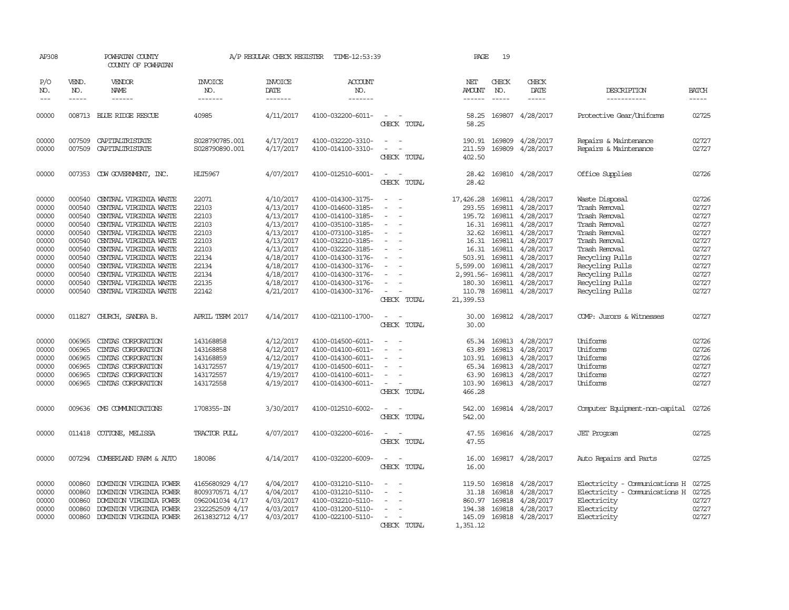| AP308                 |                               | POWHATAN COUNTY<br>COUNTY OF POWHATAN |                                  | A/P REGULAR CHECK REGISTER        | TIME-12:53:39                     |                          | PAGE                                  | 19                          |                                |                                |                       |
|-----------------------|-------------------------------|---------------------------------------|----------------------------------|-----------------------------------|-----------------------------------|--------------------------|---------------------------------------|-----------------------------|--------------------------------|--------------------------------|-----------------------|
| P/O<br>NO.<br>$- - -$ | VEND.<br>NO.<br>$\frac{1}{2}$ | VENDOR<br><b>NAME</b>                 | <b>INVOICE</b><br>NO.<br>------- | <b>INVOICE</b><br>DATE<br>------- | ACCOUNT<br>NO.<br>$- - - - - - -$ |                          | NET<br><b>AMOUNT</b><br>$- - - - - -$ | CHECK<br>NO.<br>$- - - - -$ | CHECK<br>DATE<br>$\frac{1}{2}$ | DESCRIPTION<br>-----------     | <b>BATCH</b><br>----- |
| 00000                 |                               | 008713 BLUE RIDGE RESCUE              | 40985                            | 4/11/2017                         | 4100-032200-6011-                 |                          | 58.25                                 |                             | 169807 4/28/2017               | Protective Gear/Uniforms       | 02725                 |
|                       |                               |                                       |                                  |                                   |                                   | CHECK TOTAL              | 58.25                                 |                             |                                |                                |                       |
| 00000                 | 007509                        | CAPITALIRISTATE                       | S028790785.001                   | 4/17/2017                         | 4100-032220-3310-                 |                          | 190.91                                |                             | 169809 4/28/2017               | Repairs & Maintenance          | 02727                 |
| 00000                 | 007509                        | CAPITALIRISTATE                       | S028790890.001                   | 4/17/2017                         | 4100-014100-3310-                 |                          | 211.59                                |                             | 169809 4/28/2017               | Repairs & Maintenance          | 02727                 |
|                       |                               |                                       |                                  |                                   |                                   | CHECK TOTAL              | 402.50                                |                             |                                |                                |                       |
| 00000                 |                               | 007353 CDW GOVERNMENT, INC.           | <b>HLT5967</b>                   | 4/07/2017                         | 4100-012510-6001-                 | $\overline{\phantom{a}}$ | 28.42                                 |                             | 169810 4/28/2017               | Office Supplies                | 02726                 |
|                       |                               |                                       |                                  |                                   |                                   | CHECK TOTAL              | 28.42                                 |                             |                                |                                |                       |
| 00000                 | 000540                        | CENTRAL VIRGINIA WASTE                | 22071                            | 4/10/2017                         | 4100-014300-3175-                 | $\overline{\phantom{a}}$ | 17,426.28                             |                             | 169811 4/28/2017               | Waste Disposal                 | 02726                 |
| 00000                 | 000540                        | CENTRAL VIRGINIA WASTE                | 22103                            | 4/13/2017                         | 4100-014600-3185-                 |                          | 293.55                                |                             | 169811 4/28/2017               | Trash Removal                  | 02727                 |
| 00000                 | 000540                        | CENTRAL VIRGINIA WASTE                | 22103                            | 4/13/2017                         | 4100-014100-3185-                 | $\overline{\phantom{a}}$ | 195.72                                |                             | 169811 4/28/2017               | Trash Removal                  | 02727                 |
| 00000                 | 000540                        | CENTRAL VIRGINIA WASTE                | 22103                            | 4/13/2017                         | 4100-035100-3185-                 | $\sim$                   | 16.31                                 |                             | 169811 4/28/2017               | Trash Removal                  | 02727                 |
| 00000                 | 000540                        | CENTRAL VIRGINIA WASTE                | 22103                            | 4/13/2017                         | 4100-073100-3185-                 | $\overline{\phantom{a}}$ | 32.62                                 |                             | 169811 4/28/2017               | Trash Removal                  | 02727                 |
| 00000                 | 000540                        | CENTRAL VIRGINIA WASTE                | 22103                            | 4/13/2017                         | 4100-032210-3185-                 | $\overline{\phantom{a}}$ | 16.31                                 |                             | 169811 4/28/2017               | Trash Removal                  | 02727                 |
| 00000                 | 000540                        | CENTRAL VIRGINIA WASTE                | 22103                            | 4/13/2017                         | 4100-032220-3185-                 | $\overline{\phantom{a}}$ | 16.31                                 |                             | 169811 4/28/2017               | Trash Removal                  | 02727                 |
| 00000                 | 000540                        | CENTRAL VIRGINIA WASTE                | 22134                            | 4/18/2017                         | 4100-014300-3176-                 | $\overline{a}$           |                                       |                             | 503.91 169811 4/28/2017        | Recycling Pulls                | 02727                 |
| 00000                 | 000540                        | CENTRAL VIRGINIA WASTE                | 22134                            | 4/18/2017                         | 4100-014300-3176-                 | $\overline{\phantom{a}}$ | 5,599.00                              |                             | 169811 4/28/2017               | Recycling Pulls                | 02727                 |
| 00000                 | 000540                        | CENTRAL VIRGINIA WASTE                | 22134                            | 4/18/2017                         | 4100-014300-3176-                 |                          |                                       |                             | 2,991.56-169811 4/28/2017      | Recycling Pulls                | 02727                 |
| 00000                 | 000540                        | CENTRAL VIRGINIA WASTE                | 22135                            | 4/18/2017                         | 4100-014300-3176-                 | $\equiv$                 |                                       |                             | 180.30 169811 4/28/2017        | Recycling Pulls                | 02727                 |
| 00000                 |                               | 000540 CENTRAL VIRGINIA WASTE         | 22142                            | 4/21/2017                         | 4100-014300-3176-                 | $\sim$                   |                                       |                             | 110.78 169811 4/28/2017        | Recycling Pulls                | 02727                 |
|                       |                               |                                       |                                  |                                   |                                   | CHECK TOTAL              | 21,399.53                             |                             |                                |                                |                       |
| 00000                 |                               | 011827 CHURCH, SANDRA B.              | APRIL TERM 2017                  | 4/14/2017                         | 4100-021100-1700-                 |                          | 30.00                                 |                             | 169812 4/28/2017               | COMP: Jurors & Witnesses       | 02727                 |
|                       |                               |                                       |                                  |                                   |                                   | CHECK TOTAL              | 30.00                                 |                             |                                |                                |                       |
| 00000                 | 006965                        | CINIAS CORPORATION                    | 143168858                        | 4/12/2017                         | 4100-014500-6011-                 | $\overline{\phantom{a}}$ |                                       |                             | 65.34 169813 4/28/2017         | Uniforms                       | 02726                 |
| 00000                 | 006965                        | CINIAS CORPORATION                    | 143168858                        | 4/12/2017                         | 4100-014100-6011-                 | $\equiv$                 | 63.89                                 | 169813                      | 4/28/2017                      | Uniforms                       | 02726                 |
| 00000                 | 006965                        | CINIAS CORPORATION                    | 143168859                        | 4/12/2017                         | 4100-014300-6011-                 |                          |                                       | 103.91 169813               | 4/28/2017                      | Uniforms                       | 02726                 |
| 00000                 | 006965                        | CINIAS CORPORATION                    | 143172557                        | 4/19/2017                         | 4100-014500-6011-                 |                          | 65.34                                 |                             | 169813 4/28/2017               | Uniforms                       | 02727                 |
| 00000                 | 006965                        | CINIAS CORPORATION                    | 143172557                        | 4/19/2017                         | 4100-014100-6011-                 |                          | 63.90                                 |                             | 169813 4/28/2017               | Uniforms                       | 02727                 |
| 00000                 | 006965                        | CINIAS CORPORATION                    | 143172558                        | 4/19/2017                         | 4100-014300-6011-                 | $\sim$                   | 103.90                                |                             | 169813 4/28/2017               | Uniforms                       | 02727                 |
|                       |                               |                                       |                                  |                                   |                                   | CHECK TOTAL              | 466.28                                |                             |                                |                                |                       |
| 00000                 | 009636                        | CMS COMMUNICATIONS                    | 1708355-IN                       | 3/30/2017                         | 4100-012510-6002-                 |                          | 542.00                                |                             | 169814 4/28/2017               | Computer Equipment-non-capital | 02726                 |
|                       |                               |                                       |                                  |                                   |                                   | CHECK TOTAL              | 542.00                                |                             |                                |                                |                       |
| 00000                 | 011418                        | COTTONE, MELISSA                      | TRACTOR PULL                     | 4/07/2017                         | 4100-032200-6016-                 |                          | 47.55                                 |                             | 169816 4/28/2017               | <b>JET</b> Program             | 02725                 |
|                       |                               |                                       |                                  |                                   |                                   | CHECK TOTAL              | 47.55                                 |                             |                                |                                |                       |
| 00000                 | 007294                        | CUMBERLAND FARM & AUTO                | 180086                           | 4/14/2017                         | 4100-032200-6009-                 |                          | 16.00                                 |                             | 169817 4/28/2017               | Auto Repairs and Parts         | 02725                 |
|                       |                               |                                       |                                  |                                   |                                   | CHECK TOTAL              | 16.00                                 |                             |                                |                                |                       |
| 00000                 | 000860                        | DOMINION VIRGINIA POWER               | 4165680929 4/17                  | 4/04/2017                         | 4100-031210-5110-                 |                          | 119.50                                |                             | 169818 4/28/2017               | Electricity - Comunications H  | 02725                 |
| 00000                 | 000860                        | DOMINION VIRGINIA POWER               | 8009370571 4/17                  | 4/04/2017                         | 4100-031210-5110-                 |                          | 31.18                                 | 169818                      | 4/28/2017                      | Electricity - Comunications H  | 02725                 |
| 00000                 | 000860                        | DOMINION VIRGINIA POWER               | 0962041034 4/17                  | 4/03/2017                         | 4100-032210-5110-                 |                          | 860.97                                | 169818                      | 4/28/2017                      | Electricity                    | 02727                 |
| 00000                 | 000860                        | DOMINION VIRGINIA POWER               | 2322252509 4/17                  | 4/03/2017                         | 4100-031200-5110-                 |                          | 194.38                                | 169818                      | 4/28/2017                      | Electricity                    | 02727                 |
| 00000                 |                               | 000860 DOMINION VIRGINIA POWER        | 2613832712 4/17                  | 4/03/2017                         | 4100-022100-5110-                 | $\sim$                   | 145.09                                |                             | 169818 4/28/2017               | Electricity                    | 02727                 |
|                       |                               |                                       |                                  |                                   |                                   | CHECK TOTAL              | 1,351.12                              |                             |                                |                                |                       |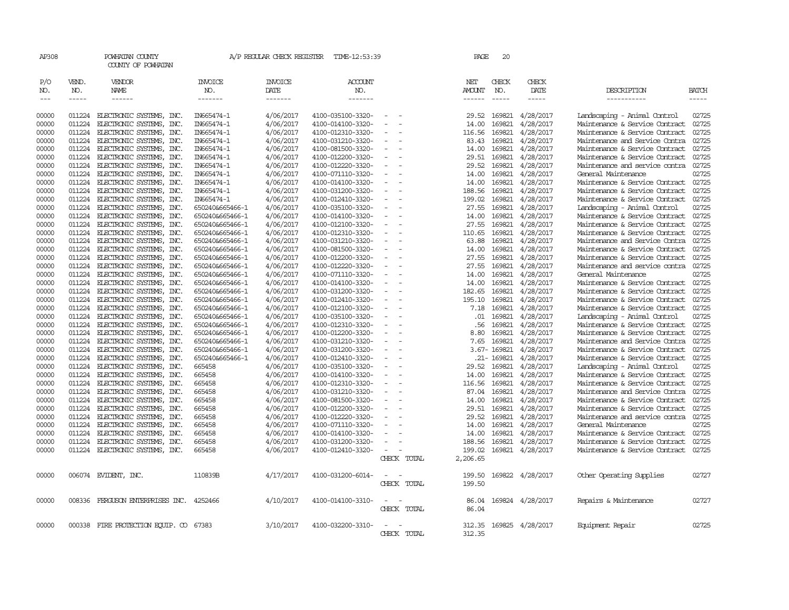| AP308         |              | POWHATAN COUNTY<br>COUNTY OF POWHATAN  |                       | A/P REGULAR CHECK REGISTER | TIME-12:53:39         |                          |             | PAGE               | 20           |                         |                                |                |
|---------------|--------------|----------------------------------------|-----------------------|----------------------------|-----------------------|--------------------------|-------------|--------------------|--------------|-------------------------|--------------------------------|----------------|
| P/O<br>NO.    | VEND.<br>NO. | VENDOR<br>NAME                         | <b>INVOICE</b><br>NO. | <b>INVOICE</b><br>DATE     | <b>ACCOUNT</b><br>NO. |                          |             | NET<br>AMOUNT      | CHECK<br>NO. | CHECK<br>DATE           | DESCRIPTION                    | <b>BATCH</b>   |
| $\frac{1}{2}$ | $- - - - -$  | ------                                 | -------               | -------                    | -------               |                          |             | ------             | $- - - - -$  | -----                   | -----------                    | -----          |
| 00000         | 011224       | ELECTRONIC SYSTEMS, INC.               | IN665474-1            | 4/06/2017                  | 4100-035100-3320-     |                          |             | 29.52              | 169821       | 4/28/2017               | Landscaping - Animal Control   | 02725          |
| 00000         | 011224       | ELECTRONIC SYSTEMS, INC.               | IN665474-1            | 4/06/2017                  | 4100-014100-3320-     |                          |             | 14.00              | 169821       | 4/28/2017               | Maintenance & Service Contract | 02725          |
| 00000         | 011224       | ELECTRONIC SYSTEMS, INC.               | IN665474-1            | 4/06/2017                  | 4100-012310-3320-     |                          |             | 116.56             | 169821       | 4/28/2017               | Maintenance & Service Contract | 02725          |
| 00000         | 011224       | ELECTRONIC SYSTEMS, INC.               | IN665474-1            | 4/06/2017                  | 4100-031210-3320-     |                          |             | 83.43              | 169821       | 4/28/2017               | Maintenance and Service Contra | 02725          |
| 00000         | 011224       |                                        | IN665474-1            | 4/06/2017                  | 4100-081500-3320-     |                          |             | 14.00              | 169821       | 4/28/2017               | Maintenance & Service Contract | 02725          |
|               |              | ELECTRONIC SYSTEMS, INC.               |                       |                            |                       |                          |             |                    |              |                         |                                | 02725          |
| 00000         | 011224       | ELECTRONIC SYSTEMS, INC.               | IN665474-1            | 4/06/2017                  | 4100-012200-3320-     |                          |             | 29.51              | 169821       | 4/28/2017               | Maintenance & Service Contract | 02725          |
| 00000         | 011224       | ELECTRONIC SYSTEMS, INC.               | IN665474-1            | 4/06/2017                  | 4100-012220-3320-     | $\overline{\phantom{a}}$ |             | 29.52              | 169821       | 4/28/2017               | Maintenance and service contra |                |
| 00000         | 011224       | ELECTRONIC SYSTEMS, INC.               | IN665474-1            | 4/06/2017                  | 4100-071110-3320-     |                          |             | 14.00              | 169821       | 4/28/2017               | General Maintenance            | 02725          |
| 00000         | 011224       | ELECTRONIC SYSTEMS, INC.               | IN665474-1            | 4/06/2017                  | 4100-014100-3320-     |                          |             | 14.00              | 169821       | 4/28/2017               | Maintenance & Service Contract | 02725          |
| 00000         | 011224       | ELECTRONIC SYSTEMS, INC.               | IN665474-1            | 4/06/2017                  | 4100-031200-3320-     |                          |             | 188.56             | 169821       | 4/28/2017               | Maintenance & Service Contract | 02725          |
| 00000         | 011224       | ELECTRONIC SYSTEMS, INC.               | IN665474-1            | 4/06/2017                  | 4100-012410-3320-     |                          |             | 199.02             | 169821       | 4/28/2017               | Maintenance & Service Contract | 02725          |
| 00000         | 011224       | ELECTRONIC SYSTEMS, INC.               | 650240&665466-1       | 4/06/2017                  | 4100-035100-3320-     |                          |             | 27.55              | 169821       | 4/28/2017               | Landscaping - Animal Control   | 02725          |
| 00000         | 011224       | ELECTRONIC SYSTEMS, INC.               | 650240&665466-1       | 4/06/2017                  | 4100-014100-3320-     |                          |             | 14.00              | 169821       | 4/28/2017               | Maintenance & Service Contract | 02725          |
| 00000         | 011224       | ELECTRONIC SYSTEMS, INC.               | 650240&665466-1       | 4/06/2017                  | 4100-012100-3320-     | $\overline{\phantom{a}}$ |             | 27.55              | 169821       | 4/28/2017               | Maintenance & Service Contract | 02725          |
| 00000         | 011224       | ELECTRONIC SYSTEMS, INC.               | 650240&665466-1       | 4/06/2017                  | 4100-012310-3320-     |                          |             | 110.65             | 169821       | 4/28/2017               | Maintenance & Service Contract | 02725          |
| 00000         | 011224       | ELECTRONIC SYSTEMS, INC.               | 650240&665466-1       | 4/06/2017                  | 4100-031210-3320-     |                          |             | 63.88              | 169821       | 4/28/2017               | Maintenance and Service Contra | 02725          |
| 00000         | 011224       | ELECTRONIC SYSTEMS, INC.               | 650240&665466-1       | 4/06/2017                  | 4100-081500-3320-     |                          |             | 14.00              | 169821       | 4/28/2017               | Maintenance & Service Contract | 02725          |
| 00000         | 011224       | ELECTRONIC SYSTEMS, INC.               | 650240&665466-1       | 4/06/2017                  | 4100-012200-3320-     |                          |             | 27.55              | 169821       | 4/28/2017               | Maintenance & Service Contract | 02725          |
| 00000         | 011224       | ELECTRONIC SYSTEMS, INC.               | 650240&665466-1       | 4/06/2017                  | 4100-012220-3320-     |                          |             | 27.55              | 169821       | 4/28/2017               | Maintenance and service contra | 02725          |
| 00000         | 011224       | ELECTRONIC SYSTEMS, INC.               | 650240&665466-1       | 4/06/2017                  | 4100-071110-3320-     |                          |             | 14.00              | 169821       | 4/28/2017               | General Maintenance            | 02725          |
| 00000         | 011224       | ELECTRONIC SYSTEMS, INC.               | 650240&665466-1       | 4/06/2017                  | 4100-014100-3320-     | $\equiv$                 |             | 14.00              | 169821       | 4/28/2017               | Maintenance & Service Contract | 02725          |
| 00000         | 011224       | ELECTRONIC SYSTEMS, INC.               | 650240&665466-1       | 4/06/2017                  | 4100-031200-3320-     |                          |             | 182.65             | 169821       | 4/28/2017               | Maintenance & Service Contract | 02725          |
| 00000         | 011224       | ELECTRONIC SYSTEMS, INC.               | 650240&665466-1       | 4/06/2017                  | 4100-012410-3320-     |                          |             | 195.10             | 169821       | 4/28/2017               | Maintenance & Service Contract | 02725          |
| 00000         | 011224       | ELECTRONIC SYSTEMS, INC.               | 650240&665466-1       | 4/06/2017                  | 4100-012100-3320-     | $\equiv$                 |             | 7.18               | 169821       | 4/28/2017               | Maintenance & Service Contract | 02725          |
| 00000         | 011224       | ELECTRONIC SYSTEMS, INC.               | 650240&665466-1       | 4/06/2017                  | 4100-035100-3320-     |                          |             | .01                | 169821       | 4/28/2017               | Landscaping - Animal Control   | 02725          |
| 00000         | 011224       | ELECTRONIC SYSTEMS, INC.               | 650240&665466-1       | 4/06/2017                  | 4100-012310-3320-     | $\equiv$                 |             | .56                | 169821       | 4/28/2017               | Maintenance & Service Contract | 02725          |
| 00000         | 011224       | ELECTRONIC SYSTEMS, INC.               | 650240&665466-1       | 4/06/2017                  | 4100-012200-3320-     |                          |             | 8.80               | 169821       | 4/28/2017               | Maintenance & Service Contract | 02725          |
| 00000         | 011224       | ELECTRONIC SYSTEMS, INC.               | 650240&665466-1       | 4/06/2017                  | 4100-031210-3320-     | $\sim$                   |             | 7.65               | 169821       | 4/28/2017               | Maintenance and Service Contra | 02725          |
| 00000         | 011224       | ELECTRONIC SYSTEMS,<br>INC.            | 650240&665466-1       | 4/06/2017                  | 4100-031200-3320-     |                          |             |                    | 3.67-169821  | 4/28/2017               | Maintenance & Service Contract | 02725          |
| 00000         | 011224       | ELECTRONIC SYSTEMS, INC.               | 650240&665466-1       | 4/06/2017                  | 4100-012410-3320-     |                          |             |                    | .21- 169821  | 4/28/2017               | Maintenance & Service Contract | 02725          |
| 00000         | 011224       | ELECTRONIC SYSTEMS, INC.               | 665458                | 4/06/2017                  | 4100-035100-3320-     | $\equiv$                 |             | 29.52              | 169821       | 4/28/2017               | Landscaping - Animal Control   | 02725          |
| 00000         | 011224       | ELECTRONIC SYSTEMS, INC.               | 665458                | 4/06/2017                  | 4100-014100-3320-     |                          |             | 14.00              | 169821       | 4/28/2017               | Maintenance & Service Contract | 02725          |
| 00000         | 011224       | ELECTRONIC SYSTEMS, INC.               | 665458                | 4/06/2017                  | 4100-012310-3320-     |                          |             | 116.56             | 169821       | 4/28/2017               | Maintenance & Service Contract | 02725          |
| 00000         | 011224       | ELECTRONIC SYSTEMS, INC.               | 665458                | 4/06/2017                  | 4100-031210-3320-     |                          |             | 87.04              | 169821       | 4/28/2017               | Maintenance and Service Contra | 02725          |
| 00000         | 011224       | ELECTRONIC SYSTEMS, INC.               | 665458                | 4/06/2017                  | 4100-081500-3320-     |                          |             | 14.00              | 169821       | 4/28/2017               | Maintenance & Service Contract | 02725          |
| 00000         | 011224       | ELECTRONIC SYSTEMS, INC.               | 665458                | 4/06/2017                  | 4100-012200-3320-     |                          |             | 29.51              | 169821       | 4/28/2017               | Maintenance & Service Contract | 02725          |
| 00000         | 011224       | ELECTRONIC SYSTEMS, INC.               | 665458                | 4/06/2017                  | 4100-012220-3320-     |                          |             | 29.52              | 169821       | 4/28/2017               | Maintenance and service contra | 02725          |
|               |              |                                        |                       |                            |                       | $\equiv$                 |             |                    |              |                         |                                |                |
| 00000         | 011224       | ELECTRONIC SYSTEMS, INC.               | 665458                | 4/06/2017                  | 4100-071110-3320-     |                          |             | 14.00              | 169821       | 4/28/2017               | General Maintenance            | 02725          |
| 00000         | 011224       | ELECTRONIC SYSTEMS, INC.               | 665458                | 4/06/2017                  | 4100-014100-3320-     |                          |             | 14.00              | 169821       | 4/28/2017               | Maintenance & Service Contract | 02725<br>02725 |
| 00000         | 011224       | ELECTRONIC SYSTEMS, INC.               | 665458                | 4/06/2017                  | 4100-031200-3320-     |                          |             | 188.56             | 169821       | 4/28/2017               | Maintenance & Service Contract |                |
| 00000         |              | 011224 ELECTRONIC SYSTEMS, INC.        | 665458                | 4/06/2017                  | 4100-012410-3320-     |                          | CHECK TOTAL | 199.02<br>2,206.65 |              | 169821 4/28/2017        | Maintenance & Service Contract | 02725          |
|               |              |                                        |                       |                            |                       |                          |             |                    |              |                         |                                |                |
| 00000         |              | 006074 EVIDENT, INC.                   | 110839B               | 4/17/2017                  | 4100-031200-6014-     |                          |             | 199.50             |              | 169822 4/28/2017        | Other Operating Supplies       | 02727          |
|               |              |                                        |                       |                            |                       |                          | CHECK TOTAL | 199.50             |              |                         |                                |                |
| 00000         |              | 008336 FERGUSON ENTERPRISES INC.       | 4252466               | 4/10/2017                  | 4100-014100-3310-     |                          |             | 86.04              |              | 169824 4/28/2017        | Repairs & Maintenance          | 02727          |
|               |              |                                        |                       |                            |                       |                          | CHECK TOTAL | 86.04              |              |                         |                                |                |
|               |              |                                        |                       |                            |                       |                          |             |                    |              |                         |                                |                |
| 00000         |              | 000338 FIRE PROTECTION EQUIP. CO 67383 |                       | 3/10/2017                  | 4100-032200-3310-     |                          |             |                    |              | 312.35 169825 4/28/2017 | Equipment Repair               | 02725          |
|               |              |                                        |                       |                            |                       |                          | CHECK TOTAL | 312.35             |              |                         |                                |                |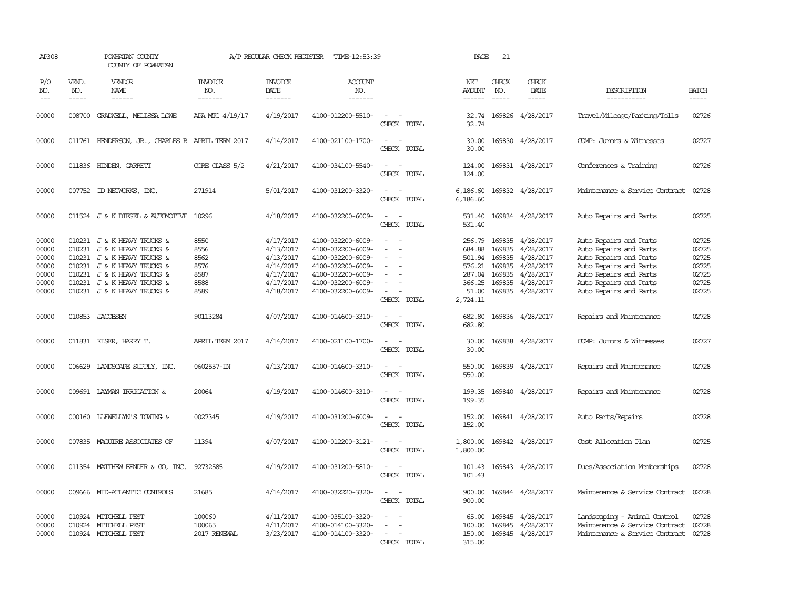| AP308                                                       |                               | POWHATAN COUNTY<br>COUNTY OF POWHATAN                                                                                                                                                                                 |                                                      | A/P REGULAR CHECK REGISTER                                                              | TIME-12:53:39                                                                                                                                   |                                                                                                                             | PAGE                                                                | 21                            |                                                                                                                                                 |                                                                                                                                                                                    |                                                             |
|-------------------------------------------------------------|-------------------------------|-----------------------------------------------------------------------------------------------------------------------------------------------------------------------------------------------------------------------|------------------------------------------------------|-----------------------------------------------------------------------------------------|-------------------------------------------------------------------------------------------------------------------------------------------------|-----------------------------------------------------------------------------------------------------------------------------|---------------------------------------------------------------------|-------------------------------|-------------------------------------------------------------------------------------------------------------------------------------------------|------------------------------------------------------------------------------------------------------------------------------------------------------------------------------------|-------------------------------------------------------------|
| P/O<br>NO.<br>$- - -$                                       | VEND.<br>NO.<br>$\frac{1}{2}$ | VENDOR<br>NAME<br>------                                                                                                                                                                                              | <b>INVOICE</b><br>NO.<br>-------                     | <b>INVOICE</b><br>DATE<br>-------                                                       | <b>ACCOUNT</b><br>NO.<br>-------                                                                                                                |                                                                                                                             | NET<br><b>AMOUNT</b><br>------                                      | CHECK<br>NO.<br>$\frac{1}{2}$ | CHECK<br>DATE<br>-----                                                                                                                          | DESCRIPTION<br>-----------                                                                                                                                                         | <b>BATCH</b><br>-----                                       |
| 00000                                                       | 008700                        | GRADWEIL, MELISSA LOWE                                                                                                                                                                                                | APA MTG 4/19/17                                      | 4/19/2017                                                                               | 4100-012200-5510-                                                                                                                               | $\sim$<br>CHECK TOTAL                                                                                                       | 32.74<br>32.74                                                      |                               | 169826 4/28/2017                                                                                                                                | Travel/Mileage/Parking/Tolls                                                                                                                                                       | 02726                                                       |
| 00000                                                       |                               | 011761 HENDERSON, JR., CHARLES R APRIL TERM 2017                                                                                                                                                                      |                                                      | 4/14/2017                                                                               | 4100-021100-1700-                                                                                                                               | CHECK TOTAL                                                                                                                 | 30.00<br>30.00                                                      |                               | 169830 4/28/2017                                                                                                                                | COMP: Jurors & Witnesses                                                                                                                                                           | 02727                                                       |
| 00000                                                       |                               | 011836 HINDEN, GARRETT                                                                                                                                                                                                | CORE CLASS 5/2                                       | 4/21/2017                                                                               | 4100-034100-5540-                                                                                                                               | $\frac{1}{2} \left( \frac{1}{2} \right) \left( \frac{1}{2} \right) = \frac{1}{2} \left( \frac{1}{2} \right)$<br>CHECK TOTAL | 124.00<br>124.00                                                    |                               | 169831 4/28/2017                                                                                                                                | Conferences & Training                                                                                                                                                             | 02726                                                       |
| 00000                                                       |                               | 007752 ID NEIWORKS, INC.                                                                                                                                                                                              | 271914                                               | 5/01/2017                                                                               | 4100-031200-3320-                                                                                                                               | $ -$<br>CHECK TOTAL                                                                                                         | 6,186.60<br>6,186.60                                                |                               | 169832 4/28/2017                                                                                                                                | Maintenance & Service Contract                                                                                                                                                     | 02728                                                       |
| 00000                                                       |                               | 011524 J & K DIESEL & AUTOMOTIVE 10296                                                                                                                                                                                |                                                      | 4/18/2017                                                                               | 4100-032200-6009-                                                                                                                               | $\sim$<br>CHECK TOTAL                                                                                                       | 531.40<br>531.40                                                    |                               | 169834 4/28/2017                                                                                                                                | Auto Repairs and Parts                                                                                                                                                             | 02725                                                       |
| 00000<br>00000<br>00000<br>00000<br>00000<br>00000<br>00000 |                               | 010231 J & K HEAVY TRUCKS &<br>010231 J & K HEAVY TRUCKS &<br>010231 J & K HEAVY TRUCKS &<br>010231 J & K HEAVY TRUCKS &<br>010231 J & K HEAVY TRUCKS &<br>010231 J & K HEAVY TRUCKS &<br>010231 J & K HEAVY TRUCKS & | 8550<br>8556<br>8562<br>8576<br>8587<br>8588<br>8589 | 4/17/2017<br>4/13/2017<br>4/13/2017<br>4/14/2017<br>4/17/2017<br>4/17/2017<br>4/18/2017 | 4100-032200-6009-<br>4100-032200-6009-<br>4100-032200-6009-<br>4100-032200-6009-<br>4100-032200-6009-<br>4100-032200-6009-<br>4100-032200-6009- | $\equiv$<br>$\equiv$<br>CHECK TOTAL                                                                                         | 256.79<br>684.88<br>501.94<br>576.21<br>366.25<br>51.00<br>2,724.11 |                               | 169835 4/28/2017<br>169835 4/28/2017<br>169835 4/28/2017<br>169835 4/28/2017<br>287.04 169835 4/28/2017<br>169835 4/28/2017<br>169835 4/28/2017 | Auto Repairs and Parts<br>Auto Repairs and Parts<br>Auto Repairs and Parts<br>Auto Repairs and Parts<br>Auto Repairs and Parts<br>Auto Repairs and Parts<br>Auto Repairs and Parts | 02725<br>02725<br>02725<br>02725<br>02725<br>02725<br>02725 |
| 00000                                                       |                               | 010853 JACOBSEN                                                                                                                                                                                                       | 90113284                                             | 4/07/2017                                                                               | 4100-014600-3310-                                                                                                                               | $\sim$<br>CHECK TOTAL                                                                                                       | 682.80<br>682.80                                                    |                               | 169836 4/28/2017                                                                                                                                | Repairs and Maintenance                                                                                                                                                            | 02728                                                       |
| 00000                                                       |                               | 011831 KISER, HARRY T.                                                                                                                                                                                                | APRIL TERM 2017                                      | 4/14/2017                                                                               | 4100-021100-1700-                                                                                                                               | CHECK TOTAL                                                                                                                 | 30.00<br>30.00                                                      |                               | 169838 4/28/2017                                                                                                                                | COMP: Jurors & Witnesses                                                                                                                                                           | 02727                                                       |
| 00000                                                       | 006629                        | LANDSCAPE SUPPLY, INC.                                                                                                                                                                                                | 0602557-IN                                           | 4/13/2017                                                                               | 4100-014600-3310-                                                                                                                               | $\sim$<br>CHECK TOTAL                                                                                                       | 550.00<br>550.00                                                    |                               | 169839 4/28/2017                                                                                                                                | Repairs and Maintenance                                                                                                                                                            | 02728                                                       |
| 00000                                                       |                               | 009691 LAYMAN IRRIGATION &                                                                                                                                                                                            | 20064                                                | 4/19/2017                                                                               | 4100-014600-3310-                                                                                                                               | $\overline{\phantom{a}}$<br>CHECK TOTAL                                                                                     | 199.35<br>199.35                                                    |                               | 169840 4/28/2017                                                                                                                                | Repairs and Maintenance                                                                                                                                                            | 02728                                                       |
| 00000                                                       |                               | 000160 LLEWELLYN'S TOWING &                                                                                                                                                                                           | 0027345                                              | 4/19/2017                                                                               | 4100-031200-6009-                                                                                                                               | CHECK TOTAL                                                                                                                 | 152.00<br>152.00                                                    |                               | 169841 4/28/2017                                                                                                                                | Auto Parts/Repairs                                                                                                                                                                 | 02728                                                       |
| 00000                                                       |                               | 007835 MAGUIRE ASSOCIATES OF                                                                                                                                                                                          | 11394                                                | 4/07/2017                                                                               | 4100-012200-3121-                                                                                                                               | CHECK TOTAL                                                                                                                 | 1,800.00<br>1,800.00                                                |                               | 169842 4/28/2017                                                                                                                                | Cost Allocation Plan                                                                                                                                                               | 02725                                                       |
| 00000                                                       |                               | 011354 MATTHEW BENDER & CO, INC.                                                                                                                                                                                      | 92732585                                             | 4/19/2017                                                                               | 4100-031200-5810-                                                                                                                               | $\sim$<br>$\sim$<br>CHECK TOTAL                                                                                             | 101.43                                                              |                               | 101.43 169843 4/28/2017                                                                                                                         | Dues/Association Memberships                                                                                                                                                       | 02728                                                       |
| 00000                                                       |                               | 009666 MID-ATLANTIC CONTROLS                                                                                                                                                                                          | 21685                                                | 4/14/2017                                                                               | 4100-032220-3320-                                                                                                                               | $\equiv$<br>CHECK TOTAL                                                                                                     | 900.00<br>900.00                                                    |                               | 169844 4/28/2017                                                                                                                                | Maintenance & Service Contract                                                                                                                                                     | 02728                                                       |
| 00000<br>00000<br>00000                                     |                               | 010924 MITCHELL PEST<br>010924 MITCHELL PEST<br>010924 MITCHELL PEST                                                                                                                                                  | 100060<br>100065<br>2017 RENEWAL                     | 4/11/2017<br>4/11/2017<br>3/23/2017                                                     | 4100-035100-3320-<br>4100-014100-3320-<br>4100-014100-3320-                                                                                     | CHECK TOTAL                                                                                                                 | 65.00<br>100.00<br>150.00<br>315.00                                 |                               | 169845 4/28/2017<br>169845 4/28/2017<br>169845 4/28/2017                                                                                        | Landscaping - Animal Control<br>Maintenance & Service Contract<br>Maintenance & Service Contract 02728                                                                             | 02728<br>02728                                              |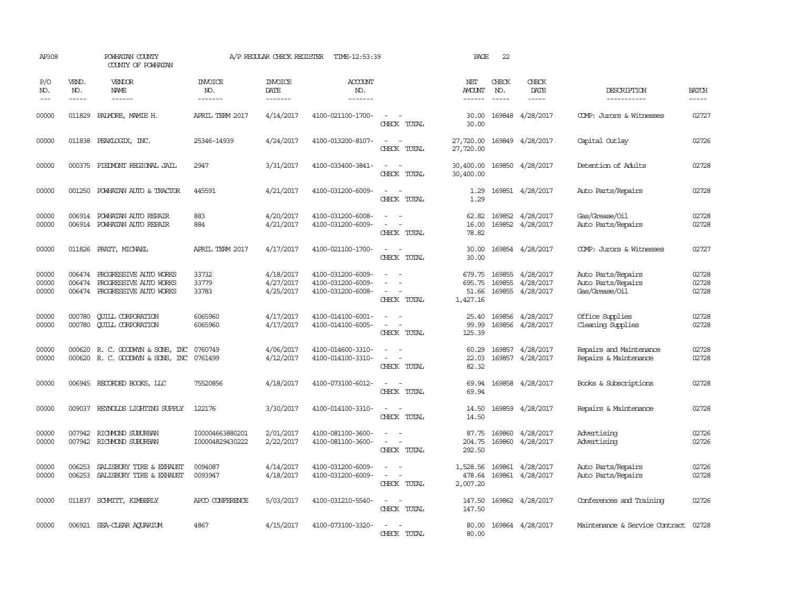| AP308                       |                             | POWHATAN COUNTY<br>COUNTY OF POWHATAN                                      |                                    | A/P REGULAR CHECK REGISTER          | TIME-12:53:39                                               |                                                     | PAGE                                  | 22                            |                                                   |                                                            |                         |
|-----------------------------|-----------------------------|----------------------------------------------------------------------------|------------------------------------|-------------------------------------|-------------------------------------------------------------|-----------------------------------------------------|---------------------------------------|-------------------------------|---------------------------------------------------|------------------------------------------------------------|-------------------------|
| P/O<br>NO.<br>$\frac{1}{2}$ | VEND.<br>NO.<br>$- - - - -$ | VENDOR<br>NAME<br>$- - - - - -$                                            | <b>INVOICE</b><br>NO.<br>-------   | <b>INVOICE</b><br>DATE<br>-------   | <b>ACCOUNT</b><br>NO.<br>-------                            |                                                     | NET<br>AMOUNT<br>------               | CHECK<br>NO.<br>$\frac{1}{2}$ | CHECK<br>DATE<br>-----                            | DESCRIPTION<br>-----------                                 | <b>BATCH</b><br>-----   |
| 00000                       | 011829                      | PALMORE, MAMIE H.                                                          | APRIL TERM 2017                    | 4/14/2017                           | 4100-021100-1700-                                           | $\equiv$<br>CHECK TOTAL                             | 30.00<br>30.00                        |                               | 169848 4/28/2017                                  | COMP: Jurors & Witnesses                                   | 02727                   |
| 00000                       |                             | 011838 PEAKLOGIX, INC.                                                     | 25346-14939                        | 4/24/2017                           | 4100-013200-8107-                                           | $\sim$<br>$\sim$<br>CHECK TOTAL                     | 27,720.00<br>27,720.00                |                               | 169849 4/28/2017                                  | Capital Outlay                                             | 02726                   |
| 00000                       |                             | 000375 PIEDMONT REGIONAL JAIL                                              | 2947                               | 3/31/2017                           | 4100-033400-3841-                                           | CHECK TOTAL                                         | 30,400.00<br>30,400.00                |                               | 169850 4/28/2017                                  | Detention of Adults                                        | 02728                   |
| 00000                       |                             | 001250 POWHATAN AUTO & TRACTOR                                             | 445591                             | 4/21/2017                           | 4100-031200-6009-                                           | $\sim$<br>CHECK TOTAL                               | 1.29<br>1.29                          |                               | 169851 4/28/2017                                  | Auto Parts/Repairs                                         | 02728                   |
| 00000<br>00000              | 006914                      | POWHATAN AUTO REPAIR<br>006914 POWHATAN AUTO REPAIR                        | 883<br>884                         | 4/20/2017<br>4/21/2017              | 4100-031200-6008-<br>4100-031200-6009-                      | $\equiv$<br>CHECK TOTAL                             | 62.82<br>16.00<br>78.82               |                               | 169852 4/28/2017<br>169852 4/28/2017              | Gas/Grease/Oil<br>Auto Parts/Repairs                       | 02728<br>02728          |
| 00000                       | 011826                      | PRATT, MICHAEL                                                             | APRIL TERM 2017                    | 4/17/2017                           | 4100-021100-1700-                                           | $\overline{\phantom{a}}$<br>CHECK TOTAL             | 30.00<br>30.00                        |                               | 169854 4/28/2017                                  | COMP: Jurors & Witnesses                                   | 02727                   |
| 00000<br>00000<br>00000     | 006474<br>006474<br>006474  | PROGRESSIVE AUTO WORKS<br>PROGRESSIVE AUTO WORKS<br>PROGRESSIVE AUTO WORKS | 33732<br>33779<br>33783            | 4/18/2017<br>4/27/2017<br>4/25/2017 | 4100-031200-6009-<br>4100-031200-6009-<br>4100-031200-6008- | $\equiv$<br>$\overline{\phantom{a}}$<br>CHECK TOTAL | 679.75<br>695.75<br>51.66<br>1,427.16 | 169855                        | 169855 4/28/2017<br>4/28/2017<br>169855 4/28/2017 | Auto Parts/Repairs<br>Auto Parts/Repairs<br>Gas/Grease/Oil | 02728<br>02728<br>02728 |
| 00000<br>00000              | 000780<br>000780            | <b>CUILL CORPORATION</b><br><b>CUILL CORPORATION</b>                       | 6065960<br>6065960                 | 4/17/2017<br>4/17/2017              | 4100-014100-6001-<br>4100-014100-6005-                      | CHECK TOTAL                                         | 25.40<br>99.99<br>125.39              |                               | 169856 4/28/2017<br>169856 4/28/2017              | Office Supplies<br>Cleaning Supplies                       | 02728<br>02728          |
| 00000<br>00000              |                             | 000620 R. C. GOODWYN & SONS, INC<br>000620 R.C. GOODWYN & SONS, INC        | 0760749<br>0761499                 | 4/06/2017<br>4/12/2017              | 4100-014600-3310-<br>4100-014100-3310-                      | $\sim$ 100 $\mu$<br>CHECK TOTAL                     | 60.29<br>22.03<br>82.32               |                               | 169857 4/28/2017<br>169857 4/28/2017              | Repairs and Maintenance<br>Repairs & Maintenance           | 02728<br>02728          |
| 00000                       |                             | 006945 RECORDED BOOKS, LLC                                                 | 75520856                           | 4/18/2017                           | 4100-073100-6012-                                           | $\sim$<br>$\sim$<br>CHECK TOTAL                     | 69.94<br>69.94                        |                               | 169858 4/28/2017                                  | Books & Subscriptions                                      | 02728                   |
| 00000                       |                             | 009037 REYNOLDS LIGHTING SUPPLY                                            | 122176                             | 3/30/2017                           | 4100-014100-3310-                                           | $\sim$ 10 $\sim$ 10 $\sim$<br>CHECK TOTAL           | 14.50<br>14.50                        |                               | 169859 4/28/2017                                  | Repairs & Maintenance                                      | 02728                   |
| 00000<br>00000              | 007942                      | RICHMOND SUBURBAN<br>007942 RICHMOND SUBURBAN                              | I00004663880201<br>I00004829430222 | 2/01/2017<br>2/22/2017              | 4100-081100-3600-<br>4100-081100-3600-                      | CHECK TOTAL                                         | 87.75<br>204.75<br>292.50             | 169860                        | 4/28/2017<br>169860 4/28/2017                     | Advertising<br>Advertising                                 | 02726<br>02726          |
| 00000<br>00000              | 006253<br>006253            | SALISBURY TIRE & EXHAUST<br>SALISBURY TIRE & EXHAUST                       | 0094087<br>0093947                 | 4/14/2017<br>4/18/2017              | 4100-031200-6009-<br>4100-031200-6009-                      | $\sim$<br>$\overline{\phantom{0}}$<br>CHECK TOTAL   | 1,528.56<br>478.64<br>2,007.20        |                               | 169861 4/28/2017<br>169861 4/28/2017              | Auto Parts/Repairs<br>Auto Parts/Repairs                   | 02726<br>02728          |
| 00000                       |                             | 011837 SCHMITT, KIMBERLY                                                   | APCO CONFERENCE                    | 5/03/2017                           | 4100-031210-5540-                                           | $\sim$ $\sim$<br>CHECK TOTAL                        | 147.50<br>147.50                      |                               | 169862 4/28/2017                                  | Conferences and Training                                   | 02726                   |
| 00000                       |                             | 006921 SEA-CLEAR AQUARIUM                                                  | 4867                               | 4/15/2017                           | 4100-073100-3320-                                           | $\sim$<br>CHECK TOTAL                               | 80.00<br>80.00                        |                               | 169864 4/28/2017                                  | Maintenance & Service Contract                             | 02728                   |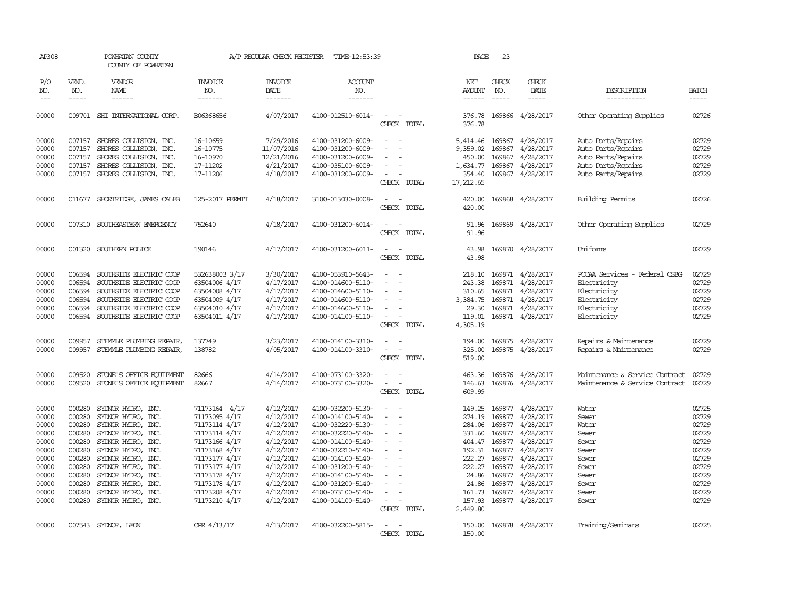| AP308          |                        | POWHATAN COUNTY<br>COUNTY OF POWHATAN                   |                       | A/P REGULAR CHECK REGISTER | TIME-12:53:39                          |                                                                                                                             | PAGE                | 23            |                                        |                                          |                |
|----------------|------------------------|---------------------------------------------------------|-----------------------|----------------------------|----------------------------------------|-----------------------------------------------------------------------------------------------------------------------------|---------------------|---------------|----------------------------------------|------------------------------------------|----------------|
| P/O<br>NO.     | VEND.<br>NO.           | VENDOR<br>NAME                                          | <b>INVOICE</b><br>NO. | <b>INVOICE</b><br>DATE     | <b>ACCOUNT</b><br>NO.                  |                                                                                                                             | NET<br>AMOUNT       | CHECK<br>NO.  | CHECK<br>DATE                          | DESCRIPTION                              | <b>BATCH</b>   |
| $---$          | $\cdots \cdots \cdots$ | $- - - - - -$                                           | -------               | $- - - - - - -$            | -------                                |                                                                                                                             | $- - - - - -$       | $\frac{1}{2}$ | $- - - - -$                            | -----------                              | -----          |
| 00000          |                        | 009701 SHI INTERNATIONAL CORP.                          | B06368656             | 4/07/2017                  | 4100-012510-6014-                      | $\sim$ 100 $\mu$<br>CHECK TOTAL                                                                                             | 376.78              |               | 376.78 169866 4/28/2017                | Other Operating Supplies                 | 02726          |
| 00000<br>00000 | 007157                 | 007157 SHORES COLLISION, INC.<br>SHORES COLLISION, INC. | 16-10659<br>16-10775  | 7/29/2016<br>11/07/2016    | 4100-031200-6009-<br>4100-031200-6009- |                                                                                                                             | 9,359.02            | 169867        | 5,414.46 169867 4/28/2017<br>4/28/2017 | Auto Parts/Repairs<br>Auto Parts/Repairs | 02729<br>02729 |
| 00000<br>00000 | 007157<br>007157       | SHORES COLLISION, INC.<br>SHORES COLLISION, INC.        | 16-10970<br>17-11202  | 12/21/2016<br>4/21/2017    | 4100-031200-6009-<br>4100-035100-6009- |                                                                                                                             | 450.00<br>1,634.77  | 169867        | 4/28/2017<br>169867 4/28/2017          | Auto Parts/Repairs<br>Auto Parts/Repairs | 02729<br>02729 |
| 00000          |                        | 007157 SHORES COLLISION, INC.                           | 17-11206              | 4/18/2017                  | 4100-031200-6009-                      | $\overline{\phantom{a}}$<br>CHECK TOTAL                                                                                     | 354.40<br>17,212.65 |               | 169867 4/28/2017                       | Auto Parts/Repairs                       | 02729          |
| 00000          |                        | 011677 SHORTRIDGE, JAMES CALEB                          | 125-2017 PERMIT       | 4/18/2017                  | 3100-013030-0008-                      | CHECK TOTAL                                                                                                                 | 420.00<br>420.00    |               | 169868 4/28/2017                       | Building Permits                         | 02726          |
| 00000          |                        | 007310 SOUTHEASTERN EMERGENCY                           | 752640                | 4/18/2017                  | 4100-031200-6014-                      | CHECK TOTAL                                                                                                                 | 91.96<br>91.96      |               | 169869 4/28/2017                       | Other Operating Supplies                 | 02729          |
| 00000          |                        | 001320 SOUTHERN POLICE                                  | 190146                | 4/17/2017                  | 4100-031200-6011-                      | $\frac{1}{2} \left( \frac{1}{2} \right) \left( \frac{1}{2} \right) = \frac{1}{2} \left( \frac{1}{2} \right)$<br>CHECK TOTAL | 43.98<br>43.98      |               | 169870 4/28/2017                       | Uniforms                                 | 02729          |
| 00000          | 006594                 | SOUTHSIDE ELECTRIC COOP                                 | 532638003 3/17        | 3/30/2017                  | 4100-053910-5643-                      |                                                                                                                             |                     |               | 218.10 169871 4/28/2017                | PCCAA Services - Federal CSBG            | 02729          |
| 00000          | 006594                 | SOUTHSIDE ELECTRIC COOP                                 | 63504006 4/17         | 4/17/2017                  | 4100-014600-5110-                      | $\overline{\phantom{a}}$                                                                                                    | 243.38              |               | 169871 4/28/2017                       | Electricity                              | 02729          |
| 00000          | 006594                 | SOUTHSIDE ELECTRIC COOP                                 | 63504008 4/17         | 4/17/2017                  | 4100-014600-5110-                      | $\overline{\phantom{a}}$                                                                                                    | 310.65              |               | 169871 4/28/2017                       | Electricity                              | 02729          |
| 00000          | 006594                 | SOUTHSIDE ELECTRIC COOP                                 | 63504009 4/17         | 4/17/2017                  | 4100-014600-5110-                      |                                                                                                                             | 3,384.75            |               | 169871 4/28/2017                       | Electricity                              | 02729          |
| 00000          | 006594                 | SOUTHSIDE ELECTRIC COOP                                 | 63504010 4/17         | 4/17/2017                  | 4100-014600-5110-                      |                                                                                                                             | 29.30               |               | 169871 4/28/2017                       | Electricity                              | 02729          |
| 00000          |                        | 006594 SOUTHSIDE ELECTRIC COOP                          | 63504011 4/17         | 4/17/2017                  | 4100-014100-5110-                      | $\sim$                                                                                                                      | 119.01              |               | 169871 4/28/2017                       | Electricity                              | 02729          |
|                |                        |                                                         |                       |                            |                                        | CHECK TOTAL                                                                                                                 | 4,305.19            |               |                                        |                                          |                |
| 00000          | 009957                 | STEMMLE PLUMBING REPAIR,                                | 137749                | 3/23/2017                  | 4100-014100-3310-                      | $\sim$                                                                                                                      | 194.00              |               | 169875 4/28/2017                       | Repairs & Maintenance                    | 02729          |
| 00000          | 009957                 | STEMMLE PLUMBING REPAIR,                                | 138782                | 4/05/2017                  | 4100-014100-3310-                      | $\equiv$<br>CHECK TOTAL                                                                                                     | 325.00<br>519.00    |               | 169875 4/28/2017                       | Repairs & Maintenance                    | 02729          |
| 00000          | 009520                 | STONE'S OFFICE EQUIPMENT                                | 82666                 | 4/14/2017                  | 4100-073100-3320-                      |                                                                                                                             | 463.36              |               | 169876 4/28/2017                       | Maintenance & Service Contract           | 02729          |
| 00000          | 009520                 | STONE'S OFFICE EQUIPMENT                                | 82667                 | 4/14/2017                  | 4100-073100-3320-                      | $\overline{\phantom{a}}$<br>CHECK TOTAL                                                                                     | 146.63<br>609.99    |               | 169876 4/28/2017                       | Maintenance & Service Contract           | 02729          |
| 00000          | 000280                 | SYDNOR HYDRO, INC.                                      | 71173164 4/17         | 4/12/2017                  | 4100-032200-5130-                      | $\overline{\phantom{a}}$                                                                                                    | 149.25              |               | 169877 4/28/2017                       | Water                                    | 02725          |
| 00000          | 000280                 | SYLNOR HYDRO, INC.                                      | 71173095 4/17         | 4/12/2017                  | 4100-014100-5140-                      |                                                                                                                             |                     |               | 274.19 169877 4/28/2017                | Sewer                                    | 02729          |
| 00000          | 000280                 | SYDNOR HYDRO, INC.                                      | 71173114 4/17         | 4/12/2017                  | 4100-032220-5130-                      | $\equiv$                                                                                                                    | 284.06              |               | 169877 4/28/2017                       | Water                                    | 02729          |
| 00000          | 000280                 | SYDNOR HYDRO, INC.                                      | 71173114 4/17         | 4/12/2017                  | 4100-032220-5140-                      |                                                                                                                             | 331.60              |               | 169877 4/28/2017                       | Sewer                                    | 02729          |
| 00000          | 000280                 | SYDNOR HYDRO, INC.                                      | 71173166 4/17         | 4/12/2017                  | 4100-014100-5140-                      | $\overline{\phantom{a}}$                                                                                                    | 404.47              |               | 169877 4/28/2017                       | Sewer                                    | 02729          |
| 00000          | 000280                 | SYDNOR HYDRO, INC.                                      | 71173168 4/17         | 4/12/2017                  | 4100-032210-5140-                      |                                                                                                                             | 192.31              |               | 169877 4/28/2017                       | Sewer                                    | 02729          |
| 00000          | 000280                 | SYLNOR HYDRO, INC.                                      | 71173177 4/17         | 4/12/2017                  | 4100-014100-5140-                      | $\overline{\phantom{a}}$                                                                                                    | 222.27              |               | 169877 4/28/2017                       | Sewer                                    | 02729          |
| 00000          | 000280                 | SYLNOR HYDRO, INC.                                      | 71173177 4/17         | 4/12/2017                  | 4100-031200-5140-                      |                                                                                                                             | 222.27              |               | 169877 4/28/2017                       | Sewer                                    | 02729          |
| 00000          | 000280                 | SYLNOR HYDRO, INC.                                      | 71173178 4/17         | 4/12/2017                  | 4100-014100-5140-                      |                                                                                                                             | 24.86               |               | 169877 4/28/2017                       | Sewer                                    | 02729          |
| 00000          | 000280                 | SYDNOR HYDRO, INC.                                      | 71173178 4/17         | 4/12/2017                  | 4100-031200-5140-                      |                                                                                                                             | 24.86               |               | 169877 4/28/2017                       | Sewer                                    | 02729          |
| 00000          | 000280                 | SYDNOR HYDRO, INC.                                      | 71173208 4/17         | 4/12/2017                  | 4100-073100-5140-                      | $\sim$                                                                                                                      | 161.73              |               | 169877 4/28/2017                       | Sewer                                    | 02729          |
| 00000          |                        | 000280 SYDNOR HYDRO, INC.                               | 71173210 4/17         | 4/12/2017                  | 4100-014100-5140-                      | $\sim$                                                                                                                      |                     |               | 157.93 169877 4/28/2017                | Sewer                                    | 02729          |
|                |                        |                                                         |                       |                            |                                        | CHECK TOTAL                                                                                                                 | 2,449.80            |               |                                        |                                          |                |
| 00000          |                        | 007543 SYDNOR, LEON                                     | CPR 4/13/17           | 4/13/2017                  | 4100-032200-5815-                      | CHECK TOTAL                                                                                                                 | 150.00<br>150.00    |               | 169878 4/28/2017                       | Training/Seminars                        | 02725          |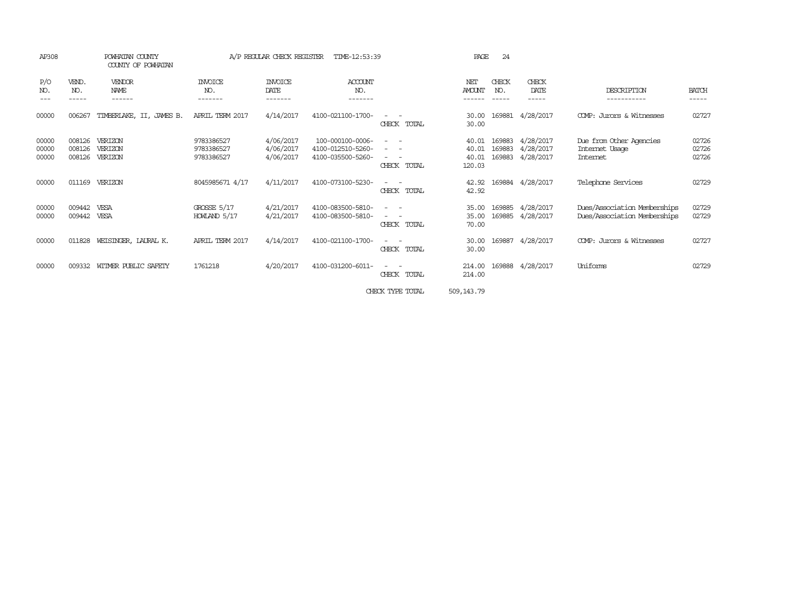| AP308                   |                             | POWHATAN COUNTY<br>COUNTY OF POWHATAN  |                                        | A/P REGULAR CHECK REGISTER          | TIME-12:53:39                                              |                                                                                                                                          | PAGE                              | 24                          |                                      |                                                              |                         |
|-------------------------|-----------------------------|----------------------------------------|----------------------------------------|-------------------------------------|------------------------------------------------------------|------------------------------------------------------------------------------------------------------------------------------------------|-----------------------------------|-----------------------------|--------------------------------------|--------------------------------------------------------------|-------------------------|
| P/O<br>NO.<br>---       | VEND.<br>NO.<br>$- - - - -$ | <b>VENDOR</b><br><b>NAME</b><br>------ | <b>INVOICE</b><br>NO.<br>-------       | <b>INVOICE</b><br>DATE<br>-------   | ACCOUNT<br>NO.<br>-------                                  |                                                                                                                                          | NET<br><b>AMOUNT</b><br>------    | CHECK<br>NO.<br>$- - - - -$ | CHECK<br>DATE<br>$- - - - -$         | DESCRIPTION<br>-----------                                   | <b>BATCH</b><br>-----   |
| 00000                   | 006267                      | TIMBERLAKE, II, JAMES B.               | APRIL TERM 2017                        | 4/14/2017                           | 4100-021100-1700-                                          | CHECK TOTAL                                                                                                                              | 30.00<br>30.00                    | 169881                      | 4/28/2017                            | COMP: Jurors & Witnesses                                     | 02727                   |
| 00000<br>00000<br>00000 | 008126<br>008126<br>008126  | VERIZON<br>VERIZON<br>VERIZON          | 9783386527<br>9783386527<br>9783386527 | 4/06/2017<br>4/06/2017<br>4/06/2017 | 100-000100-0006-<br>4100-012510-5260-<br>4100-035500-5260- | $\sim$<br>$ -$<br>$\sim$<br>$ -$<br>$\overline{\phantom{a}}$<br>CHECK TOTAL                                                              | 40.01<br>40.01<br>40.01<br>120.03 | 169883<br>169883<br>169883  | 4/28/2017<br>4/28/2017<br>4/28/2017  | Due from Other Agencies<br>Internet Usage<br><b>Internet</b> | 02726<br>02726<br>02726 |
| 00000                   | 011169                      | VERIZON                                | 8045985671 4/17                        | 4/11/2017                           | 4100-073100-5230-                                          | $\sim$ 100 $\mu$<br>$\overline{\phantom{a}}$<br>CHECK TOTAL                                                                              | 42.92<br>42.92                    |                             | 169884 4/28/2017                     | Telephone Services                                           | 02729                   |
| 00000<br>00000          | 009442<br>009442            | VESA<br>VESA                           | $GROSSE$ 5/17<br>HOWLAND 5/17          | 4/21/2017<br>4/21/2017              | 4100-083500-5810-<br>4100-083500-5810-                     | $\frac{1}{2} \left( \frac{1}{2} \right) \left( \frac{1}{2} \right) \left( \frac{1}{2} \right) \left( \frac{1}{2} \right)$<br>CHECK TOTAL | 35.00<br>35.00<br>70.00           |                             | 169885 4/28/2017<br>169885 4/28/2017 | Dues/Association Memberships<br>Dues/Association Memberships | 02729<br>02729          |
| 00000                   | 011828                      | WEISINGER, LAURAL K.                   | APRIL TERM 2017                        | 4/14/2017                           | 4100-021100-1700-                                          | $ -$<br>CHECK TOTAL                                                                                                                      | 30.00<br>30.00                    | 169887                      | 4/28/2017                            | COMP: Jurors & Witnesses                                     | 02727                   |
| 00000                   | 009332                      | WITMER PUBLIC SAFETY                   | 1761218                                | 4/20/2017                           | 4100-031200-6011-                                          | CHECK TOTAL                                                                                                                              | 214.00<br>214.00                  | 169888                      | 4/28/2017                            | Uniforms                                                     | 02729                   |
|                         |                             |                                        |                                        |                                     |                                                            | CHECK TYPE TOTAL                                                                                                                         | 509, 143.79                       |                             |                                      |                                                              |                         |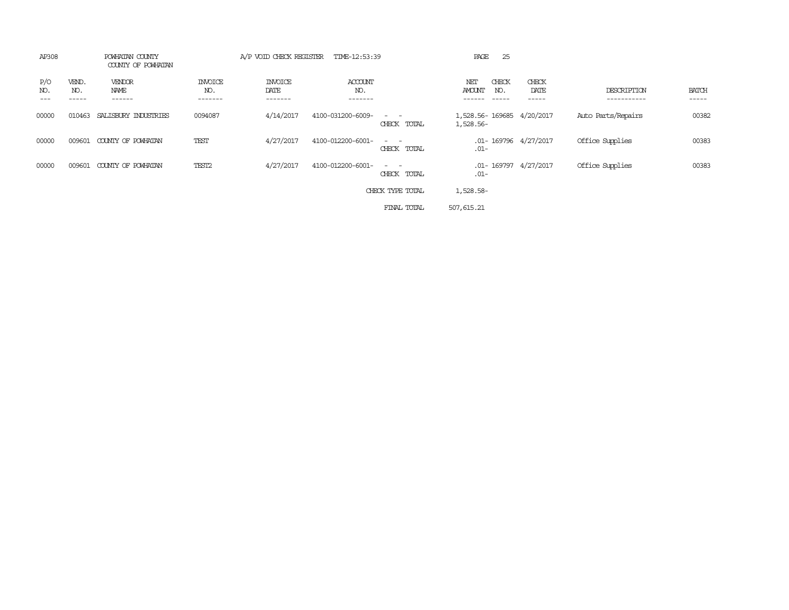| AP308                                        | POWHATAN COUNTY<br>COUNTY OF POWHATAN |                           | A/P VOID CHECK REGISTER           | TIME-12:53:39                    |                              | PAGE<br>25                                   |                         |                            |                       |
|----------------------------------------------|---------------------------------------|---------------------------|-----------------------------------|----------------------------------|------------------------------|----------------------------------------------|-------------------------|----------------------------|-----------------------|
| P/O<br>VEND.<br>NO.<br>NO.<br>$---$<br>----- | VENDOR<br>NAME<br>------              | INVOICE<br>NO.<br>------- | <b>INVOICE</b><br>DATE<br>------- | <b>ACCOUNT</b><br>NO.<br>------- |                              | CHECK<br>NET<br>AMOUNT<br>NO.<br>$- - - - -$ | CHECK<br>DATE<br>------ | DESCRIPTION<br>----------- | <b>BATCH</b><br>----- |
| 00000<br>010463                              | SALISBURY INDUSTRIES                  | 0094087                   | 4/14/2017                         | 4100-031200-6009-                | $ -$<br>CHECK TOTAL          | 1,528.56-169685 4/20/2017<br>1,528.56-       |                         | Auto Parts/Repairs         | 00382                 |
| 00000<br>009601                              | COUNTY OF POWHATAN                    | TEST                      | 4/27/2017                         | 4100-012200-6001-                | $\sim$ $\sim$<br>CHECK TOTAL | .01- 169796 4/27/2017<br>-01.                |                         | Office Supplies            | 00383                 |
| 00000<br>009601                              | COUNTY OF POWHATAN                    | TEST2                     | 4/27/2017                         | 4100-012200-6001-                | $\sim$ $ -$<br>CHECK TOTAL   | .01- 169797 4/27/2017<br>$.01 -$             |                         | Office Supplies            | 00383                 |
|                                              |                                       |                           |                                   |                                  | CHECK TYPE TOTAL             | 1,528.58-                                    |                         |                            |                       |
|                                              |                                       |                           |                                   |                                  | FINAL TOTAL                  | 507, 615.21                                  |                         |                            |                       |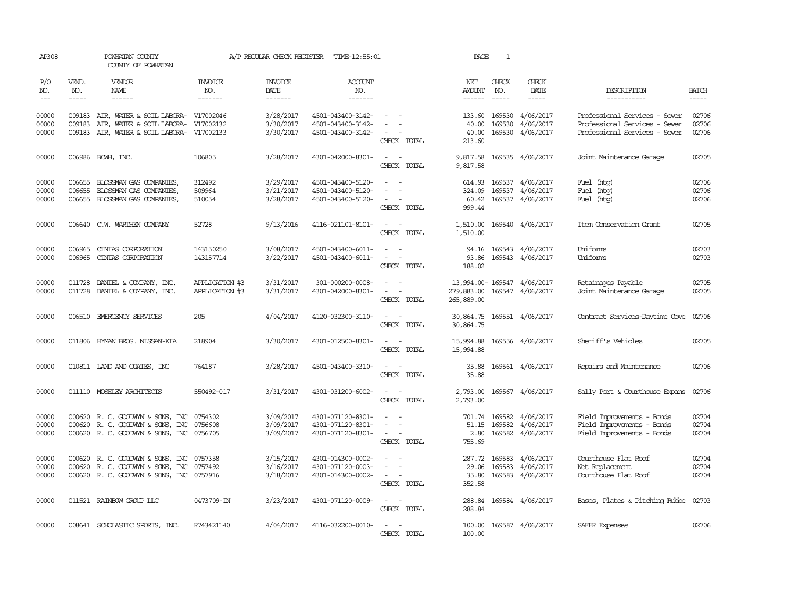| AP308                   |                            | POWHATAN COUNTY<br>COUNTY OF POWHATAN                                                                                           | A/P REGULAR CHECK REGISTER       | TIME-12:55:01                       | PAGE                                                        | 1                                                                                                                           |                                     |                  |                                                          |                                                                                                 |                         |
|-------------------------|----------------------------|---------------------------------------------------------------------------------------------------------------------------------|----------------------------------|-------------------------------------|-------------------------------------------------------------|-----------------------------------------------------------------------------------------------------------------------------|-------------------------------------|------------------|----------------------------------------------------------|-------------------------------------------------------------------------------------------------|-------------------------|
| P/O<br>NO.              | VEND.<br>NO.               | VENDOR<br>NAME                                                                                                                  | INVOICE<br>NO.                   | <b>INVOICE</b><br>DATE              | ACCOUNT<br>NO.                                              |                                                                                                                             | NET<br>AMOUNT                       | CHECK<br>NO.     | CHECK<br>DATE                                            | DESCRIPTION                                                                                     | <b>BATCH</b>            |
| $\frac{1}{2}$           | -----                      | ------                                                                                                                          | -------                          | $- - - - - - -$                     | -------                                                     |                                                                                                                             | $- - - - - -$                       | $\frac{1}{2}$    | -----                                                    | -----------                                                                                     | $- - - - -$             |
| 00000<br>00000<br>00000 | 009183<br>009183<br>009183 | AIR, WATER & SOIL LABORA- V17002046<br>AIR, WATER & SOIL LABORA-<br>AIR, WATER & SOIL LABORA- V17002133                         | V17002132                        | 3/28/2017<br>3/30/2017<br>3/30/2017 | 4501-043400-3142-<br>4501-043400-3142-<br>4501-043400-3142- | $\sim$ $  -$<br>CHECK TOTAL                                                                                                 | 133.60<br>40.00<br>40.00<br>213.60  | 169530           | 169530 4/06/2017<br>4/06/2017<br>169530 4/06/2017        | Professional Services - Sewer<br>Professional Services - Sewer<br>Professional Services - Sewer | 02706<br>02706<br>02706 |
| 00000                   |                            | 006986 BCWH, INC.                                                                                                               | 106805                           | 3/28/2017                           | 4301-042000-8301-                                           | $\sim$<br>$\overline{\phantom{a}}$<br>CHECK TOTAL                                                                           | 9,817.58<br>9,817.58                |                  | 169535 4/06/2017                                         | Joint Maintenance Garage                                                                        | 02705                   |
| 00000<br>00000<br>00000 | 006655<br>006655           | BLOSSMAN GAS COMPANIES,<br>BLOSSMAN GAS COMPANIES,<br>006655 BLOSSMAN GAS COMPANIES,                                            | 312492<br>509964<br>510054       | 3/29/2017<br>3/21/2017<br>3/28/2017 | 4501-043400-5120-<br>4501-043400-5120-<br>4501-043400-5120- | $\overline{\phantom{a}}$<br>CHECK TOTAL                                                                                     | 614.93<br>324.09<br>60.42<br>999.44 |                  | 169537 4/06/2017<br>169537 4/06/2017<br>169537 4/06/2017 | Fuel (htg)<br>Fuel (htg)<br>Fuel (htg)                                                          | 02706<br>02706<br>02706 |
| 00000                   |                            | 006640 C.W. WARTHEN COMPANY                                                                                                     | 52728                            | 9/13/2016                           | 4116-021101-8101-                                           | $\frac{1}{2} \left( \frac{1}{2} \right) \left( \frac{1}{2} \right) = \frac{1}{2} \left( \frac{1}{2} \right)$<br>CHECK TOTAL | 1,510.00<br>1,510.00                |                  | 169540 4/06/2017                                         | Item Conservation Grant                                                                         | 02705                   |
| 00000<br>00000          | 006965<br>006965           | CINIAS CORPORATION<br>CINIAS CORPORATION                                                                                        | 143150250<br>143157714           | 3/08/2017<br>3/22/2017              | 4501-043400-6011-<br>4501-043400-6011-                      | $\overline{\phantom{a}}$<br>$\overline{\phantom{a}}$<br>CHECK TOTAL                                                         | 93.86<br>188.02                     |                  | 94.16 169543 4/06/2017<br>169543 4/06/2017               | Uniforms<br>Uniforms                                                                            | 02703<br>02703          |
| 00000<br>00000          | 011728                     | DANIEL & COMPANY, INC.<br>011728 DANIEL & COMPANY, INC.                                                                         | APPLICATION #3<br>APPLICATION #3 | 3/31/2017<br>3/31/2017              | 301-000200-0008-<br>4301-042000-8301-                       | $\overline{\phantom{a}}$<br>CHECK TOTAL                                                                                     | 279,883.00<br>265,889.00            |                  | 13,994.00-169547 4/06/2017<br>169547 4/06/2017           | Retainages Payable<br>Joint Maintenance Garage                                                  | 02705<br>02705          |
| 00000                   |                            | 006510 EMERGENCY SERVICES                                                                                                       | 205                              | 4/04/2017                           | 4120-032300-3110-                                           | $\frac{1}{2} \left( \frac{1}{2} \right) \left( \frac{1}{2} \right) = \frac{1}{2} \left( \frac{1}{2} \right)$<br>CHECK TOTAL | 30,864.75<br>30,864.75              |                  | 169551 4/06/2017                                         | Contract Services-Daytime Cove                                                                  | 02706                   |
| 00000                   |                            | 011806 HYMAN BROS. NISSAN-KIA                                                                                                   | 218904                           | 3/30/2017                           | 4301-012500-8301-                                           | CHECK TOTAL                                                                                                                 | 15,994.88<br>15,994.88              |                  | 169556 4/06/2017                                         | Sheriff's Vehicles                                                                              | 02705                   |
| 00000                   |                            | 010811 IAND AND COATES, INC                                                                                                     | 764187                           | 3/28/2017                           | 4501-043400-3310-                                           | CHECK TOTAL                                                                                                                 | 35.88<br>35.88                      |                  | 169561 4/06/2017                                         | Repairs and Maintenance                                                                         | 02706                   |
| 00000                   |                            | 011110 MOSELEY ARCHITECTS                                                                                                       | 550492-017                       | 3/31/2017                           | 4301-031200-6002-                                           | CHECK TOTAL                                                                                                                 | 2,793.00<br>2,793.00                |                  | 169567 4/06/2017                                         | Sally Port & Courthouse Expans                                                                  | 02706                   |
| 00000<br>00000<br>00000 |                            | 000620 R. C. GOODWYN & SONS, INC 0754302<br>000620 R.C. GOODWYN & SONS, INC<br>000620 R. C. GOODWYN & SONS, INC 0756705         | 0756608                          | 3/09/2017<br>3/09/2017<br>3/09/2017 | 4301-071120-8301-<br>4301-071120-8301-<br>4301-071120-8301- | $\sim$<br>CHECK TOTAL                                                                                                       | 701.74<br>51.15<br>2.80<br>755.69   | 169582           | 169582 4/06/2017<br>4/06/2017<br>169582 4/06/2017        | Field Improvements - Bonds<br>Field Improvements - Bonds<br>Field Improvements - Bonds          | 02704<br>02704<br>02704 |
| 00000<br>00000<br>00000 |                            | 000620 R. C. GOODWYN & SONS, INC 0757358<br>000620 R.C. GOODWYN & SONS, INC 0757492<br>000620 R. C. GOODWYN & SONS, INC 0757916 |                                  | 3/15/2017<br>3/16/2017<br>3/18/2017 | 4301-014300-0002-<br>4301-071120-0003-<br>4301-014300-0002- | $\overline{\phantom{a}}$<br>$\sim$<br>CHECK TOTAL                                                                           | 287.72<br>29.06<br>35.80<br>352.58  | 169583<br>169583 | 4/06/2017<br>4/06/2017<br>169583 4/06/2017               | Courthouse Flat Roof<br>Net Replacement<br>Courthouse Flat Roof                                 | 02704<br>02704<br>02704 |
| 00000                   |                            | 011521 RAINBOW GROUP LLC                                                                                                        | 0473709-IN                       | 3/23/2017                           | 4301-071120-0009-                                           | $\sim$ $  -$<br>CHECK TOTAL                                                                                                 | 288.84                              |                  | 288.84 169584 4/06/2017                                  | Bases, Plates & Pitching Rubbe                                                                  | 02703                   |
| 00000                   |                            | 008641 SCHOLASTIC SPORTS, INC.                                                                                                  | R743421140                       | 4/04/2017                           | 4116-032200-0010-                                           | $\frac{1}{2} \left( \frac{1}{2} \right) \left( \frac{1}{2} \right) = \frac{1}{2} \left( \frac{1}{2} \right)$<br>CHECK TOTAL | 100.00<br>100.00                    |                  | 169587 4/06/2017                                         | SAFER Expenses                                                                                  | 02706                   |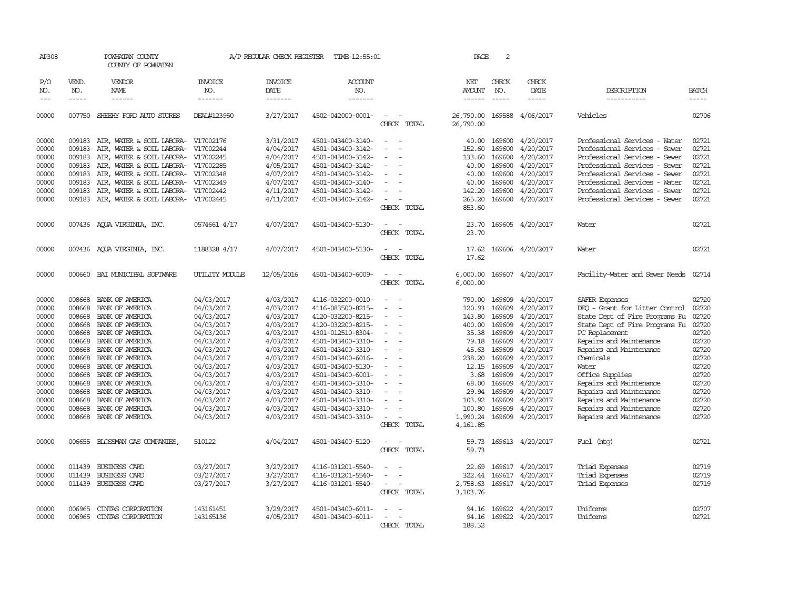| AP308                                                                                                                               | POWHATAN COUNTY<br>COUNTY OF POWHATAN                                                                                                              |                                                                                                                                                                                                                                                                                           | A/P REGULAR CHECK REGISTER                                                                                                                                                                                     | TIME-12:55:01                                                                                                                                                                                   | $\overline{2}$<br>PAGE                                                                                                                                                                                                                                                                                                  |                                         |                                                                                                                                                          |                                                                                                                                                    |                                                                                                                                                                                                 |                                                                                                                                                                                                                                                                                                                                                                              |                                                                                                                                     |
|-------------------------------------------------------------------------------------------------------------------------------------|----------------------------------------------------------------------------------------------------------------------------------------------------|-------------------------------------------------------------------------------------------------------------------------------------------------------------------------------------------------------------------------------------------------------------------------------------------|----------------------------------------------------------------------------------------------------------------------------------------------------------------------------------------------------------------|-------------------------------------------------------------------------------------------------------------------------------------------------------------------------------------------------|-------------------------------------------------------------------------------------------------------------------------------------------------------------------------------------------------------------------------------------------------------------------------------------------------------------------------|-----------------------------------------|----------------------------------------------------------------------------------------------------------------------------------------------------------|----------------------------------------------------------------------------------------------------------------------------------------------------|-------------------------------------------------------------------------------------------------------------------------------------------------------------------------------------------------|------------------------------------------------------------------------------------------------------------------------------------------------------------------------------------------------------------------------------------------------------------------------------------------------------------------------------------------------------------------------------|-------------------------------------------------------------------------------------------------------------------------------------|
| P/O<br>NO.<br>$\frac{1}{2}$                                                                                                         | VEND.<br>NO.<br>$- - - - -$                                                                                                                        | VENDOR<br>NAME<br>$- - - - - -$                                                                                                                                                                                                                                                           | <b>INVOICE</b><br>NO.<br>-------                                                                                                                                                                               | <b>INVOICE</b><br>DATE<br>-------                                                                                                                                                               | <b>ACCOUNT</b><br>NO.<br>-------                                                                                                                                                                                                                                                                                        |                                         | NET<br>AMOUNT<br>------                                                                                                                                  | CHECK<br>NO.<br>$\frac{1}{2}$                                                                                                                      | CHECK<br>DATE<br>-----                                                                                                                                                                          | DESCRIPTION<br>-----------                                                                                                                                                                                                                                                                                                                                                   | <b>BATCH</b><br>$- - - - -$                                                                                                         |
| 00000                                                                                                                               | 007750                                                                                                                                             | SHEEHY FORD AUTO STORES                                                                                                                                                                                                                                                                   | DEAL#123950                                                                                                                                                                                                    | 3/27/2017                                                                                                                                                                                       | 4502-042000-0001-                                                                                                                                                                                                                                                                                                       | $\sim$<br>CHECK TOTAL                   | 26,790.00<br>26,790.00                                                                                                                                   | 169588                                                                                                                                             | 4/06/2017                                                                                                                                                                                       | Vehicles                                                                                                                                                                                                                                                                                                                                                                     | 02706                                                                                                                               |
| 00000<br>00000<br>00000<br>00000<br>00000<br>00000<br>00000<br>00000                                                                | 009183<br>009183<br>009183<br>009183<br>009183<br>009183<br>009183<br>009183                                                                       | AIR, WATER & SOIL LABORA- V17002176<br>AIR, WATER & SOIL LABORA-<br>AIR, WATER & SOIL LABORA- V17002245<br>AIR, WATER & SOIL LABORA- V17002285<br>AIR, WATER & SOIL LABORA- V17002348<br>AIR, WATER & SOIL LABORA-<br>AIR, WATER & SOIL LABORA- V17002442<br>AIR, WATER & SOIL LABORA-    | V17002244<br>V17002349<br>V17002445                                                                                                                                                                            | 3/31/2017<br>4/04/2017<br>4/04/2017<br>4/05/2017<br>4/07/2017<br>4/07/2017<br>4/11/2017<br>4/11/2017                                                                                            | 4501-043400-3140-<br>4501-043400-3142-<br>4501-043400-3142-<br>4501-043400-3142-<br>4501-043400-3142-<br>4501-043400-3140-<br>4501-043400-3142-<br>4501-043400-3142-                                                                                                                                                    | $\equiv$<br>$\sim$<br>CHECK TOTAL       | 40.00<br>152.60<br>133.60<br>40.00<br>40.00<br>40.00<br>142.20<br>265.20<br>853.60                                                                       | 169600<br>169600<br>169600<br>169600<br>169600<br>169600<br>169600<br>169600                                                                       | 4/20/2017<br>4/20/2017<br>4/20/2017<br>4/20/2017<br>4/20/2017<br>4/20/2017<br>4/20/2017<br>4/20/2017                                                                                            | Professional Services - Water<br>Professional Services - Sewer<br>Professional Services - Sewer<br>Professional Services - Sewer<br>Professional Services - Sewer<br>Professional Services - Water<br>Professional Services - Sewer<br>Professional Services - Sewer                                                                                                         | 02721<br>02721<br>02721<br>02721<br>02721<br>02721<br>02721<br>02721                                                                |
| 00000                                                                                                                               |                                                                                                                                                    | 007436 AQUA VIRGINIA, INC.                                                                                                                                                                                                                                                                | 0574661 4/17                                                                                                                                                                                                   | 4/07/2017                                                                                                                                                                                       | 4501-043400-5130-                                                                                                                                                                                                                                                                                                       | CHECK TOTAL                             | 23.70<br>23.70                                                                                                                                           |                                                                                                                                                    | 169605 4/20/2017                                                                                                                                                                                | Water                                                                                                                                                                                                                                                                                                                                                                        | 02721                                                                                                                               |
| 00000                                                                                                                               |                                                                                                                                                    | 007436 AQUA VIRGINIA, INC.                                                                                                                                                                                                                                                                | 1188328 4/17                                                                                                                                                                                                   | 4/07/2017                                                                                                                                                                                       | 4501-043400-5130-                                                                                                                                                                                                                                                                                                       | CHECK TOTAL                             | 17.62<br>17.62                                                                                                                                           |                                                                                                                                                    | 169606 4/20/2017                                                                                                                                                                                | Water                                                                                                                                                                                                                                                                                                                                                                        | 02721                                                                                                                               |
| 00000                                                                                                                               |                                                                                                                                                    | 000660 BAI MUNICIPAL SOFTWARE                                                                                                                                                                                                                                                             | UTILITY MODULE                                                                                                                                                                                                 | 12/05/2016                                                                                                                                                                                      | 4501-043400-6009-                                                                                                                                                                                                                                                                                                       | CHECK TOTAL                             | 6,000.00<br>6,000.00                                                                                                                                     |                                                                                                                                                    | 169607 4/20/2017                                                                                                                                                                                | Facility-Water and Sewer Needs                                                                                                                                                                                                                                                                                                                                               | 02714                                                                                                                               |
| 00000<br>00000<br>00000<br>00000<br>00000<br>00000<br>00000<br>00000<br>00000<br>00000<br>00000<br>00000<br>00000<br>00000<br>00000 | 008668<br>008668<br>008668<br>008668<br>008668<br>008668<br>008668<br>008668<br>008668<br>008668<br>008668<br>008668<br>008668<br>008668<br>008668 | BANK OF AMERICA<br>BANK OF AMERICA<br>BANK OF AMERICA<br>BANK OF AMERICA<br>BANK OF AMERICA<br>BANK OF AMERICA<br>BANK OF AMERICA<br>BANK OF AMERICA<br>BANK OF AMERICA<br>BANK OF AMERICA<br>BANK OF AMERICA<br>BANK OF AMERICA<br>BANK OF AMERICA<br>BANK OF AMERICA<br>BANK OF AMERICA | 04/03/2017<br>04/03/2017<br>04/03/2017<br>04/03/2017<br>04/03/2017<br>04/03/2017<br>04/03/2017<br>04/03/2017<br>04/03/2017<br>04/03/2017<br>04/03/2017<br>04/03/2017<br>04/03/2017<br>04/03/2017<br>04/03/2017 | 4/03/2017<br>4/03/2017<br>4/03/2017<br>4/03/2017<br>4/03/2017<br>4/03/2017<br>4/03/2017<br>4/03/2017<br>4/03/2017<br>4/03/2017<br>4/03/2017<br>4/03/2017<br>4/03/2017<br>4/03/2017<br>4/03/2017 | 4116-032200-0010-<br>4116-083500-8215-<br>4120-032200-8215-<br>4120-032200-8215-<br>4301-012510-8304-<br>4501-043400-3310-<br>4501-043400-3310-<br>4501-043400-6016-<br>4501-043400-5130-<br>4501-043400-6001-<br>4501-043400-3310-<br>4501-043400-3310-<br>4501-043400-3310-<br>4501-043400-3310-<br>4501-043400-3310- | CHECK TOTAL                             | 790.00<br>120.93<br>143.80<br>400.00<br>35.38<br>79.18<br>45.63<br>238.20<br>12.15<br>3.68<br>68.00<br>29.94<br>103.92<br>100.80<br>1,990.24<br>4,161.85 | 169609<br>169609<br>169609<br>169609<br>169609<br>169609<br>169609<br>169609<br>169609<br>169609<br>169609<br>169609<br>169609<br>169609<br>169609 | 4/20/2017<br>4/20/2017<br>4/20/2017<br>4/20/2017<br>4/20/2017<br>4/20/2017<br>4/20/2017<br>4/20/2017<br>4/20/2017<br>4/20/2017<br>4/20/2017<br>4/20/2017<br>4/20/2017<br>4/20/2017<br>4/20/2017 | SAFER Expenses<br>DEO - Grant for Litter Control<br>State Dept of Fire Programs Fu<br>State Dept of Fire Programs Fu<br>PC Replacement<br>Repairs and Maintenance<br>Repairs and Maintenance<br>Chemicals<br>Water<br>Office Supplies<br>Repairs and Maintenance<br>Repairs and Maintenance<br>Repairs and Maintenance<br>Repairs and Maintenance<br>Repairs and Maintenance | 02720<br>02720<br>02720<br>02720<br>02720<br>02720<br>02720<br>02720<br>02720<br>02720<br>02720<br>02720<br>02720<br>02720<br>02720 |
| 00000                                                                                                                               | 006655                                                                                                                                             | BLOSSMAN GAS COMPANIES                                                                                                                                                                                                                                                                    | 510122                                                                                                                                                                                                         | 4/04/2017                                                                                                                                                                                       | 4501-043400-5120-                                                                                                                                                                                                                                                                                                       | $\overline{\phantom{a}}$<br>CHECK TOTAL | 59.73<br>59.73                                                                                                                                           |                                                                                                                                                    | 169613 4/20/2017                                                                                                                                                                                | Fuel (htg)                                                                                                                                                                                                                                                                                                                                                                   | 02721                                                                                                                               |
| 00000<br>00000<br>00000                                                                                                             | 011439<br>011439                                                                                                                                   | <b>BUSINESS CARD</b><br>BUSINESS CARD<br>011439 BUSINESS CARD                                                                                                                                                                                                                             | 03/27/2017<br>03/27/2017<br>03/27/2017                                                                                                                                                                         | 3/27/2017<br>3/27/2017<br>3/27/2017                                                                                                                                                             | 4116-031201-5540-<br>4116-031201-5540-<br>4116-031201-5540-                                                                                                                                                                                                                                                             | CHECK TOTAL                             | 22.69<br>322.44<br>2,758.63<br>3,103.76                                                                                                                  | 169617<br>169617                                                                                                                                   | 4/20/2017<br>4/20/2017<br>169617 4/20/2017                                                                                                                                                      | Triad Expenses<br>Triad Expenses<br>Triad Expenses                                                                                                                                                                                                                                                                                                                           | 02719<br>02719<br>02719                                                                                                             |
| 00000<br>00000                                                                                                                      | 006965<br>006965                                                                                                                                   | CINIAS CORPORATION<br>CINIAS CORPORATION                                                                                                                                                                                                                                                  | 143161451<br>143165136                                                                                                                                                                                         | 3/29/2017<br>4/05/2017                                                                                                                                                                          | 4501-043400-6011-<br>4501-043400-6011-                                                                                                                                                                                                                                                                                  | CHECK TOTAL                             | 94.16<br>94.16<br>188.32                                                                                                                                 | 169622                                                                                                                                             | 4/20/2017<br>169622 4/20/2017                                                                                                                                                                   | Uniforms<br>Uniforms                                                                                                                                                                                                                                                                                                                                                         | 02707<br>02721                                                                                                                      |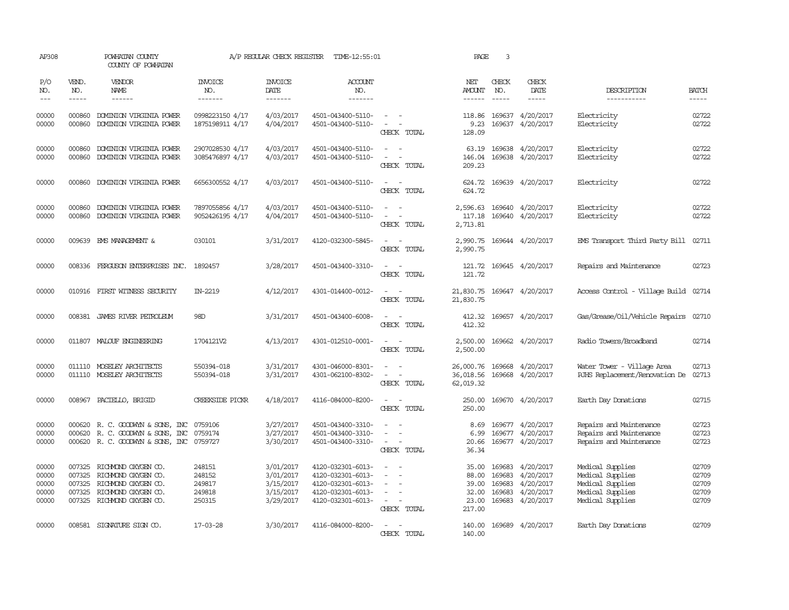| AP308                                     |                                      | POWHATAN COUNTY<br>COUNTY OF POWHATAN                                                                                  | A/P REGULAR CHECK REGISTER                     | TIME-12:55:01                                                 | PAGE                                                                                                  | 3                                                                                                                                     |                                                     |                                      |                                                                      |                                                                                                  |                                           |
|-------------------------------------------|--------------------------------------|------------------------------------------------------------------------------------------------------------------------|------------------------------------------------|---------------------------------------------------------------|-------------------------------------------------------------------------------------------------------|---------------------------------------------------------------------------------------------------------------------------------------|-----------------------------------------------------|--------------------------------------|----------------------------------------------------------------------|--------------------------------------------------------------------------------------------------|-------------------------------------------|
| P/O<br>NO.<br>$\frac{1}{2}$               | VEND.<br>NO.<br>$- - - - -$          | VENDOR<br><b>NAME</b><br>------                                                                                        | <b>INVOICE</b><br>NO.<br>-------               | <b>INVOICE</b><br>DATE<br>-------                             | <b>ACCOUNT</b><br>NO.<br>-------                                                                      |                                                                                                                                       | NET<br>AMOUNT                                       | CHECK<br>NO.<br>$- - - - -$          | CHECK<br>DATE<br>-----                                               | DESCRIPTION<br>-----------                                                                       | <b>BATCH</b><br>$- - - - -$               |
| 00000<br>00000                            | 000860<br>000860                     | DOMINION VIRGINIA POWER<br>DOMINION VIRGINIA POWER                                                                     | 0998223150 4/17<br>1875198911 4/17             | 4/03/2017<br>4/04/2017                                        | 4501-043400-5110-<br>4501-043400-5110-                                                                | $\frac{1}{2} \left( \frac{1}{2} \right) \left( \frac{1}{2} \right) = \frac{1}{2} \left( \frac{1}{2} \right)$<br>$\sim$<br>CHECK TOTAL | 118.86<br>9.23<br>128.09                            | 169637                               | 169637 4/20/2017<br>4/20/2017                                        | Electricity<br>Electricity                                                                       | 02722<br>02722                            |
| 00000<br>00000                            | 000860<br>000860                     | DOMINION VIRGINIA POWER<br>DOMINION VIRGINIA POWER                                                                     | 2907028530 4/17<br>3085476897 4/17             | 4/03/2017<br>4/03/2017                                        | 4501-043400-5110-<br>4501-043400-5110-                                                                | CHECK TOTAL                                                                                                                           | 63.19<br>146.04<br>209.23                           |                                      | 169638 4/20/2017<br>169638 4/20/2017                                 | Electricity<br>Electricity                                                                       | 02722<br>02722                            |
| 00000                                     | 000860                               | DOMINION VIRGINIA POWER                                                                                                | 6656300552 4/17                                | 4/03/2017                                                     | 4501-043400-5110-                                                                                     | $\sim$<br>$\sim$<br>CHECK TOTAL                                                                                                       | 624.72<br>624.72                                    |                                      | 169639 4/20/2017                                                     | Electricity                                                                                      | 02722                                     |
| 00000<br>00000                            | 000860<br>000860                     | DOMINION VIRGINIA POWER<br>DOMINION VIRGINIA POWER                                                                     | 7897055856 4/17<br>9052426195 4/17             | 4/03/2017<br>4/04/2017                                        | 4501-043400-5110-<br>4501-043400-5110-                                                                | $\sim$<br>$\overline{\phantom{a}}$<br>CHECK TOTAL                                                                                     | 2,596.63<br>117.18<br>2,713.81                      |                                      | 169640 4/20/2017<br>169640 4/20/2017                                 | Electricity<br>Electricity                                                                       | 02722<br>02722                            |
| 00000                                     |                                      | 009639 EMS MANAGEMENT &                                                                                                | 030101                                         | 3/31/2017                                                     | 4120-032300-5845-                                                                                     | $\sim$<br>CHECK TOTAL                                                                                                                 | 2,990.75<br>2,990.75                                |                                      | 169644 4/20/2017                                                     | EMS Transport Third Party Bill                                                                   | 02711                                     |
| 00000                                     |                                      | 008336 FERGUSON ENTERPRISES INC.                                                                                       | 1892457                                        | 3/28/2017                                                     | 4501-043400-3310-                                                                                     | $\overline{\phantom{a}}$<br>$\sim$<br>CHECK TOTAL                                                                                     | 121.72<br>121.72                                    |                                      | 169645 4/20/2017                                                     | Repairs and Maintenance                                                                          | 02723                                     |
| 00000                                     |                                      | 010916 FIRST WITNESS SECURITY                                                                                          | IN-2219                                        | 4/12/2017                                                     | 4301-014400-0012-                                                                                     | CHECK TOTAL                                                                                                                           | 21,830.75<br>21,830.75                              |                                      | 169647 4/20/2017                                                     | Access Control - Village Build 02714                                                             |                                           |
| 00000                                     |                                      | 008381 JAMES RIVER PEIROLEUM                                                                                           | 98 <sub>D</sub>                                | 3/31/2017                                                     | 4501-043400-6008-                                                                                     | CHECK TOTAL                                                                                                                           | 412.32<br>412.32                                    |                                      | 169657 4/20/2017                                                     | Gas/Grease/Oil/Vehicle Repairs                                                                   | 02710                                     |
| 00000                                     |                                      | 011807 MALOUF ENGINEERING                                                                                              | 1704121V2                                      | 4/13/2017                                                     | 4301-012510-0001-                                                                                     | CHECK TOTAL                                                                                                                           | 2,500.00<br>2,500.00                                |                                      | 169662 4/20/2017                                                     | Radio Towers/Broadband                                                                           | 02714                                     |
| 00000<br>00000                            |                                      | 011110 MOSELEY ARCHITECTS<br>011110 MOSELEY ARCHITECTS                                                                 | 550394-018<br>550394-018                       | 3/31/2017<br>3/31/2017                                        | 4301-046000-8301-<br>4301-062100-8302-                                                                | $\sim$ 10 $\pm$<br>$\overline{\phantom{a}}$<br>CHECK TOTAL                                                                            | 26,000.76<br>36,018.56<br>62,019.32                 |                                      | 169668 4/20/2017<br>169668 4/20/2017                                 | Water Tower - Village Area<br>RJHS Replacement/Renovation De                                     | 02713<br>02713                            |
| 00000                                     | 008967                               | PACIELLO, BRIGID                                                                                                       | <b>CREEKSIDE PICKR</b>                         | 4/18/2017                                                     | 4116-084000-8200-                                                                                     | $\sim$ $ \sim$<br>CHECK TOTAL                                                                                                         | 250.00<br>250.00                                    |                                      | 169670 4/20/2017                                                     | Earth Day Donations                                                                              | 02715                                     |
| 00000<br>00000<br>00000                   | 000620                               | 000620 R. C. GOODWYN & SONS, INC<br>R. C. GOODWYN & SONS, INC<br>000620 R. C. GOODWYN & SONS, INC 0759727              | 0759106<br>0759174                             | 3/27/2017<br>3/27/2017<br>3/30/2017                           | 4501-043400-3310-<br>4501-043400-3310-<br>4501-043400-3310-                                           | $\overline{\phantom{a}}$<br>CHECK TOTAL                                                                                               | 8.69<br>6.99<br>20.66<br>36.34                      |                                      | 169677 4/20/2017<br>169677 4/20/2017<br>169677 4/20/2017             | Repairs and Maintenance<br>Repairs and Maintenance<br>Repairs and Maintenance                    | 02723<br>02723<br>02723                   |
| 00000<br>00000<br>00000<br>00000<br>00000 | 007325<br>007325<br>007325<br>007325 | RICHMOND OXYGEN CO.<br>RICHMOND OXYGEN CO.<br>RICHMOND OXYGEN CO.<br>RICHMOND OXYGEN CO.<br>007325 RICHMOND OXYGEN CO. | 248151<br>248152<br>249817<br>249818<br>250315 | 3/01/2017<br>3/01/2017<br>3/15/2017<br>3/15/2017<br>3/29/2017 | 4120-032301-6013-<br>4120-032301-6013-<br>4120-032301-6013-<br>4120-032301-6013-<br>4120-032301-6013- | ÷,<br>$\overline{\phantom{a}}$<br>CHECK TOTAL                                                                                         | 35.00<br>88.00<br>39.00<br>32.00<br>23.00<br>217.00 | 169683<br>169683<br>169683<br>169683 | 4/20/2017<br>4/20/2017<br>4/20/2017<br>4/20/2017<br>169683 4/20/2017 | Medical Supplies<br>Medical Supplies<br>Medical Supplies<br>Medical Supplies<br>Medical Supplies | 02709<br>02709<br>02709<br>02709<br>02709 |
| 00000                                     | 008581                               | SIGNATURE SIGN CO.                                                                                                     | $17 - 03 - 28$                                 | 3/30/2017                                                     | 4116-084000-8200-                                                                                     | $\overline{\phantom{a}}$<br>CHECK TOTAL                                                                                               | 140.00<br>140.00                                    |                                      | 169689 4/20/2017                                                     | Earth Day Donations                                                                              | 02709                                     |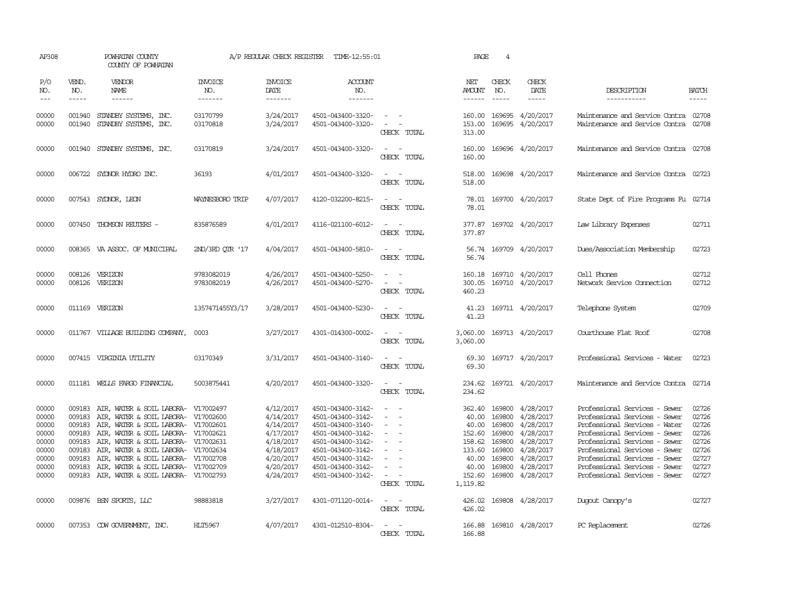| AP308                                                                         |                                                                    | POWHATAN COUNTY<br>COUNTY OF POWHATAN                                                                                                                                                                                                                                                                                                                                     |                       | A/P REGULAR CHECK REGISTER                                                                                        | TIME-12:55:01                                                                                                                                                                             |                                                                                   | PAGE                                                                                  | $\overline{4}$                                                                               |                                                                                                                   |                                                                                                                                                                                                                                                                                                       |                                                                               |
|-------------------------------------------------------------------------------|--------------------------------------------------------------------|---------------------------------------------------------------------------------------------------------------------------------------------------------------------------------------------------------------------------------------------------------------------------------------------------------------------------------------------------------------------------|-----------------------|-------------------------------------------------------------------------------------------------------------------|-------------------------------------------------------------------------------------------------------------------------------------------------------------------------------------------|-----------------------------------------------------------------------------------|---------------------------------------------------------------------------------------|----------------------------------------------------------------------------------------------|-------------------------------------------------------------------------------------------------------------------|-------------------------------------------------------------------------------------------------------------------------------------------------------------------------------------------------------------------------------------------------------------------------------------------------------|-------------------------------------------------------------------------------|
| P/O<br>NO.                                                                    | VEND.<br>NO.                                                       | <b>VENDOR</b><br>NAME                                                                                                                                                                                                                                                                                                                                                     | <b>INVOICE</b><br>NO. | <b>INVOICE</b><br><b>DATE</b>                                                                                     | <b>ACCOUNT</b><br>NO.                                                                                                                                                                     |                                                                                   | NET<br>AMOUNT                                                                         | CHECK<br>NO.                                                                                 | CHECK<br>DATE                                                                                                     | DESCRIPTION                                                                                                                                                                                                                                                                                           | <b>BATCH</b>                                                                  |
| $---$                                                                         | $- - - - -$                                                        | $- - - - - -$                                                                                                                                                                                                                                                                                                                                                             | -------               | -------                                                                                                           | -------                                                                                                                                                                                   |                                                                                   | ------                                                                                | $\frac{1}{2}$                                                                                | $- - - - -$                                                                                                       | -----------                                                                                                                                                                                                                                                                                           | -----                                                                         |
| 00000<br>00000                                                                | 001940                                                             | 001940 STANDBY SYSTEMS, INC.<br>STANDBY SYSTEMS, INC.                                                                                                                                                                                                                                                                                                                     | 03170799<br>03170818  | 3/24/2017<br>3/24/2017                                                                                            | 4501-043400-3320-<br>4501-043400-3320-                                                                                                                                                    | $\sim$<br>CHECK TOTAL                                                             | 153.00<br>313.00                                                                      |                                                                                              | 160.00 169695 4/20/2017<br>169695 4/20/2017                                                                       | Maintenance and Service Contra 02708<br>Maintenance and Service Contra                                                                                                                                                                                                                                | 02708                                                                         |
| 00000                                                                         | 001940                                                             | STANDBY SYSTEMS, INC.                                                                                                                                                                                                                                                                                                                                                     | 03170819              | 3/24/2017                                                                                                         | 4501-043400-3320-                                                                                                                                                                         | $\sim$<br>CHECK TOTAL                                                             | 160.00<br>160.00                                                                      |                                                                                              | 169696 4/20/2017                                                                                                  | Maintenance and Service Contra 02708                                                                                                                                                                                                                                                                  |                                                                               |
| 00000                                                                         | 006722                                                             | SYLNOR HYDRO INC.                                                                                                                                                                                                                                                                                                                                                         | 36193                 | 4/01/2017                                                                                                         | 4501-043400-3320-                                                                                                                                                                         | CHECK TOTAL                                                                       | 518.00<br>518.00                                                                      |                                                                                              | 169698 4/20/2017                                                                                                  | Maintenance and Service Contra 02723                                                                                                                                                                                                                                                                  |                                                                               |
| 00000                                                                         |                                                                    | 007543 SYDNOR, LEON                                                                                                                                                                                                                                                                                                                                                       | WAYNESBORO TRIP       | 4/07/2017                                                                                                         | 4120-032200-8215-                                                                                                                                                                         | CHECK TOTAL                                                                       | 78.01<br>78.01                                                                        |                                                                                              | 169700 4/20/2017                                                                                                  | State Dept of Fire Programs Fu 02714                                                                                                                                                                                                                                                                  |                                                                               |
| 00000                                                                         |                                                                    | 007450 THOMSON REUTERS -                                                                                                                                                                                                                                                                                                                                                  | 835876589             | 4/01/2017                                                                                                         | 4116-021100-6012-                                                                                                                                                                         | CHECK TOTAL                                                                       | 377.87<br>377.87                                                                      |                                                                                              | 169702 4/20/2017                                                                                                  | Law Library Expenses                                                                                                                                                                                                                                                                                  | 02711                                                                         |
| 00000                                                                         |                                                                    | 008365 VA ASSOC. OF MUNICIPAL                                                                                                                                                                                                                                                                                                                                             | 2ND/3RD OTR '17       | 4/04/2017                                                                                                         | 4501-043400-5810-                                                                                                                                                                         | CHECK TOTAL                                                                       | 56.74<br>56.74                                                                        |                                                                                              | 169709 4/20/2017                                                                                                  | Dues/Association Membership                                                                                                                                                                                                                                                                           | 02723                                                                         |
| 00000                                                                         | 008126                                                             | VERIZON                                                                                                                                                                                                                                                                                                                                                                   | 9783082019            | 4/26/2017                                                                                                         | 4501-043400-5250-                                                                                                                                                                         | - -                                                                               |                                                                                       |                                                                                              | 160.18 169710 4/20/2017                                                                                           | Cell Phones                                                                                                                                                                                                                                                                                           | 02712                                                                         |
| 00000                                                                         |                                                                    | 008126 VERIZON                                                                                                                                                                                                                                                                                                                                                            | 9783082019            | 4/26/2017                                                                                                         | 4501-043400-5270-                                                                                                                                                                         | $\sim$<br>CHECK TOTAL                                                             | 460.23                                                                                |                                                                                              | 300.05 169710 4/20/2017                                                                                           | Network Service Cornection                                                                                                                                                                                                                                                                            | 02712                                                                         |
| 00000                                                                         |                                                                    | 011169 VERIZON                                                                                                                                                                                                                                                                                                                                                            | 1357471455Y3/17       | 3/28/2017                                                                                                         | 4501-043400-5230-                                                                                                                                                                         | $ -$<br>CHECK TOTAL                                                               | 41.23<br>41.23                                                                        |                                                                                              | 169711 4/20/2017                                                                                                  | Telephone System                                                                                                                                                                                                                                                                                      | 02709                                                                         |
| 00000                                                                         |                                                                    | 011767 VILLAGE BUILDING COMPANY,                                                                                                                                                                                                                                                                                                                                          | 0003                  | 3/27/2017                                                                                                         | 4301-014300-0002-                                                                                                                                                                         | $\sim$<br>CHECK TOTAL                                                             | 3,060.00<br>3,060.00                                                                  |                                                                                              | 169713 4/20/2017                                                                                                  | Courthouse Flat Roof                                                                                                                                                                                                                                                                                  | 02708                                                                         |
| 00000                                                                         |                                                                    | 007415 VIRGINIA UTILITY                                                                                                                                                                                                                                                                                                                                                   | 03170349              | 3/31/2017                                                                                                         | 4501-043400-3140-                                                                                                                                                                         | $\sim$ $\sim$<br>CHECK TOTAL                                                      | 69.30                                                                                 |                                                                                              | 69.30 169717 4/20/2017                                                                                            | Professional Services - Water                                                                                                                                                                                                                                                                         | 02723                                                                         |
| 00000                                                                         |                                                                    | 011181 WELLS FARGO FINANCIAL                                                                                                                                                                                                                                                                                                                                              | 5003875441            | 4/20/2017                                                                                                         | 4501-043400-3320-                                                                                                                                                                         | $\overline{\phantom{a}}$<br>CHECK TOTAL                                           | 234.62                                                                                |                                                                                              | 234.62 169721 4/20/2017                                                                                           | Maintenance and Service Contra 02714                                                                                                                                                                                                                                                                  |                                                                               |
| 00000<br>00000<br>00000<br>00000<br>00000<br>00000<br>00000<br>00000<br>00000 | 009183<br>009183<br>009183<br>009183<br>009183<br>009183<br>009183 | AIR, WATER & SOIL LABORA- V17002497<br>009183 AIR, WATER & SOIL LABORA- V17002600<br>AIR, WATER & SOIL LABORA- V17002601<br>AIR, WATER & SOIL LABORA- V17002621<br>AIR, WATER & SOIL LABORA- V17002631<br>AIR, WATER & SOIL LABORA- V17002634<br>AIR, WATER & SOIL LABORA- V17002708<br>AIR, WATER & SOIL LABORA- V17002709<br>009183 AIR, WATER & SOIL LABORA- V17002793 |                       | 4/12/2017<br>4/14/2017<br>4/14/2017<br>4/17/2017<br>4/18/2017<br>4/18/2017<br>4/20/2017<br>4/20/2017<br>4/24/2017 | 4501-043400-3142-<br>4501-043400-3142-<br>4501-043400-3140-<br>4501-043400-3142-<br>4501-043400-3142-<br>4501-043400-3142-<br>4501-043400-3142-<br>4501-043400-3142-<br>4501-043400-3142- | $\overline{\phantom{a}}$<br>$\overline{\phantom{a}}$<br>$\sim$ $-$<br>CHECK TOTAL | 362.40<br>40.00<br>152.60<br>158.62<br>133.60<br>40.00<br>40.00<br>152.60<br>1,119.82 | 169800<br>40.00 169800<br>169800<br>169800<br>169800<br>169800<br>169800<br>169800<br>169800 | 4/28/2017<br>4/28/2017<br>4/28/2017<br>4/28/2017<br>4/28/2017<br>4/28/2017<br>4/28/2017<br>4/28/2017<br>4/28/2017 | Professional Services - Sewer<br>Professional Services - Sewer<br>Professional Services - Water<br>Professional Services - Sewer<br>Professional Services - Sewer<br>Professional Services - Sewer<br>Professional Services - Sewer<br>Professional Services - Sewer<br>Professional Services - Sewer | 02726<br>02726<br>02726<br>02726<br>02726<br>02726<br>02727<br>02727<br>02727 |
| 00000                                                                         |                                                                    | 009876 BSN SPORTS, LLC                                                                                                                                                                                                                                                                                                                                                    | 98883818              | 3/27/2017                                                                                                         | 4301-071120-0014-                                                                                                                                                                         | $\overline{\phantom{a}}$<br>CHECK TOTAL                                           | 426.02                                                                                |                                                                                              | 426.02 169808 4/28/2017                                                                                           | Duqout Canopy's                                                                                                                                                                                                                                                                                       | 02727                                                                         |
| 00000                                                                         |                                                                    | 007353 CDW GOVERNMENT, INC.                                                                                                                                                                                                                                                                                                                                               | <b>HLT5967</b>        | 4/07/2017                                                                                                         | 4301-012510-8304-                                                                                                                                                                         | $\overline{\phantom{a}}$<br>CHECK TOTAL                                           | 166.88<br>166.88                                                                      |                                                                                              | 169810 4/28/2017                                                                                                  | PC Replacement                                                                                                                                                                                                                                                                                        | 02726                                                                         |